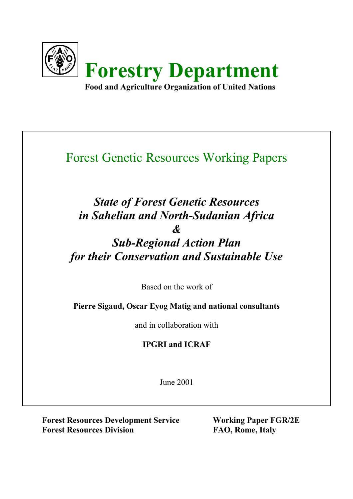

# Forest Genetic Resources Working Papers

# *State of Forest Genetic Resources in Sahelian and North-Sudanian Africa & Sub-Regional Action Plan for their Conservation and Sustainable Use*

Based on the work of

**Pierre Sigaud, Oscar Eyog Matig and national consultants**

and in collaboration with

## **IPGRI and ICRAF**

June 2001

**Forest Resources Development Service Working Paper FGR/2E** Forest Resources Division FAO, Rome, Italy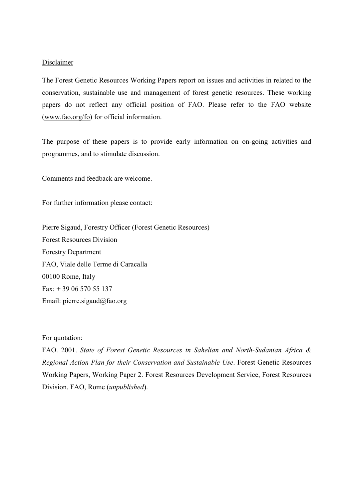#### Disclaimer

The Forest Genetic Resources Working Papers report on issues and activities in related to the conservation, sustainable use and management of forest genetic resources. These working papers do not reflect any official position of FAO. Please refer to the FAO website (www.fao.org/fo) for official information.

The purpose of these papers is to provide early information on on-going activities and programmes, and to stimulate discussion.

Comments and feedback are welcome.

For further information please contact:

Pierre Sigaud, Forestry Officer (Forest Genetic Resources) Forest Resources Division Forestry Department FAO, Viale delle Terme di Caracalla 00100 Rome, Italy Fax: + 39 06 570 55 137 Email: pierre.sigaud@fao.org

#### For quotation:

FAO. 2001. *State of Forest Genetic Resources in Sahelian and North-Sudanian Africa & Regional Action Plan for their Conservation and Sustainable Use*. Forest Genetic Resources Working Papers, Working Paper 2. Forest Resources Development Service, Forest Resources Division. FAO, Rome (*unpublished*).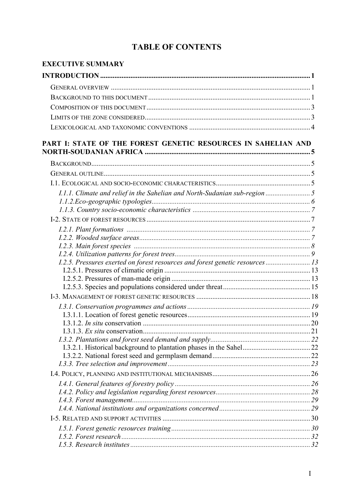## **TABLE OF CONTENTS**

| EXECUTIVE SUMMARY                                                           |  |
|-----------------------------------------------------------------------------|--|
|                                                                             |  |
|                                                                             |  |
|                                                                             |  |
|                                                                             |  |
|                                                                             |  |
|                                                                             |  |
| PART I: STATE OF THE FOREST GENETIC RESOURCES IN SAHELIAN AND               |  |
|                                                                             |  |
|                                                                             |  |
|                                                                             |  |
|                                                                             |  |
| 1.1.1. Climate and relief in the Sahelian and North-Sudanian sub-region  5  |  |
|                                                                             |  |
|                                                                             |  |
|                                                                             |  |
|                                                                             |  |
|                                                                             |  |
|                                                                             |  |
| 1.2.5. Pressures exerted on forest resources and forest genetic resources13 |  |
|                                                                             |  |
|                                                                             |  |
|                                                                             |  |
|                                                                             |  |
|                                                                             |  |
|                                                                             |  |
|                                                                             |  |
|                                                                             |  |
|                                                                             |  |
|                                                                             |  |
|                                                                             |  |
|                                                                             |  |
|                                                                             |  |
|                                                                             |  |
|                                                                             |  |
|                                                                             |  |
|                                                                             |  |
|                                                                             |  |
|                                                                             |  |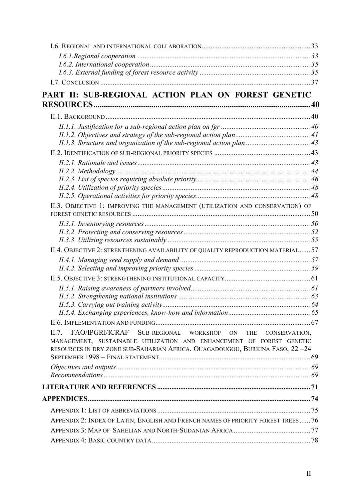| PART II: SUB-REGIONAL ACTION PLAN ON FOREST GENETIC                                                                                                                                                                         |  |
|-----------------------------------------------------------------------------------------------------------------------------------------------------------------------------------------------------------------------------|--|
|                                                                                                                                                                                                                             |  |
|                                                                                                                                                                                                                             |  |
|                                                                                                                                                                                                                             |  |
|                                                                                                                                                                                                                             |  |
|                                                                                                                                                                                                                             |  |
|                                                                                                                                                                                                                             |  |
|                                                                                                                                                                                                                             |  |
|                                                                                                                                                                                                                             |  |
|                                                                                                                                                                                                                             |  |
|                                                                                                                                                                                                                             |  |
| II.3. OBJECTIVE 1: IMPROVING THE MANAGEMENT (UTILIZATION AND CONSERVATION) OF                                                                                                                                               |  |
|                                                                                                                                                                                                                             |  |
|                                                                                                                                                                                                                             |  |
|                                                                                                                                                                                                                             |  |
| II.4. OBJECTIVE 2: STRENTHENING AVAILABILITY OF QUALITY REPRODUCTION MATERIAL 57                                                                                                                                            |  |
|                                                                                                                                                                                                                             |  |
|                                                                                                                                                                                                                             |  |
|                                                                                                                                                                                                                             |  |
|                                                                                                                                                                                                                             |  |
|                                                                                                                                                                                                                             |  |
|                                                                                                                                                                                                                             |  |
|                                                                                                                                                                                                                             |  |
| FAO/IPGRI/ICRAF SUB-REGIONAL WORKSHOP ON THE CONSERVATION,<br>II.7.<br>MANAGEMENT, SUSTAINABLE UTILIZATION AND ENHANCEMENT OF FOREST GENETIC<br>RESOURCES IN DRY ZONE SUB-SAHARIAN AFRICA. OUAGADOUGOU, BURKINA FASO, 22-24 |  |
|                                                                                                                                                                                                                             |  |
|                                                                                                                                                                                                                             |  |
|                                                                                                                                                                                                                             |  |
|                                                                                                                                                                                                                             |  |
|                                                                                                                                                                                                                             |  |
| APPENDIX 2: INDEX OF LATIN, ENGLISH AND FRENCH NAMES OF PRIORITY FOREST TREES 76                                                                                                                                            |  |
|                                                                                                                                                                                                                             |  |
|                                                                                                                                                                                                                             |  |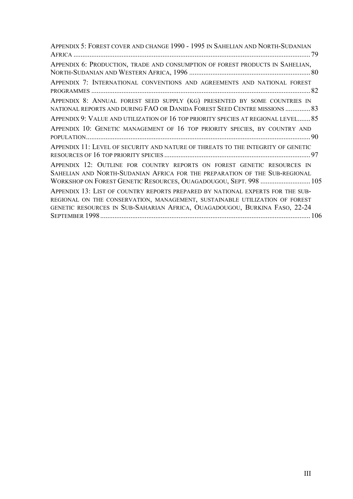| APPENDIX 5: FOREST COVER AND CHANGE 1990 - 1995 IN SAHELIAN AND NORTH-SUDANIAN                                                                                                                                             |
|----------------------------------------------------------------------------------------------------------------------------------------------------------------------------------------------------------------------------|
|                                                                                                                                                                                                                            |
| APPENDIX 6: PRODUCTION, TRADE AND CONSUMPTION OF FOREST PRODUCTS IN SAHELIAN,                                                                                                                                              |
| APPENDIX 7: INTERNATIONAL CONVENTIONS AND AGREEMENTS AND NATIONAL FOREST                                                                                                                                                   |
| APPENDIX 8: ANNUAL FOREST SEED SUPPLY (KG) PRESENTED BY SOME COUNTRIES IN<br>NATIONAL REPORTS AND DURING FAO OR DANIDA FOREST SEED CENTRE MISSIONS  83                                                                     |
| APPENDIX 9: VALUE AND UTILIZATION OF 16 TOP PRIORITY SPECIES AT REGIONAL LEVEL 85                                                                                                                                          |
| APPENDIX 10: GENETIC MANAGEMENT OF 16 TOP PRIORITY SPECIES, BY COUNTRY AND                                                                                                                                                 |
| APPENDIX 11: LEVEL OF SECURITY AND NATURE OF THREATS TO THE INTEGRITY OF GENETIC                                                                                                                                           |
| APPENDIX 12: OUTLINE FOR COUNTRY REPORTS ON FOREST GENETIC RESOURCES IN<br>SAHELIAN AND NORTH-SUDANIAN AFRICA FOR THE PREPARATION OF THE SUB-REGIONAL<br>WORKSHOP ON FOREST GENETIC RESOURCES, OUAGADOUGOU, SEPT. 998  105 |
| APPENDIX 13: LIST OF COUNTRY REPORTS PREPARED BY NATIONAL EXPERTS FOR THE SUB-<br>REGIONAL ON THE CONSERVATION, MANAGEMENT, SUSTAINABLE UTILIZATION OF FOREST                                                              |
| GENETIC RESOURCES IN SUB-SAHARIAN AFRICA, OUAGADOUGOU, BURKINA FASO, 22-24                                                                                                                                                 |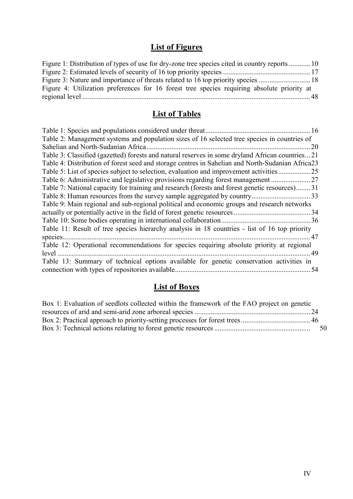## **List of Figures**

| Figure 1: Distribution of types of use for dry-zone tree species cited in country reports  10 |  |
|-----------------------------------------------------------------------------------------------|--|
|                                                                                               |  |
|                                                                                               |  |
| Figure 4: Utilization preferences for 16 forest tree species requiring absolute priority at   |  |
|                                                                                               |  |

## **List of Tables**

| 16                                                                                                |
|---------------------------------------------------------------------------------------------------|
| Table 2: Management systems and population sizes of 16 selected tree species in countries of      |
| Sahelian and North-Sudanian Africa.<br>20                                                         |
| Table 3: Classified (gazetted) forests and natural reserves in some dryland African countries21   |
| Table 4: Distribution of forest seed and storage centres in Sahelian and North-Sudanian Africa 23 |
|                                                                                                   |
| Table 6: Administrative and legislative provisions regarding forest management                    |
| Table 7: National capacity for training and research (forests and forest genetic resources)31     |
|                                                                                                   |
| Table 9: Main regional and sub-regional political and economic groups and research networks       |
| 34                                                                                                |
|                                                                                                   |
| Table 11: Result of tree species hierarchy analysis in 18 countries - list of 16 top priority     |
| species.<br>.47                                                                                   |
| Table 12: Operational recommendations for species requiring absolute priority at regional         |
| level<br>49                                                                                       |
| Table 13: Summary of technical options available for genetic conservation activities in           |
| connection with types of repositories available.<br>54                                            |
|                                                                                                   |

## **List of Boxes**

| Box 1: Evaluation of seedlots collected within the framework of the FAO project on genetic |     |
|--------------------------------------------------------------------------------------------|-----|
|                                                                                            |     |
|                                                                                            |     |
|                                                                                            | -50 |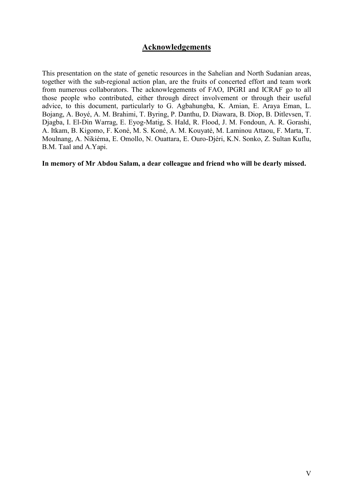## **Acknowledgements**

This presentation on the state of genetic resources in the Sahelian and North Sudanian areas, together with the sub-regional action plan, are the fruits of concerted effort and team work from numerous collaborators. The acknowlegements of FAO, IPGRI and ICRAF go to all those people who contributed, either through direct involvement or through their useful advice, to this document, particularly to G. Agbahungba, K. Amian, E. Araya Eman, L. Bojang, A. Boyé, A. M. Brahimi, T. Byring, P. Danthu, D. Diawara, B. Diop, B. Ditlevsen, T. Djagba, I. El-Din Warrag, E. Eyog-Matig, S. Hald, R. Flood, J. M. Fondoun, A. R. Gorashi, A. Itkam, B. Kigomo, F. Koné, M. S. Koné, A. M. Kouyaté, M. Laminou Attaou, F. Marta, T. Moulnang, A. Nikiéma, E. Omollo, N. Ouattara, E. Ouro-Djéri, K.N. Sonko, Z. Sultan Kuflu, B.M. Taal and A.Yapi.

**In memory of Mr Abdou Salam, a dear colleague and friend who will be dearly missed.**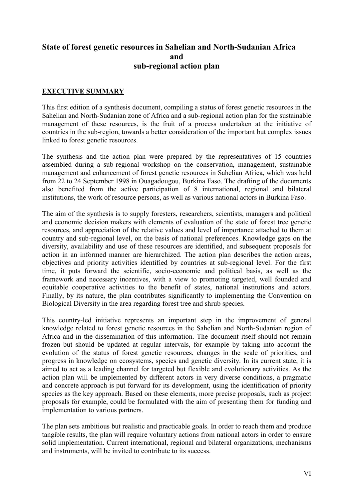## **State of forest genetic resources in Sahelian and North-Sudanian Africa and sub-regional action plan**

### **EXECUTIVE SUMMARY**

This first edition of a synthesis document, compiling a status of forest genetic resources in the Sahelian and North-Sudanian zone of Africa and a sub-regional action plan for the sustainable management of these resources, is the fruit of a process undertaken at the initiative of countries in the sub-region, towards a better consideration of the important but complex issues linked to forest genetic resources.

The synthesis and the action plan were prepared by the representatives of 15 countries assembled during a sub-regional workshop on the conservation, management, sustainable management and enhancement of forest genetic resources in Sahelian Africa, which was held from 22 to 24 September 1998 in Ouagadougou, Burkina Faso. The drafting of the documents also benefited from the active participation of 8 international, regional and bilateral institutions, the work of resource persons, as well as various national actors in Burkina Faso.

The aim of the synthesis is to supply foresters, researchers, scientists, managers and political and economic decision makers with elements of evaluation of the state of forest tree genetic resources, and appreciation of the relative values and level of importance attached to them at country and sub-regional level, on the basis of national preferences. Knowledge gaps on the diversity, availability and use of these resources are identified, and subsequent proposals for action in an informed manner are hierarchized. The action plan describes the action areas, objectives and priority activities identified by countries at sub-regional level. For the first time, it puts forward the scientific, socio-economic and political basis, as well as the framework and necessary incentives, with a view to promoting targeted, well founded and equitable cooperative activities to the benefit of states, national institutions and actors. Finally, by its nature, the plan contributes significantly to implementing the Convention on Biological Diversity in the area regarding forest tree and shrub species.

This country-led initiative represents an important step in the improvement of general knowledge related to forest genetic resources in the Sahelian and North-Sudanian region of Africa and in the dissemination of this information. The document itself should not remain frozen but should be updated at regular intervals, for example by taking into account the evolution of the status of forest genetic resources, changes in the scale of priorities, and progress in knowledge on ecosystems, species and genetic diversity. In its current state, it is aimed to act as a leading channel for targeted but flexible and evolutionary activities. As the action plan will be implemented by different actors in very diverse conditions, a pragmatic and concrete approach is put forward for its development, using the identification of priority species as the key approach. Based on these elements, more precise proposals, such as project proposals for example, could be formulated with the aim of presenting them for funding and implementation to various partners.

The plan sets ambitious but realistic and practicable goals. In order to reach them and produce tangible results, the plan will require voluntary actions from national actors in order to ensure solid implementation. Current international, regional and bilateral organizations, mechanisms and instruments, will be invited to contribute to its success.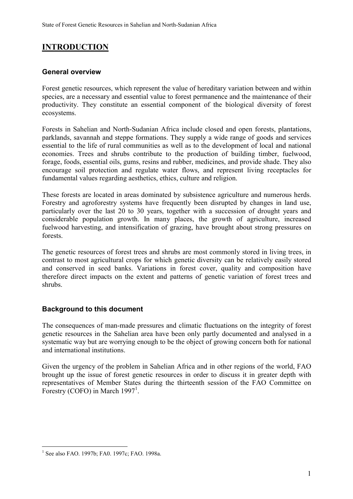## **INTRODUCTION**

## **General overview**

Forest genetic resources, which represent the value of hereditary variation between and within species, are a necessary and essential value to forest permanence and the maintenance of their productivity. They constitute an essential component of the biological diversity of forest ecosystems.

Forests in Sahelian and North-Sudanian Africa include closed and open forests, plantations, parklands, savannah and steppe formations. They supply a wide range of goods and services essential to the life of rural communities as well as to the development of local and national economies. Trees and shrubs contribute to the production of building timber, fuelwood, forage, foods, essential oils, gums, resins and rubber, medicines, and provide shade. They also encourage soil protection and regulate water flows, and represent living receptacles for fundamental values regarding aesthetics, ethics, culture and religion.

These forests are located in areas dominated by subsistence agriculture and numerous herds. Forestry and agroforestry systems have frequently been disrupted by changes in land use, particularly over the last 20 to 30 years, together with a succession of drought years and considerable population growth. In many places, the growth of agriculture, increased fuelwood harvesting, and intensification of grazing, have brought about strong pressures on forests.

The genetic resources of forest trees and shrubs are most commonly stored in living trees, in contrast to most agricultural crops for which genetic diversity can be relatively easily stored and conserved in seed banks. Variations in forest cover, quality and composition have therefore direct impacts on the extent and patterns of genetic variation of forest trees and shrubs.

## **Background to this document**

The consequences of man-made pressures and climatic fluctuations on the integrity of forest genetic resources in the Sahelian area have been only partly documented and analysed in a systematic way but are worrying enough to be the object of growing concern both for national and international institutions.

Given the urgency of the problem in Sahelian Africa and in other regions of the world, FAO brought up the issue of forest genetic resources in order to discuss it in greater depth with representatives of Member States during the thirteenth session of the FAO Committee on Forestry (COFO) in March  $1997<sup>1</sup>$ .

 $\overline{a}$ 

<sup>&</sup>lt;sup>1</sup> See also FAO. 1997b; FA0. 1997c; FAO. 1998a.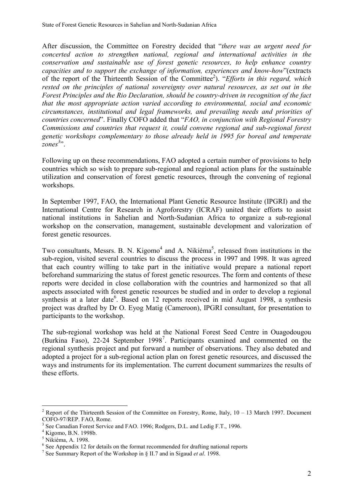After discussion, the Committee on Forestry decided that "*there was an urgent need for concerted action to strengthen national, regional and international activities in the conservation and sustainable use of forest genetic resources, to help enhance country capacities and to support the exchange of information, experiences and know-how*"(extracts of the report of the Thirteenth Session of the Committee<sup>2</sup>). "*Efforts in this regard, which rested on the principles of national sovereignty over natural resources, as set out in the Forest Principles and the Rio Declaration, should be country-driven in recognition of the fact that the most appropriate action varied according to environmental, social and economic circumstances, institutional and legal frameworks, and prevailing needs and priorities of countries concerned*". Finally COFO added that "*FAO, in conjunction with Regional Forestry Commissions and countries that request it, could convene regional and sub-regional forest genetic workshops complementary to those already held in 1995 for boreal and temperate* zones<sup>3</sup>".

Following up on these recommendations, FAO adopted a certain number of provisions to help countries which so wish to prepare sub-regional and regional action plans for the sustainable utilization and conservation of forest genetic resources, through the convening of regional workshops.

In September 1997, FAO, the International Plant Genetic Resource Institute (IPGRI) and the International Centre for Research in Agroforestry (ICRAF) united their efforts to assist national institutions in Sahelian and North-Sudanian Africa to organize a sub-regional workshop on the conservation, management, sustainable development and valorization of forest genetic resources.

Two consultants, Messrs. B. N. Kigomo<sup>4</sup> and A. Nikiéma<sup>5</sup>, released from institutions in the sub-region, visited several countries to discuss the process in 1997 and 1998. It was agreed that each country willing to take part in the initiative would prepare a national report beforehand summarizing the status of forest genetic resources. The form and contents of these reports were decided in close collaboration with the countries and harmonized so that all aspects associated with forest genetic resources be studied and in order to develop a regional synthesis at a later date<sup>6</sup>. Based on 12 reports received in mid August 1998, a synthesis project was drafted by Dr O. Eyog Matig (Cameroon), IPGRI consultant, for presentation to participants to the workshop.

The sub-regional workshop was held at the National Forest Seed Centre in Ouagodougou (Burkina Faso), 22-24 September 1998<sup>7</sup>. Participants examined and commented on the regional synthesis project and put forward a number of observations. They also debated and adopted a project for a sub-regional action plan on forest genetic resources, and discussed the ways and instruments for its implementation. The current document summarizes the results of these efforts.

 $\overline{a}$ 

<sup>&</sup>lt;sup>2</sup> Report of the Thirteenth Session of the Committee on Forestry, Rome, Italy,  $10 - 13$  March 1997. Document COFO-97/REP. FAO, Rome.

<sup>3</sup> See Canadian Forest Service and FAO. 1996; Rodgers, D.L. and Ledig F.T., 1996.

<sup>4</sup> Kigomo, B.N. 1998b.

<sup>5</sup> Nikiéma, A. 1998.

 $6$  See Appendix 12 for details on the format recommended for drafting national reports

<sup>7</sup> See Summary Report of the Workshop in § II.7 and in Sigaud *et al*. 1998.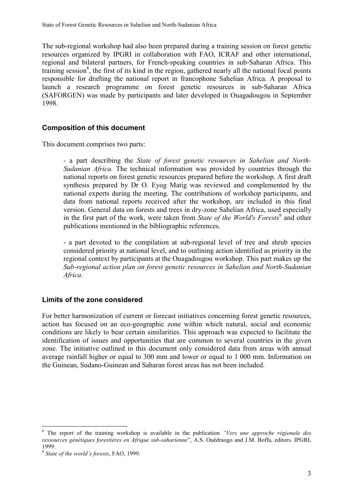The sub-regional workshop had also been prepared during a training session on forest genetic resources organized by IPGRI in collaboration with FAO, ICRAF and other international, regional and bilateral partners, for French-speaking countries in sub-Saharan Africa. This training session<sup>8</sup>, the first of its kind in the region, gathered nearly all the national focal points responsible for drafting the national report in francophone Sahelian Africa. A proposal to launch a research programme on forest genetic resources in sub-Saharan Africa (SAFORGEN) was made by participants and later developed in Ouagadougou in September 1998.

#### **Composition of this document**

This document comprises two parts:

- a part describing the *State of forest genetic resources in Sahelian and North-Sudanian Africa.* The technical information was provided by countries through the national reports on forest genetic resources prepared before the workshop. A first draft synthesis prepared by Dr O. Eyog Matig was reviewed and complemented by the national experts during the meeting. The contributions of workshop participants, and data from national reports received after the workshop, are included in this final version. General data on forests and trees in dry-zone Sahelian Africa, used especially in the first part of the work, were taken from *State of the World's Forests*<sup>9</sup> and other publications mentioned in the bibliographic references.

- a part devoted to the compilation at sub-regional level of tree and shrub species considered priority at national level, and to outlining action identified as priority in the regional context by participants at the Ouagadougou workshop. This part makes up the *Sub-regional action plan on forest genetic resources in Sahelian and North-Sudanian Africa*.

#### **Limits of the zone considered**

For better harmonization of current or forecast initiatives concerning forest genetic resources, action has focused on an eco-geographic zone within which natural, social and economic conditions are likely to bear certain similarities. This approach was expected to facilitate the identification of issues and opportunities that are common to several countries in the given zone. The initiative outlined in this document only considered data from areas with annual average rainfall higher or equal to 300 mm and lower or equal to 1 000 mm. Information on the Guinean, Sudano-Guinean and Saharan forest areas has not been included.

 8 The report of the training workshop is available in the publication *"Vers une approche régionale des ressources génétiques forestières en Afrique sub-saharienne*", A.S. Ouédraogo and J.M. Boffa, editors. IPGRI, 1999.

<sup>9</sup> *State of the world's forests*, FAO, 1999.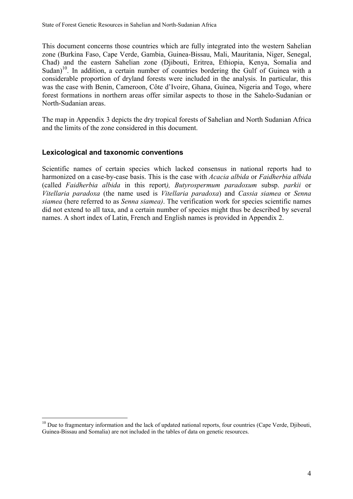This document concerns those countries which are fully integrated into the western Sahelian zone (Burkina Faso, Cape Verde, Gambia, Guinea-Bissau, Mali, Mauritania, Niger, Senegal, Chad) and the eastern Sahelian zone (Djibouti, Eritrea, Ethiopia, Kenya, Somalia and Sudan)<sup>10</sup>. In addition, a certain number of countries bordering the Gulf of Guinea with a considerable proportion of dryland forests were included in the analysis. In particular, this was the case with Benin, Cameroon, Côte d'Ivoire, Ghana, Guinea, Nigeria and Togo, where forest formations in northern areas offer similar aspects to those in the Sahelo-Sudanian or North-Sudanian areas.

The map in Appendix 3 depicts the dry tropical forests of Sahelian and North Sudanian Africa and the limits of the zone considered in this document.

#### **Lexicological and taxonomic conventions**

 $\overline{a}$ 

Scientific names of certain species which lacked consensus in national reports had to harmonized on a case-by-case basis. This is the case with *Acacia albida* or *Faidherbia albida* (called *Faidherbia albida* in this report*), Butyrospermum paradoxum* subsp. *parkii* or *Vitellaria paradoxa* (the name used is *Vitellaria paradoxa*) and *Cassia siamea* or *Senna siamea* (here referred to as *Senna siamea)*. The verification work for species scientific names did not extend to all taxa, and a certain number of species might thus be described by several names. A short index of Latin, French and English names is provided in Appendix 2.

 $10$  Due to fragmentary information and the lack of updated national reports, four countries (Cape Verde, Djibouti, Guinea-Bissau and Somalia) are not included in the tables of data on genetic resources.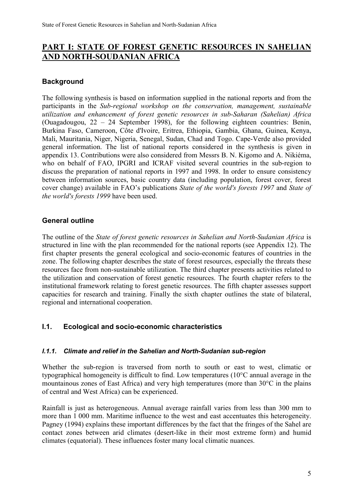## **PART I: STATE OF FOREST GENETIC RESOURCES IN SAHELIAN AND NORTH-SOUDANIAN AFRICA**

## **Background**

The following synthesis is based on information supplied in the national reports and from the participants in the *Sub-regional workshop on the conservation, management, sustainable utilization and enhancement of forest genetic resources in sub-Saharan (Sahelian) Africa* (Ouagadougou, 22 – 24 September 1998), for the following eighteen countries: Benin, Burkina Faso, Cameroon, Côte d'Ivoire, Eritrea, Ethiopia, Gambia, Ghana, Guinea, Kenya, Mali, Mauritania, Niger, Nigeria, Senegal, Sudan, Chad and Togo. Cape-Verde also provided general information. The list of national reports considered in the synthesis is given in appendix 13. Contributions were also considered from Messrs B. N. Kigomo and A. Nikiéma, who on behalf of FAO, IPGRI and ICRAF visited several countries in the sub-region to discuss the preparation of national reports in 1997 and 1998. In order to ensure consistency between information sources, basic country data (including population, forest cover, forest cover change) available in FAO's publications *State of the world's forests 1997* and *State of the world's forests 1999* have been used.

## **General outline**

The outline of the *State of forest genetic resources in Sahelian and North-Sudanian Africa* is structured in line with the plan recommended for the national reports (see Appendix 12). The first chapter presents the general ecological and socio-economic features of countries in the zone. The following chapter describes the state of forest resources, especially the threats these resources face from non-sustainable utilization. The third chapter presents activities related to the utilization and conservation of forest genetic resources. The fourth chapter refers to the institutional framework relating to forest genetic resources. The fifth chapter assesses support capacities for research and training. Finally the sixth chapter outlines the state of bilateral, regional and international cooperation.

## **I.1. Ecological and socio-economic characteristics**

#### *I.1.1. Climate and relief in the Sahelian and North-Sudanian sub-region*

Whether the sub-region is traversed from north to south or east to west, climatic or typographical homogeneity is difficult to find. Low temperatures (10°C annual average in the mountainous zones of East Africa) and very high temperatures (more than 30°C in the plains of central and West Africa) can be experienced.

Rainfall is just as heterogeneous. Annual average rainfall varies from less than 300 mm to more than 1 000 mm. Maritime influence to the west and east accentuates this heterogeneity. Pagney (1994) explains these important differences by the fact that the fringes of the Sahel are contact zones between arid climates (desert-like in their most extreme form) and humid climates (equatorial). These influences foster many local climatic nuances.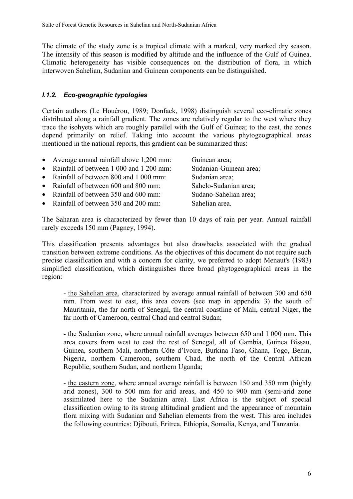The climate of the study zone is a tropical climate with a marked, very marked dry season. The intensity of this season is modified by altitude and the influence of the Gulf of Guinea. Climatic heterogeneity has visible consequences on the distribution of flora, in which interwoven Sahelian, Sudanian and Guinean components can be distinguished.

## *I.1.2. Eco-geographic typologies*

Certain authors (Le Houérou, 1989; Donfack, 1998) distinguish several eco-climatic zones distributed along a rainfall gradient. The zones are relatively regular to the west where they trace the isohyets which are roughly parallel with the Gulf of Guinea; to the east, the zones depend primarily on relief. Taking into account the various phytogeographical areas mentioned in the national reports, this gradient can be summarized thus:

- Average annual rainfall above 1,200 mm: Guinean area;
- Rainfall of between 1 000 and 1 200 mm: Sudanian-Guinean area;
- Rainfall of between 800 and 1 000 mm: Sudanian area;
- Rainfall of between 600 and 800 mm: Sahelo-Sudanian area:
- Rainfall of between 350 and 600 mm: Sudano-Sahelian area;
- Rainfall of between 350 and 200 mm: Sahelian area.

The Saharan area is characterized by fewer than 10 days of rain per year. Annual rainfall rarely exceeds 150 mm (Pagney, 1994).

This classification presents advantages but also drawbacks associated with the gradual transition between extreme conditions. As the objectives of this document do not require such precise classification and with a concern for clarity, we preferred to adopt Menaut's (1983) simplified classification, which distinguishes three broad phytogeographical areas in the region:

- the Sahelian area, characterized by average annual rainfall of between 300 and 650 mm. From west to east, this area covers (see map in appendix 3) the south of Mauritania, the far north of Senegal, the central coastline of Mali, central Niger, the far north of Cameroon, central Chad and central Sudan;

- the Sudanian zone, where annual rainfall averages between 650 and 1 000 mm. This area covers from west to east the rest of Senegal, all of Gambia, Guinea Bissau, Guinea, southern Mali, northern Côte d'Ivoire, Burkina Faso, Ghana, Togo, Benin, Nigeria, northern Cameroon, southern Chad, the north of the Central African Republic, southern Sudan, and northern Uganda;

- the eastern zone, where annual average rainfall is between 150 and 350 mm (highly arid zones), 300 to 500 mm for arid areas, and 450 to 900 mm (semi-arid zone assimilated here to the Sudanian area). East Africa is the subject of special classification owing to its strong altitudinal gradient and the appearance of mountain flora mixing with Sudanian and Sahelian elements from the west. This area includes the following countries: Djibouti, Eritrea, Ethiopia, Somalia, Kenya, and Tanzania.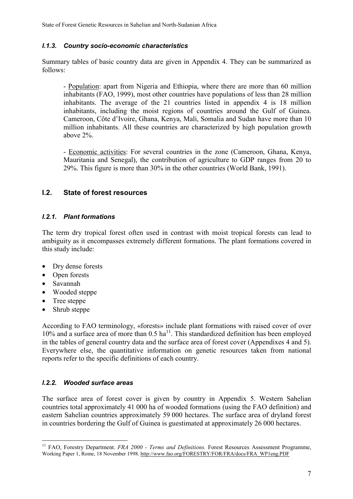## *I.1.3. Country socio-economic characteristics*

Summary tables of basic country data are given in Appendix 4. They can be summarized as follows:

- Population: apart from Nigeria and Ethiopia, where there are more than 60 million inhabitants (FAO, 1999), most other countries have populations of less than 28 million inhabitants. The average of the 21 countries listed in appendix 4 is 18 million inhabitants, including the moist regions of countries around the Gulf of Guinea. Cameroon, Côte d'Ivoire, Ghana, Kenya, Mali, Somalia and Sudan have more than 10 million inhabitants. All these countries are characterized by high population growth above 2%.

- Economic activities: For several countries in the zone (Cameroon, Ghana, Kenya, Mauritania and Senegal), the contribution of agriculture to GDP ranges from 20 to 29%. This figure is more than 30% in the other countries (World Bank, 1991).

## **I.2. State of forest resources**

#### *I.2.1. Plant formations*

The term dry tropical forest often used in contrast with moist tropical forests can lead to ambiguity as it encompasses extremely different formations. The plant formations covered in this study include:

- Dry dense forests
- Open forests
- Savannah
- Wooded steppe
- Tree steppe
- Shrub steppe

According to FAO terminology, «forests» include plant formations with raised cover of over 10% and a surface area of more than  $0.5$  ha<sup>11</sup>. This standardized definition has been employed in the tables of general country data and the surface area of forest cover (Appendixes 4 and 5). Everywhere else, the quantitative information on genetic resources taken from national reports refer to the specific definitions of each country.

## *I.2.2. Wooded surface areas*

The surface area of forest cover is given by country in Appendix 5. Western Sahelian countries total approximately 41 000 ha of wooded formations (using the FAO definition) and eastern Sahelian countries approximately 59 000 hectares. The surface area of dryland forest in countries bordering the Gulf of Guinea is guestimated at approximately 26 000 hectares.

 $\overline{a}$ <sup>11</sup> FAO, Forestry Department. *FRA 2000 - Terms and Definitions*. Forest Resources Assessment Programme, Working Paper 1, Rome, 18 November 1998. http://www.fao.org/FORESTRY/FOR/FRA/docs/FRA\_WP1eng.PDF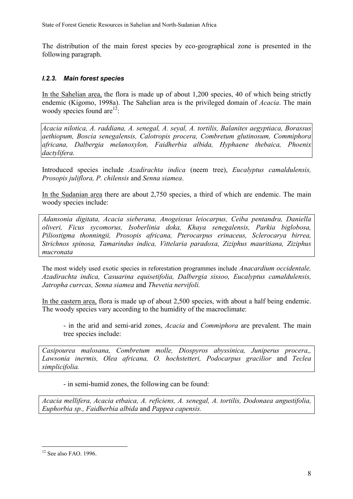The distribution of the main forest species by eco-geographical zone is presented in the following paragraph.

## *I.2.3. Main forest species*

In the Sahelian area, the flora is made up of about 1,200 species, 40 of which being strictly endemic (Kigomo, 1998a). The Sahelian area is the privileged domain of *Acacia*. The main woody species found are  $12$ :

*Acacia nilotica, A. raddiana, A. senegal, A. seyal, A. tortilis, Balanites aegyptiaca, Borassus aethiopum, Boscia senegalensis, Calotropis procera, Combretum glutinosum, Commiphora africana, Dalbergia melanoxylon, Faidherbia albida, Hyphaene thebaica, Phoenix dactylifera.*

Introduced species include *Azadirachta indica* (neem tree), *Eucalyptus camaldulensis, Prosopis juliflora, P. chilensis* and *Senna siamea*.

In the Sudanian area there are about 2,750 species, a third of which are endemic. The main woody species include:

*Adansonia digitata, Acacia sieberana, Anogeissus leiocarpus, Ceiba pentandra, Daniella oliveri, Ficus sycomorus, Isoberlinia doka, Khaya senegalensis, Parkia biglobosa, Piliostigma thonningii, Prosopis africana, Pterocarpus erinaceus, Sclerocarya birrea, Strichnos spinosa, Tamarindus indica, Vittelaria paradoxa, Ziziphus mauritiana, Ziziphus mucronata*

The most widely used exotic species in reforestation programmes include *Anacardium occidentale, Azadirachta indica, Casuarina equisetifolia, Dalbergia sissoo, Eucalyptus camaldulensis, Jatropha currcas, Senna siamea* and *Thevetia nervifoli.*

In the eastern area, flora is made up of about 2,500 species, with about a half being endemic. The woody species vary according to the humidity of the macroclimate:

- in the arid and semi-arid zones, *Acacia* and *Commiphora* are prevalent. The main tree species include:

*Casipourea malosana, Combretum molle, Diospyros abyssinica, Juniperus procera,, Lawsonia inermis, Olea africana, O. hochstetteri, Podocarpus gracilior* and *Teclea simplicifolia.*

- in semi-humid zones, the following can be found:

*Acacia mellifera, Acacia etbaica, A. reficiens, A. senegal, A. tortilis, Dodonaea angustifolia, Euphorbia sp., Faidherbia albida* and *Pappea capensis.*

 $\overline{a}$ 

 $12$  See also FAO. 1996.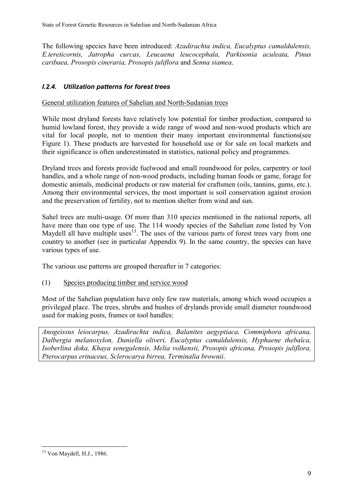The following species have been introduced: *Azadirachta indica, Eucalyptus camaldulensis, E.tereticornis, Jatropha curcas, Leucaena leucocephala, Parkisonia aculeata, Pinus caribaea, Prosopis cineraria, Prosopis juliflora* and *Senna siamea*.

## *I.2.4. Utilization patterns for forest trees*

General utilization features of Sahelian and North-Sudanian trees

While most dryland forests have relatively low potential for timber production, compared to humid lowland forest, they provide a wide range of wood and non-wood products which are vital for local people, not to mention their many important environmental functions(see Figure 1). These products are harvested for household use or for sale on local markets and their significance is often underestimated in statistics, national policy and programmes.

Dryland trees and forests provide fuelwood and small roundwood for poles, carpentry or tool handles, and a whole range of non-wood products, including human foods or game, forage for domestic animals, medicinal products or raw material for craftsmen (oils, tannins, gums, etc.). Among their environmental services, the most important is soil conservation against erosion and the preservation of fertility, not to mention shelter from wind and sun.

Sahel trees are multi-usage. Of more than 310 species mentioned in the national reports, all have more than one type of use. The 114 woody species of the Sahelian zone listed by Von Maydell all have multiple uses<sup>13</sup>. The uses of the various parts of forest trees vary from one country to another (see in particular Appendix 9). In the same country, the species can have various types of use.

The various use patterns are grouped thereafter in 7 categories:

(1) Species producing timber and service wood

Most of the Sahelian population have only few raw materials, among which wood occupies a privileged place. The trees, shrubs and bushes of drylands provide small diameter roundwood used for making posts, frames or tool handles:

*Anogeissus leiocarpus, Azadirachta indica, Balanites aegyptiaca, Commiphora africana, Dalbergia melanoxylon, Daniella oliveri, Eucalyptus camaldulensis, Hyphaene thebaïca, Isoberlina doka, Khaya senegalensis, Melia volkensii, Prosopis africana, Prosopis juliflora, Pterocarpus erinaceus, Sclerocarya birrea, Terminalia brownii*.

 $\overline{a}$  $13$  Von Maydell, H.J., 1986.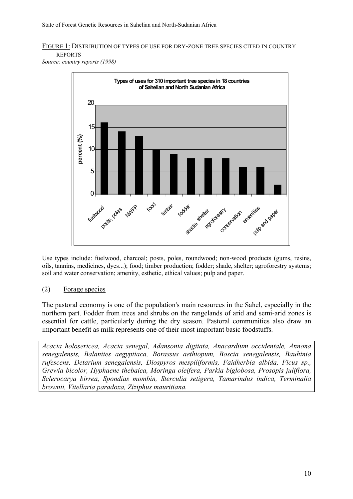## FIGURE 1: DISTRIBUTION OF TYPES OF USE FOR DRY-ZONE TREE SPECIES CITED IN COUNTRY REPORTS

*Source: country reports (1998)*



Use types include: fuelwood, charcoal; posts, poles, roundwood; non-wood products (gums, resins, oils, tannins, medicines, dyes...); food; timber production; fodder; shade, shelter; agroforestry systems; soil and water conservation; amenity, esthetic, ethical values; pulp and paper.

#### (2) Forage species

The pastoral economy is one of the population's main resources in the Sahel, especially in the northern part. Fodder from trees and shrubs on the rangelands of arid and semi-arid zones is essential for cattle, particularly during the dry season. Pastoral communities also draw an important benefit as milk represents one of their most important basic foodstuffs.

*Acacia holosericea, Acacia senegal, Adansonia digitata, Anacardium occidentale, Annona senegalensis, Balanites aegyptiaca, Borassus aethiopum, Boscia senegalensis, Bauhinia rufescens, Detarium senegalensis, Diospyros mespiliformis, Faidherbia albida, Ficus sp., Grewia bicolor, Hyphaene thebaica, Moringa oleifera, Parkia biglobosa, Prosopis juliflora, Sclerocarya birrea, Spondias mombin, Sterculia setigera, Tamarindus indica, Terminalia brownii, Vitellaria paradoxa, Ziziphus mauritiana.*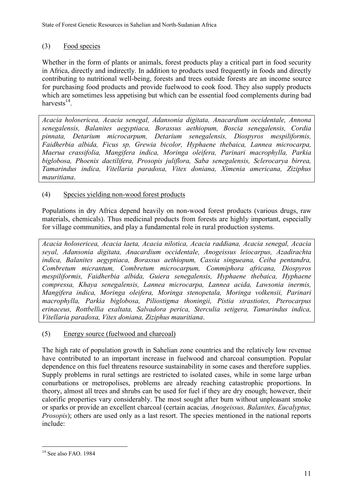## (3) Food species

Whether in the form of plants or animals, forest products play a critical part in food security in Africa, directly and indirectly. In addition to products used frequently in foods and directly contributing to nutritional well-being, forests and trees outside forests are an income source for purchasing food products and provide fuelwood to cook food. They also supply products which are sometimes less appetising but which can be essential food complements during bad harvests $^{14}$ .

*Acacia holosericea, Acacia senegal, Adansonia digitata, Anacardium occidentale, Annona senegalensis, Balanites aegyptiaca, Borassus aethiopum, Boscia senegalensis, Cordia pinnata, Detarium microcarpum, Detarium senegalensis, Diospyros mespiliformis, Faidherbia albida, Ficus sp, Grewia bicolor, Hyphaene thebaica, Lannea microcarpa, Maerua crassifolia, Mangifera indica, Moringa oleifera, Parinari macrophylla, Parkia biglobosa, Phoenix dactilifera, Prosopis juliflora, Saba senegalensis, Sclerocarya birrea, Tamarindus indica, Vitellaria paradoxa, Vitex doniana, Ximenia americana, Ziziphus mauritiana*.

## (4) Species yielding non-wood forest products

Populations in dry Africa depend heavily on non-wood forest products (various drugs, raw materials, chemicals). Thus medicinal products from forests are highly important, especially for village communities, and play a fundamental role in rural production systems.

*Acacia holosericea, Acacia laeta, Acacia nilotica, Acacia raddiana, Acacia senegal, Acacia seyal, Adansonia digitata, Anacardium occidentale, Anogeissus leiocarpus, Azadirachta indica, Balanites aegyptiaca, Borassus aethiopum, Cassia singueana, Ceiba pentandra, Combretum micrantum, Combretum microcarpum, Commiphora africana, Diospyros mespiliformis, Faidherbia albida, Guiera senegalensis, Hyphaene thebaica, Hyphaene compressa, Khaya senegalensis, Lannea microcarpa, Lannea acida, Lawsonia inermis, Mangifera indica, Moringa oleifera, Moringa stenopetala, Moringa volkensii, Parinari macrophylla, Parkia biglobosa, Piliostigma thoningii, Pistia strastiotes, Pterocarpus erinaceus, Rottbellia exaltata, Salvadora perica, Sterculia setigera, Tamarindus indica, Vitellaria paradoxa, Vitex doniana, Ziziphus mauritiana*.

#### (5) Energy source (fuelwood and charcoal)

The high rate of population growth in Sahelian zone countries and the relatively low revenue have contributed to an important increase in fuelwood and charcoal consumption. Popular dependence on this fuel threatens resource sustainability in some cases and therefore supplies. Supply problems in rural settings are restricted to isolated cases, while in some large urban conurbations or metropolises, problems are already reaching catastrophic proportions. In theory, almost all trees and shrubs can be used for fuel if they are dry enough; however, their calorific properties vary considerably. The most sought after burn without unpleasant smoke or sparks or provide an excellent charcoal (certain acacias*, Anogeissus, Balanites, Eucalyptus, Prosopis*); others are used only as a last resort. The species mentioned in the national reports include:

 $\overline{a}$ <sup>14</sup> See also FAO. 1984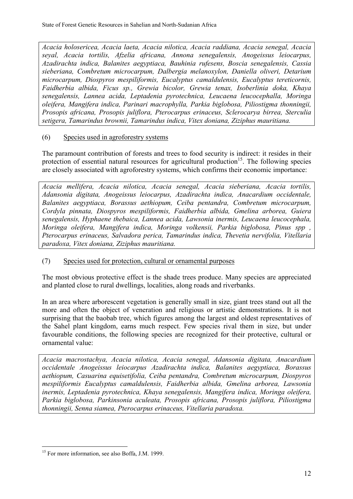*Acacia holosericea, Acacia laeta, Acacia nilotica, Acacia raddiana, Acacia senegal, Acacia seyal, Acacia tortilis, Afzelia africana, Annona senegalensis, Anogeissus leiocarpus, Azadirachta indica, Balanites aegyptiaca, Bauhinia rufesens, Boscia senegalensis, Cassia sieberiana, Combretum microcarpum, Dalbergia melanoxylon, Daniella oliveri, Detarium microcarpum, Diospyros mespiliformis, Eucalyptus camaldulensis, Eucalyptus tereticornis, Faidherbia albida, Ficus sp., Grewia bicolor, Grewia tenax, Isoberlinia doka, Khaya senegalensis, Lannea acida, Leptadenia pyrotechnica, Leucaena leucocephalla, Moringa oleifera, Mangifera indica, Parinari macrophylla, Parkia biglobosa, Piliostigma thonningii, Prosopis africana, Prosopis juliflora, Pterocarpus erinaceus, Sclerocarya birrea, Sterculia setigera, Tamarindus brownii, Tamarindus indica, Vitex doniana, Ziziphus mauritiana.*

#### (6) Species used in agroforestry systems

The paramount contribution of forests and trees to food security is indirect: it resides in their protection of essential natural resources for agricultural production<sup>15</sup>. The following species are closely associated with agroforestry systems, which confirms their economic importance:

*Acacia mellifera, Acacia nilotica, Acacia senegal, Acacia sieberiana, Acacia tortilis, Adansonia digitata, Anogeissus leiocarpus, Azadirachta indica, Anacardium occidentale, Balanites aegyptiaca, Borassus aethiopum, Ceiba pentandra, Combretum microcarpum, Cordyla pinnata, Diospyros mespiliformis, Faidherbia albida, Gmelina arborea, Guiera senegalensis, Hyphaene thebaica, Lannea acida, Lawsonia inermis, Leucaena leucocephala, Moringa oleifera, Mangifera indica, Moringa volkensii, Parkia biglobosa, Pinus spp , Pterocarpus erinaceus, Salvadora perica, Tamarindus indica, Thevetia nervifolia, Vitellaria paradoxa, Vitex doniana, Ziziphus mauritiana.*

#### (7) Species used for protection, cultural or ornamental purposes

The most obvious protective effect is the shade trees produce. Many species are appreciated and planted close to rural dwellings, localities, along roads and riverbanks.

In an area where arborescent vegetation is generally small in size, giant trees stand out all the more and often the object of veneration and religious or artistic demonstrations. It is not surprising that the baobab tree, which figures among the largest and oldest representatives of the Sahel plant kingdom, earns much respect. Few species rival them in size, but under favourable conditions, the following species are recognized for their protective, cultural or ornamental value:

*Acacia macrostachya, Acacia nilotica, Acacia senegal, Adansonia digitata, Anacardium occidentale Anogeissus leiocarpus Azadirachta indica, Balanites aegyptiaca, Borassus aethiopum, Casuarina equisetifolia, Ceiba pentandra, Combretum microcarpum, Diospyros mespiliformis Eucalyptus camaldulensis, Faidherbia albida, Gmelina arborea, Lawsonia inermis, Leptadenia pyrotechnica, Khaya senegalensis, Mangifera indica, Moringa oleifera, Parkia biglobosa, Parkinsonia aculeata, Prosopis africana, Prosopis juliflora, Piliostigma thonningii, Senna siamea, Pterocarpus erinaceus, Vitellaria paradoxa.*

 $\overline{a}$ 

<sup>&</sup>lt;sup>15</sup> For more information, see also Boffa, J.M. 1999.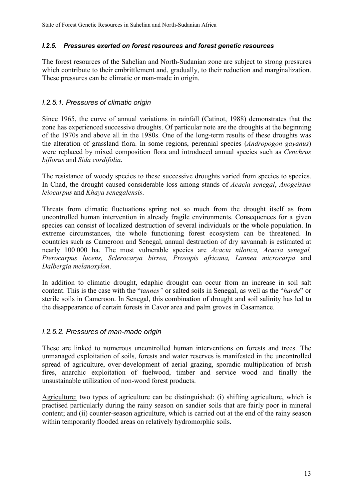### *I.2.5. Pressures exerted on forest resources and forest genetic resources*

The forest resources of the Sahelian and North-Sudanian zone are subject to strong pressures which contribute to their embrittlement and, gradually, to their reduction and marginalization. These pressures can be climatic or man-made in origin.

## *I.2.5.1. Pressures of climatic origin*

Since 1965, the curve of annual variations in rainfall (Catinot, 1988) demonstrates that the zone has experienced successive droughts. Of particular note are the droughts at the beginning of the 1970s and above all in the 1980s. One of the long-term results of these droughts was the alteration of grassland flora. In some regions, perennial species (*Andropogon gayanus*) were replaced by mixed composition flora and introduced annual species such as *Cenchrus biflorus* and *Sida cordifolia*.

The resistance of woody species to these successive droughts varied from species to species. In Chad, the drought caused considerable loss among stands of *Acacia senegal*, *Anogeissus leiocarpus* and *Khaya senegalensis*.

Threats from climatic fluctuations spring not so much from the drought itself as from uncontrolled human intervention in already fragile environments. Consequences for a given species can consist of localized destruction of several individuals or the whole population. In extreme circumstances, the whole functioning forest ecosystem can be threatened. In countries such as Cameroon and Senegal, annual destruction of dry savannah is estimated at nearly 100 000 ha. The most vulnerable species are *Acacia nilotica, Acacia senegal, Pterocarpus lucens, Sclerocarya birrea, Prosopis africana, Lannea microcarpa* and *Dalbergia melanoxylon*.

In addition to climatic drought, edaphic drought can occur from an increase in soil salt content. This is the case with the "*tannes"* or salted soils in Senegal, as well as the "*harde*" or sterile soils in Cameroon. In Senegal, this combination of drought and soil salinity has led to the disappearance of certain forests in Cavor area and palm groves in Casamance.

## *I.2.5.2. Pressures of man-made origin*

These are linked to numerous uncontrolled human interventions on forests and trees. The unmanaged exploitation of soils, forests and water reserves is manifested in the uncontrolled spread of agriculture, over-development of aerial grazing, sporadic multiplication of brush fires, anarchic exploitation of fuelwood, timber and service wood and finally the unsustainable utilization of non-wood forest products.

Agriculture: two types of agriculture can be distinguished: (i) shifting agriculture, which is practised particularly during the rainy season on sandier soils that are fairly poor in mineral content; and (ii) counter-season agriculture, which is carried out at the end of the rainy season within temporarily flooded areas on relatively hydromorphic soils.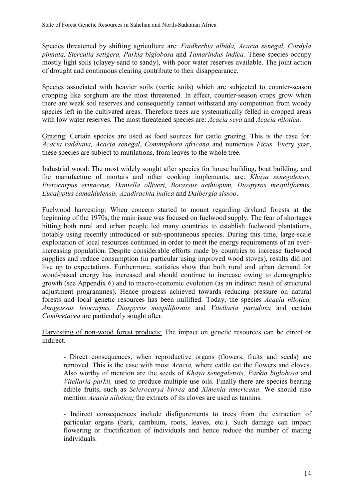Species threatened by shifting agriculture are: *Faidherbia albida, Acacia senegal, Cordyla pinnata, Sterculia setigera, Parkia biglobosa* and *Tamarindus indica.* These species occupy mostly light soils (clayey-sand to sandy), with poor water reserves available. The joint action of drought and continuous clearing contribute to their disappearance.

Species associated with heavier soils (vertic soils) which are subjected to counter-season cropping like sorghum are the most threatened. In effect, counter-season crops grow when there are weak soil reserves and consequently cannot withstand any competition from woody species left in the cultivated areas. Therefore trees are systematically felled in cropped areas with low water reserves. The most threatened species are: *Acacia seya* and *Acacia nilotica*.

Grazing: Certain species are used as food sources for cattle grazing. This is the case for: *Acacia raddiana, Acacia senegal*, *Commiphora africana* and numerous *Ficus.* Every year, these species are subject to mutilations, from leaves to the whole tree.

Industrial wood: The most widely sought after species for house building, boat building, and the manufacture of mortars and other cooking implements, are: *Khaya senegalensis, Pterocarpus erinaceus, Daniella olliveri, Borassus aethiopum, Diospyros mespiliformis, Eucalyptus camaldulensis, Azadirachta indica* and *Dalbergia sissoo*.

Fuelwood harvesting: When concern started to mount regarding dryland forests at the beginning of the 1970s, the main issue was focused on fuelwood supply. The fear of shortages hitting both rural and urban people led many countries to establish fuelwood plantations, notably using recently introduced or sub-spontaneous species. During this time, large-scale exploitation of local resources continued in order to meet the energy requirements of an everincreasing population. Despite considerable efforts made by countries to increase fuelwood supplies and reduce consumption (in particular using improved wood stoves), results did not live up to expectations. Furthermore, statistics show that both rural and urban demand for wood-based energy has increased and should continue to increase owing to demographic growth (see Appendix 6) and to macro-economic evolution (as an indirect result of structural adjustment programmes). Hence progress achieved towards reducing pressure on natural forests and local genetic resources has been nullified. Today, the species *Acacia nilotica, Anogeissus leiocarpus, Diospyros mespiliformis* and *Vitellaria paradoxa* and certain *Combretacea* are particularly sought after.

Harvesting of non-wood forest products: The impact on genetic resources can be direct or indirect.

- Direct consequences, when reproductive organs (flowers, fruits and seeds) are removed. This is the case with most *Acacia,* where cattle eat the flowers and cloves. Also worthy of mention are the seeds of *Khaya senegalensis, Parkia biglobosa* and *Vitellaria parkii,* used to produce multiple-use oils. Finally there are species bearing edible fruits, such as *Sclerocarya birrea* and *Ximenia americana*. We should also mention *Acacia nilotica;* the extracts of its cloves are used as tannins.

- Indirect consequences include disfigurements to trees from the extraction of particular organs (bark, cambium, roots, leaves, etc.). Such damage can impact flowering or fructification of individuals and hence reduce the number of mating individuals.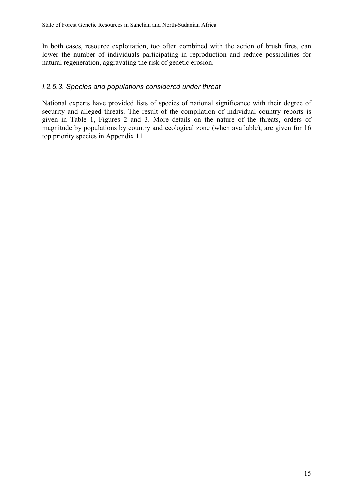In both cases, resource exploitation, too often combined with the action of brush fires, can lower the number of individuals participating in reproduction and reduce possibilities for natural regeneration, aggravating the risk of genetic erosion.

## *I.2.5.3. Species and populations considered under threat*

.

National experts have provided lists of species of national significance with their degree of security and alleged threats. The result of the compilation of individual country reports is given in Table 1, Figures 2 and 3. More details on the nature of the threats, orders of magnitude by populations by country and ecological zone (when available), are given for 16 top priority species in Appendix 11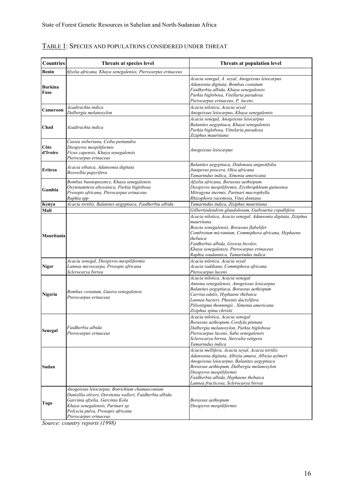| <b>Countries</b>       | Threats at species level                                                                                                                                                                                                                      | Threats at population level                                                                                                                                                                                                                                                                                          |
|------------------------|-----------------------------------------------------------------------------------------------------------------------------------------------------------------------------------------------------------------------------------------------|----------------------------------------------------------------------------------------------------------------------------------------------------------------------------------------------------------------------------------------------------------------------------------------------------------------------|
| <b>Benin</b>           | Afzelia africana, Khaya senegalensis, Pterocarpus erinaceus                                                                                                                                                                                   |                                                                                                                                                                                                                                                                                                                      |
| <b>Burkina</b><br>Faso |                                                                                                                                                                                                                                               | Acacia senegal, A. seyal, Anogeissus leiocarpus<br>Adansonia digitata, Bombax costatum<br>Faidherbia albida, Khaya senegalensis<br>Parkia biglobosa, Vitellaria paradoxa<br>Pterocarpus erinaceus, P. lucens                                                                                                         |
| Cameroon               | Azadirachta indica<br>Dalbergia melanoxylon                                                                                                                                                                                                   | Acacia nilotica, Acacia seyal<br>Anogeissus leiocarpus, Khaya senegalensis                                                                                                                                                                                                                                           |
| Chad                   | Azadirachta indica                                                                                                                                                                                                                            | Acacia senegal, Anogeissus leiocarpus<br>Balanites aegyptiaca, Khaya senegalensis<br>Parkia biglobosa, Vittelaria paradoxa<br>Ziziphus mauritiana                                                                                                                                                                    |
| Côte<br>d'Ivoire       | Cassia sieberiana, Ceiba pentandra<br>Diospyros mespiliformis<br>Ficus capensis, Khaya senegalensis<br>Pterocarpus erinaceus                                                                                                                  | Anogeissus leiocarpus                                                                                                                                                                                                                                                                                                |
| Eritrea                | Acacia etbaica, Adansonia digitata<br>Boswellia papyrifera                                                                                                                                                                                    | Balanites aegyptiaca, Dodonaea angustifolia<br>Juniperus procera, Olea africana<br>Tamarindus indica, Ximenia americana                                                                                                                                                                                              |
| Gambia                 | Bombax buonopozence, Khaya senegalensis<br>Oxytenanttera abyssinica, Parkia biglobosa<br>Prosopis africana, Pterocarpus erinaceus<br>Raphia spp                                                                                               | Afzelia africana, Borassus aethiopum<br>Diospyros mespiliformis, Erythrophleum guineense<br>Mitragyna inermis, Parinari macrophylla<br>Rhizophora racemosa, Vitex doniana                                                                                                                                            |
| Kenya                  | Acacia tortilis, Balanites aegyptiaca, Faidherbia albida                                                                                                                                                                                      | Tamarindus indica, Ziziphus mauritiana                                                                                                                                                                                                                                                                               |
| Mali                   |                                                                                                                                                                                                                                               | Gilbertiodendron glaudolosum, Guibourtia copallifera                                                                                                                                                                                                                                                                 |
| Mauritania             |                                                                                                                                                                                                                                               | Acacia nilotica, Acacia senegal, Adansonia digitata, Ziziphus<br>mauritiana<br>Boscia senegalensis, Borassus flabelifer<br>Combretum micrantum, Commiphora africana, Hyphaene<br>thebaica<br>Faidherbia albida, Grewia bicolor,<br>Khaya senegalensis, Pterocarpus erinaceus<br>Raphia soudannica, Tamarindus indica |
| <b>Niger</b>           | Acacia senegal, Diospyros mespiliformis<br>Lannea microcarpa, Prosopis africana<br>Sclerocarya birrea                                                                                                                                         | Acacia nilotica, Acacia seyal<br>Acacia raddiana, Commiphora africana<br>Pterocarpus lucens                                                                                                                                                                                                                          |
| Nigeria                | Bombax costatum, Guiera senegalensis<br>Pterocarpus erinaceus                                                                                                                                                                                 | Acacia nilotica, Acacia senegal<br>Annona senegalensis, Anogeissus leiocarpus<br>Balanites aegyptiaca, Borassus aethiopum<br>Carrisa edulis, Hyphaene thebaica<br>Lannea bacteri, Phoenix dactylifera<br>Piliostigma thonningii, Ximenia americana<br>Ziziphus spina christii                                        |
| Senegal                | Faidherbia albida<br>Pterocarpus erinaceus                                                                                                                                                                                                    | Acacia nilotica, Acacia senegal<br>Borassus aethiopum, Cordyla pinnata<br>Dalbergia melanoxylon, Parkia biglobosa<br>Pterocarpus lucens, Saba senegalensis<br>Sclerocarya birrea, Sterculia setigera<br>Tamarindus indica                                                                                            |
| Sudan                  |                                                                                                                                                                                                                                               | Acacia mellifera, Acacia seyal, Acacia tortilis<br>Adansonia digitata, Albizia amara, Albizia aylmeri<br>Anogeissus leiocarpus, Balanites aegyptiaca<br>Borassus aethiopum, Dalbergia melanoxylon<br>Diospyros mespiliformis<br>Faidherbia albida, Hyphaene thebaica<br>Lannea fructicosa, Sclerocarya birrea        |
| Togo                   | Anogeissus leiocarpus, Botrichium chamaeconium<br>Daniellia oliveri, Dorstenia walleri, Faidherbia albida<br>Garcinia afzelia, Garcinia Kola<br>Khaya senegalensis, Parinari sp<br>Polyscia pulva, Prosopis africana<br>Pterocarpus erinaceus | Borassus aethiopum<br>Diospyros mespiliformis                                                                                                                                                                                                                                                                        |

## TABLE 1: SPECIES AND POPULATIONS CONSIDERED UNDER THREAT

*Source: country reports (1998)*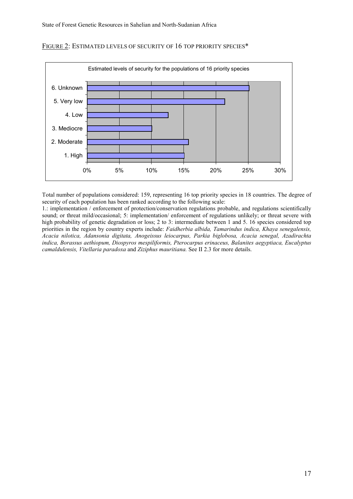

#### FIGURE 2: ESTIMATED LEVELS OF SECURITY OF 16 TOP PRIORITY SPECIES\*

Total number of populations considered: 159, representing 16 top priority species in 18 countries. The degree of security of each population has been ranked according to the following scale:

1.: implementation / enforcement of protection/conservation regulations probable, and regulations scientifically sound; or threat mild/occasional; 5: implementation/ enforcement of regulations unlikely; or threat severe with high probability of genetic degradation or loss; 2 to 3: intermediate between 1 and 5. 16 species considered top priorities in the region by country experts include: *Faidherbia albida, Tamarindus indica, Khaya senegalensis, Acacia nilotica, Adansonia digitata, Anogeissus leiocarpus, Parkia biglobosa, Acacia senegal, Azadirachta indica, Borassus aethiopum, Diospyros mespiliformis, Pterocarpus erinaceus, Balanites aegyptiaca, Eucalyptus camaldulensis, Vitellaria paradoxa* and *Ziziphus mauritiana.* See II 2.3 for more details.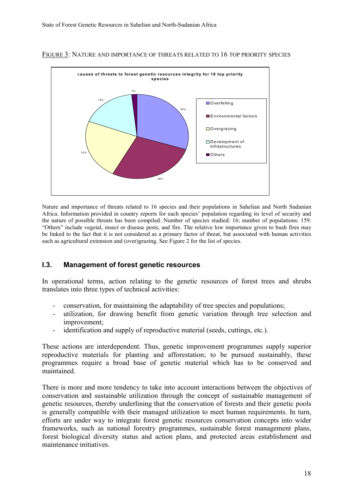

#### FIGURE 3: NATURE AND IMPORTANCE OF THREATS RELATED TO 16 TOP PRIORITY SPECIES

Nature and importance of threats related to 16 species and their populations in Sahelian and North Sudanian Africa. Information provided in country reports for each species' population regarding its level of security and the nature of possible threats has been compiled. Number of species studied: 16; number of populations: 159. "Others" include vegetal, insect or disease pests, and fire. The relative low importance given to bush fires may be linked to the fact that it is not considered as a primary factor of threat, but associated with human activities such as agricultural extension and (over)grazing. See Figure 2 for the list of species.

#### **I.3. Management of forest genetic resources**

In operational terms, action relating to the genetic resources of forest trees and shrubs translates into three types of technical activities:

- conservation, for maintaining the adaptability of tree species and populations;
- utilization, for drawing benefit from genetic variation through tree selection and improvement;
- identification and supply of reproductive material (seeds, cuttings, etc.).

These actions are interdependent. Thus, genetic improvement programmes supply superior reproductive materials for planting and afforestation; to be pursued sustainably, these programmes require a broad base of genetic material which has to be conserved and maintained.

There is more and more tendency to take into account interactions between the objectives of conservation and sustainable utilization through the concept of sustainable management of genetic resources, thereby underlining that the conservation of forests and their genetic pools is generally compatible with their managed utilization to meet human requirements. In turn, efforts are under way to integrate forest genetic resources conservation concepts into wider frameworks, such as national forestry programmes, sustainable forest management plans, forest biological diversity status and action plans, and protected areas establishment and maintenance initiatives.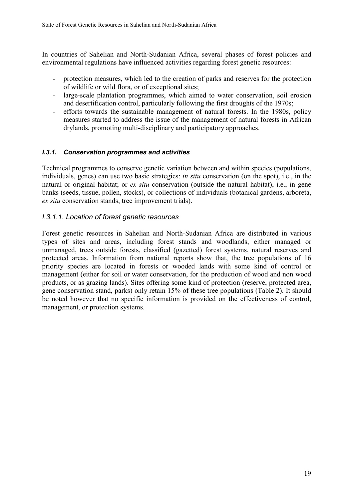In countries of Sahelian and North-Sudanian Africa, several phases of forest policies and environmental regulations have influenced activities regarding forest genetic resources:

- protection measures, which led to the creation of parks and reserves for the protection of wildlife or wild flora, or of exceptional sites;
- large-scale plantation programmes, which aimed to water conservation, soil erosion and desertification control, particularly following the first droughts of the 1970s;
- efforts towards the sustainable management of natural forests. In the 1980s, policy measures started to address the issue of the management of natural forests in African drylands, promoting multi-disciplinary and participatory approaches.

#### *I.3.1. Conservation programmes and activities*

Technical programmes to conserve genetic variation between and within species (populations, individuals, genes) can use two basic strategies: *in situ* conservation (on the spot), i.e., in the natural or original habitat; or *ex situ* conservation (outside the natural habitat), i.e., in gene banks (seeds, tissue, pollen, stocks), or collections of individuals (botanical gardens, arboreta, *ex situ* conservation stands, tree improvement trials).

#### *I.3.1.1. Location of forest genetic resources*

Forest genetic resources in Sahelian and North-Sudanian Africa are distributed in various types of sites and areas, including forest stands and woodlands, either managed or unmanaged, trees outside forests, classified (gazetted) forest systems, natural reserves and protected areas. Information from national reports show that, the tree populations of 16 priority species are located in forests or wooded lands with some kind of control or management (either for soil or water conservation, for the production of wood and non wood products, or as grazing lands). Sites offering some kind of protection (reserve, protected area, gene conservation stand, parks) only retain 15% of these tree populations (Table 2). It should be noted however that no specific information is provided on the effectiveness of control, management, or protection systems.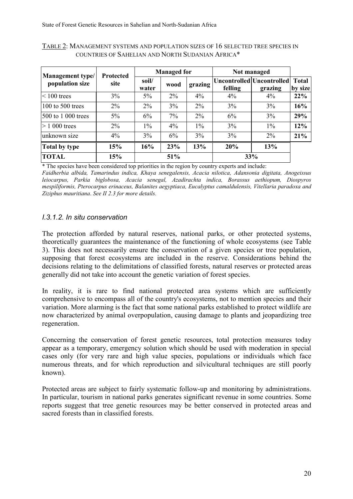| <b>Management</b> type/ | <b>Protected</b> | <b>Managed for</b> |       |         | Not managed |                                      |                         |
|-------------------------|------------------|--------------------|-------|---------|-------------|--------------------------------------|-------------------------|
| population size         | site             | soil/<br>water     | wood  | grazing | felling     | Uncontrolled Uncontrolled<br>grazing | <b>Total</b><br>by size |
| $\approx 100$ trees     | 3%               | $5\%$              | $2\%$ | 4%      | 4%          | 4%                                   | 22%                     |
| 100 to 500 trees        | $2\%$            | $2\%$              | 3%    | $2\%$   | 3%          | 3%                                   | 16%                     |
| 500 to 1 000 trees      | $5\%$            | 6%                 | 7%    | $2\%$   | 6%          | 3%                                   | 29%                     |
| $> 1000$ trees          | 2%               | $1\%$              | 4%    | $1\%$   | 3%          | $1\%$                                | 12%                     |
| unknown size            | $4\%$            | 3%                 | 6%    | 3%      | 3%          | $2\%$                                | 21%                     |
| Total by type           | 15%              | 16%                | 23%   | 13%     | 20%         | 13%                                  |                         |
| <b>TOTAL</b>            | 15%              |                    | 51%   |         |             | 33%                                  |                         |

TABLE 2: MANAGEMENT SYSTEMS AND POPULATION SIZES OF 16 SELECTED TREE SPECIES IN COUNTRIES OF SAHELIAN AND NORTH SUDANIAN AFRICA\*

\* The species have been considered top priorities in the region by country experts and include:

*Faidherbia albida, Tamarindus indica, Khaya senegalensis, Acacia nilotica, Adansonia digitata, Anogeissus leiocarpus, Parkia biglobosa, Acacia senegal, Azadirachta indica, Borassus aethiopum, Diospyros mespiliformis, Pterocarpus erinaceus, Balanites aegyptiaca, Eucalyptus camaldulensis, Vitellaria paradoxa and Ziziphus mauritiana*. *See II 2.3 for more details.*

#### *I.3.1.2. In situ conservation*

The protection afforded by natural reserves, national parks, or other protected systems, theoretically guarantees the maintenance of the functioning of whole ecosystems (see Table 3). This does not necessarily ensure the conservation of a given species or tree population, supposing that forest ecosystems are included in the reserve. Considerations behind the decisions relating to the delimitations of classified forests, natural reserves or protected areas generally did not take into account the genetic variation of forest species.

In reality, it is rare to find national protected area systems which are sufficiently comprehensive to encompass all of the country's ecosystems, not to mention species and their variation. More alarming is the fact that some national parks established to protect wildlife are now characterized by animal overpopulation, causing damage to plants and jeopardizing tree regeneration.

Concerning the conservation of forest genetic resources, total protection measures today appear as a temporary, emergency solution which should be used with moderation in special cases only (for very rare and high value species, populations or individuals which face numerous threats, and for which reproduction and silvicultural techniques are still poorly known).

Protected areas are subject to fairly systematic follow-up and monitoring by administrations. In particular, tourism in national parks generates significant revenue in some countries. Some reports suggest that tree genetic resources may be better conserved in protected areas and sacred forests than in classified forests.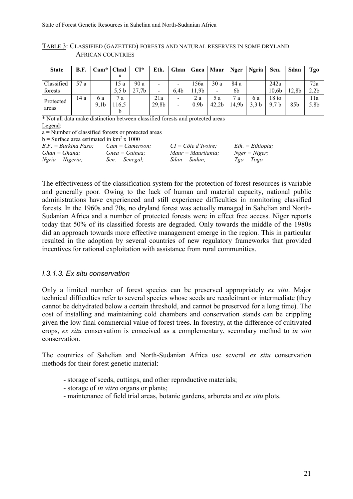|                          | TABLE 3: CLASSIFIED (GAZETTED) FORESTS AND NATURAL RESERVES IN SOME DRYLAND |
|--------------------------|-----------------------------------------------------------------------------|
| <b>AFRICAN COUNTRIES</b> |                                                                             |

| <b>State</b>          | <b>B.F.</b> | $Cam*   Chad$           | $\star$       | $CI^*$                   | Eth.                          | Ghan                          |                         | Gnea   Maur                     | Nger        | <b>Ngria</b>            | Sen.                                | Sdan            | Tgo                     |
|-----------------------|-------------|-------------------------|---------------|--------------------------|-------------------------------|-------------------------------|-------------------------|---------------------------------|-------------|-------------------------|-------------------------------------|-----------------|-------------------------|
| Classified<br>forests | 57 a        |                         | 15 a<br>5,5 b | 90a<br>27.7 <sub>b</sub> | $\overline{\phantom{0}}$<br>- | -<br>6.4 <sub>b</sub>         | 156a<br>1,9b            | 30a<br>$\overline{\phantom{a}}$ | 84 a<br>6b  |                         | 242a<br>10.6b                       | 12,8b           | 72a<br>2.2 <sub>b</sub> |
| Protected<br>areas    | 14 a        | 6 a<br>9.1 <sub>b</sub> | 7a<br>16.5    |                          | 21a<br>29,8b                  | $\overline{\phantom{0}}$<br>- | 2 a<br>0.9 <sub>b</sub> | 5 a<br>42.2 <sub>b</sub>        | 7a<br>14.9b | 6 a<br>3.3 <sub>b</sub> | $18 \text{ to}$<br>9.7 <sub>b</sub> | 85 <sub>b</sub> | 11a<br>5.8b             |

\* Not all data make distinction between classified forests and protected areas Legend:

a = Number of classified forests or protected areas

b = Surface area estimated in  $km^2$  x 1000

| $B.F. = Burkina Faso.$ | $Cam = Cameron$ : | $CI = C\hat{o}te d'Ivoire;$ | $Eth. = Ethiopia;$ |
|------------------------|-------------------|-----------------------------|--------------------|
| $Ghan = Ghana;$        | $G$ nea = Guinea: | $Maur = Mauritania$ ;       | $Nger = Niger;$    |
| $N$ gria = Nigeria;    | $Sen. = Senegal.$ | $Sdan = Sudan$ :            | $Tgo = Togo$       |

The effectiveness of the classification system for the protection of forest resources is variable and generally poor. Owing to the lack of human and material capacity, national public administrations have experienced and still experience difficulties in monitoring classified forests. In the 1960s and 70s, no dryland forest was actually managed in Sahelian and North-Sudanian Africa and a number of protected forests were in effect free access. Niger reports today that 50% of its classified forests are degraded. Only towards the middle of the 1980s did an approach towards more effective management emerge in the region. This in particular resulted in the adoption by several countries of new regulatory frameworks that provided incentives for rational exploitation with assistance from rural communities.

#### *I.3.1.3. Ex situ conservation*

Only a limited number of forest species can be preserved appropriately *ex situ*. Major technical difficulties refer to several species whose seeds are recalcitrant or intermediate (they cannot be dehydrated below a certain threshold, and cannot be preserved for a long time). The cost of installing and maintaining cold chambers and conservation stands can be crippling given the low final commercial value of forest trees. In forestry, at the difference of cultivated crops, *ex situ* conservation is conceived as a complementary, secondary method to *in situ* conservation.

The countries of Sahelian and North-Sudanian Africa use several *ex situ* conservation methods for their forest genetic material:

- storage of seeds, cuttings, and other reproductive materials;
- storage of *in vitro* organs or plants;
- maintenance of field trial areas, botanic gardens, arboreta and *ex situ* plots.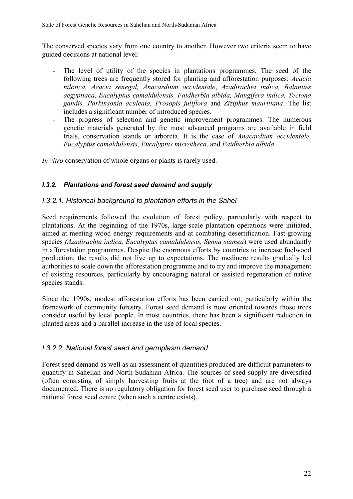The conserved species vary from one country to another. However two criteria seem to have guided decisions at national level:

- The level of utility of the species in plantations programmes. The seed of the following trees are frequently stored for planting and afforestation purposes: *Acacia nilotica, Acacia senegal, Anacardium occidentale*, *Azadirachta indica, Balanites aegyptiaca, Eucalyptus camaldulensis, Faidherbia albida, Mangifera indica, Tectona gandis, Parkinsonia aculeata, Prosopis juliflora* and *Ziziphus mauritiana*. The list includes a significant number of introduced species.
- The progress of selection and genetic improvement programmes. The numerous genetic materials generated by the most advanced programs are available in field trials, conservation stands or arboreta. It is the case of *Anacardium occidentale, Eucalyptus camaldulensis, Eucalyptus microtheca,* and *Faidherbia albida.*

*In vitro* conservation of whole organs or plants is rarely used.

## *I.3.2. Plantations and forest seed demand and supply*

## *I.3.2.1. Historical background to plantation efforts in the Sahel*

Seed requirements followed the evolution of forest policy, particularly with respect to plantations. At the beginning of the 1970s, large-scale plantation operations were initiated, aimed at meeting wood energy requirements and at combating desertification. Fast-growing species *(Azadirachta indica, Eucalyptus camaldulensis, Senna siamea*) were used abundantly in afforestation programmes. Despite the enormous efforts by countries to increase fuelwood production, the results did not live up to expectations. The mediocre results gradually led authorities to scale down the afforestation programme and to try and improve the management of existing resources, particularly by encouraging natural or assisted regeneration of native species stands.

Since the 1990s, modest afforestation efforts has been carried out, particularly within the framework of community forestry. Forest seed demand is now oriented towards those trees consider useful by local people. In most countries, there has been a significant reduction in planted areas and a parallel increase in the use of local species.

## *I.3.2.2. National forest seed and germplasm demand*

Forest seed demand as well as an assessment of quantities produced are difficult parameters to quantify in Sahelian and North-Sudanian Africa. The sources of seed supply are diversified (often consisting of simply harvesting fruits at the foot of a tree) and are not always documented. There is no regulatory obligation for forest seed user to purchase seed through a national forest seed centre (when such a centre exists).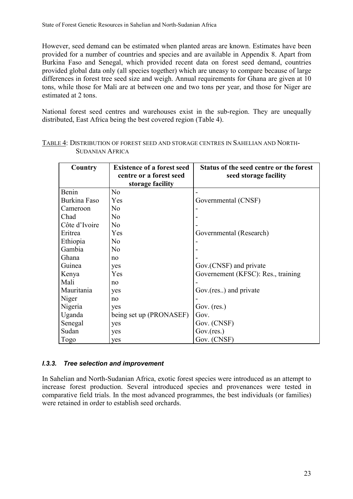However, seed demand can be estimated when planted areas are known. Estimates have been provided for a number of countries and species and are available in Appendix 8. Apart from Burkina Faso and Senegal, which provided recent data on forest seed demand, countries provided global data only (all species together) which are uneasy to compare because of large differences in forest tree seed size and weigh. Annual requirements for Ghana are given at 10 tons, while those for Mali are at between one and two tons per year, and those for Niger are estimated at 2 tons.

National forest seed centres and warehouses exist in the sub-region. They are unequally distributed, East Africa being the best covered region (Table 4).

| Country       | <b>Existence of a forest seed</b><br>centre or a forest seed | Status of the seed centre or the forest |
|---------------|--------------------------------------------------------------|-----------------------------------------|
|               | storage facility                                             | seed storage facility                   |
| Benin         | N <sub>o</sub>                                               |                                         |
| Burkina Faso  | Yes                                                          | Governmental (CNSF)                     |
| Cameroon      | N <sub>0</sub>                                               |                                         |
| Chad          | N <sub>0</sub>                                               |                                         |
| Côte d'Ivoire | N <sub>o</sub>                                               |                                         |
| Eritrea       | Yes                                                          | Governmental (Research)                 |
| Ethiopia      | N <sub>0</sub>                                               |                                         |
| Gambia        | N <sub>0</sub>                                               |                                         |
| Ghana         | no                                                           |                                         |
| Guinea        | yes                                                          | Gov. (CNSF) and private                 |
| Kenya         | Yes                                                          | Governement (KFSC): Res., training      |
| Mali          | no                                                           |                                         |
| Mauritania    | yes                                                          | Gov.(res) and private                   |
| Niger         | no                                                           |                                         |
| Nigeria       | yes                                                          | Gov. $(res.)$                           |
| Uganda        | being set up (PRONASEF)                                      | Gov.                                    |
| Senegal       | yes                                                          | Gov. (CNSF)                             |
| Sudan         | yes                                                          | Gov.(res.)                              |
| Togo          | yes                                                          | Gov. (CNSF)                             |

### TABLE 4: DISTRIBUTION OF FOREST SEED AND STORAGE CENTRES IN SAHELIAN AND NORTH-SUDANIAN AFRICA

#### *I.3.3. Tree selection and improvement*

In Sahelian and North-Sudanian Africa, exotic forest species were introduced as an attempt to increase forest production. Several introduced species and provenances were tested in comparative field trials. In the most advanced programmes, the best individuals (or families) were retained in order to establish seed orchards.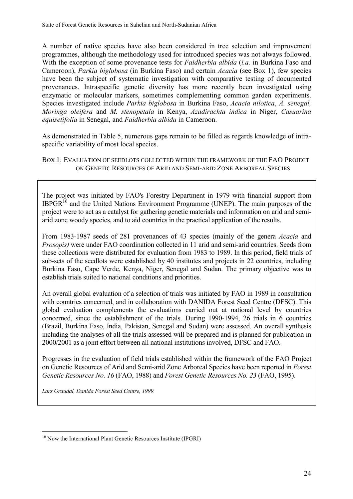State of Forest Genetic Resources in Sahelian and North-Sudanian Africa

A number of native species have also been considered in tree selection and improvement programmes, although the methodology used for introduced species was not always followed. With the exception of some provenance tests for *Faidherbia albida* (*i.a.* in Burkina Faso and Cameroon), *Parkia biglobosa* (in Burkina Faso) and certain *Acacia* (see Box 1), few species have been the subject of systematic investigation with comparative testing of documented provenances. Intraspecific genetic diversity has more recently been investigated using enzymatic or molecular markers, sometimes complementing common garden experiments. Species investigated include *Parkia biglobosa* in Burkina Faso, *Acacia nilotica*, *A. senegal, Moringa oleifera* and *M. stenopetala* in Kenya, *Azadirachta indica* in Niger, *Casuarina equisetifolia* in Senegal, and *Faidherbia albida* in Cameroon.

As demonstrated in Table 5, numerous gaps remain to be filled as regards knowledge of intraspecific variability of most local species.

BOX 1: EVALUATION OF SEEDLOTS COLLECTED WITHIN THE FRAMEWORK OF THE FAO PROJECT ON GENETIC RESOURCES OF ARID AND SEMI-ARID ZONE ARBOREAL SPECIES

The project was initiated by FAO's Forestry Department in 1979 with financial support from IBPGR $<sup>16</sup>$  and the United Nations Environment Programme (UNEP). The main purposes of the</sup> project were to act as a catalyst for gathering genetic materials and information on arid and semiarid zone woody species, and to aid countries in the practical application of the results.

From 1983-1987 seeds of 281 provenances of 43 species (mainly of the genera *Acacia* and *Prosopis)* were under FAO coordination collected in 11 arid and semi-arid countries. Seeds from these collections were distributed for evaluation from 1983 to 1989. In this period, field trials of sub-sets of the seedlots were established by 40 institutes and projects in 22 countries, including Burkina Faso, Cape Verde, Kenya, Niger, Senegal and Sudan. The primary objective was to establish trials suited to national conditions and priorities.

An overall global evaluation of a selection of trials was initiated by FAO in 1989 in consultation with countries concerned, and in collaboration with DANIDA Forest Seed Centre (DFSC). This global evaluation complements the evaluations carried out at national level by countries concerned, since the establishment of the trials. During 1990-1994, 26 trials in 6 countries (Brazil, Burkina Faso, India, Pakistan, Senegal and Sudan) were assessed. An overall synthesis including the analyses of all the trials assessed will be prepared and is planned for publication in 2000/2001 as a joint effort between all national institutions involved, DFSC and FAO.

Progresses in the evaluation of field trials established within the framework of the FAO Project on Genetic Resources of Arid and Semi-arid Zone Arboreal Species have been reported in *Forest Genetic Resources No. 16* (FAO, 1988) and *Forest Genetic Resources No. 23* (FAO, 1995).

*Lars Graudal, Danida Forest Seed Centre, 1999.*

 $\overline{a}$ 

<sup>&</sup>lt;sup>16</sup> Now the International Plant Genetic Resources Institute (IPGRI)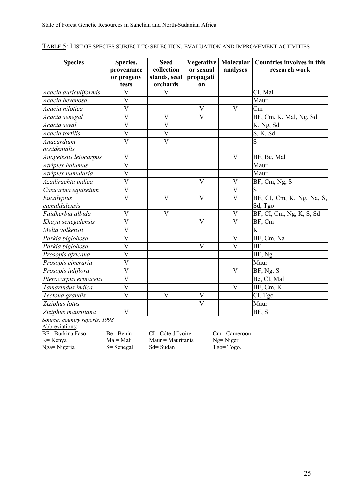| <b>Species</b>        | Species,                  | <b>Seed</b>                | Vegetative              |                         | Molecular   Countries involves in this |
|-----------------------|---------------------------|----------------------------|-------------------------|-------------------------|----------------------------------------|
|                       | provenance<br>or progeny  | collection<br>stands, seed | or sexual<br>propagati  | analyses                | research work                          |
|                       | tests                     | orchards                   | on                      |                         |                                        |
| Acacia auriculiformis | $\mathbf V$               | $\overline{\mathsf{V}}$    |                         |                         | CI, Mal                                |
| Acacia bevenosa       | $\overline{\rm V}$        |                            |                         |                         | Maur                                   |
| Acacia nilotica       | $\overline{\mathsf{V}}$   |                            | $\mathbf{V}$            | $\mathbf{V}$            | Cm                                     |
| Acacia senegal        | $\mathbf V$               | $\mathbf V$                | $\mathbf V$             |                         | BF, Cm, K, Mal, Ng, Sd                 |
| Acacia seyal          | $\overline{V}$            | $\overline{\mathsf{V}}$    |                         |                         | K, Ng, Sd                              |
| Acacia tortilis       | $\ensuremath{\mathbf{V}}$ | $\mathbf V$                |                         |                         | S, K, Sd                               |
| Anacardium            | $\overline{V}$            | $\overline{\mathsf{V}}$    |                         |                         | $\overline{S}$                         |
| occidentalis          |                           |                            |                         |                         |                                        |
| Anogeissus leiocarpus | $\overline{V}$            |                            |                         | $\overline{V}$          | BF, Be, Mal                            |
| Atriplex halumus      | $\overline{\mathsf{V}}$   |                            |                         |                         | Maur                                   |
| Atriplex numularia    | $\overline{\rm V}$        |                            |                         |                         | Maur                                   |
| Azadirachta indica    | $\overline{\mathsf{V}}$   |                            | $\overline{\mathbf{V}}$ | $\overline{\mathbf{V}}$ | BF, Cm, Ng, S                          |
| Casuarina equisetum   | $\ensuremath{\mathbf{V}}$ |                            |                         | V                       | S                                      |
| Eucalyptus            | $\overline{\mathsf{V}}$   | $\overline{V}$             | $\overline{\mathbf{V}}$ | $\overline{\mathbf{V}}$ | BF, CI, Cm, K, Ng, Na, S,              |
| camaldulensis         |                           |                            |                         |                         | Sd, Tgo                                |
| Faidherbia albida     | $\mathbf V$               | $\overline{V}$             |                         | $\mathbf V$             | BF, CI, Cm, Ng, K, S, Sd               |
| Khaya senegalensis    | $\mathbf V$               |                            | $\mathbf{V}$            | $\mathbf{V}$            | BF, Cm                                 |
| Melia volkensii       | $\overline{\rm V}$        |                            |                         |                         | $\overline{\mathrm{K}}$                |
| Parkia biglobosa      | $\overline{\mathsf{V}}$   |                            |                         | $\mathbf V$             | BF, Cm, Na                             |
| Parkia biglobosa      | $\overline{\mathrm{V}}$   |                            | $\overline{\mathbf{V}}$ | $\overline{\mathbf{V}}$ | <b>BF</b>                              |
| Prosopis africana     | $\overline{\overline{V}}$ |                            |                         |                         | BF, Ng                                 |
| Prosopis cineraria    | $\mathbf V$               |                            |                         |                         | Maur                                   |
| Prosopis juliflora    | $\overline{\rm v}$        |                            |                         | $\overline{V}$          | $\overline{BF}$ , Ng, S                |
| Pterocarpus erinaceus | $\overline{\mathsf{V}}$   |                            |                         |                         | Be, CI, Mal                            |
| Tamarindus indica     | $\overline{\overline{V}}$ |                            |                         | V                       | BF, Cm, K                              |
| Tectona grandis       | $\overline{V}$            | $\overline{V}$             | $\overline{\mathbf{V}}$ |                         | CI, Tgo                                |
| Ziziphus lotus        |                           |                            | $\mathbf{V}$            |                         | Maur                                   |
| Ziziphus mauritiana   | $\mathbf V$               |                            |                         |                         | BF, S                                  |

|  |  | TABLE 5: LIST OF SPECIES SUBJECT TO SELECTION, EVALUATION AND IMPROVEMENT ACTIVITIES |  |  |
|--|--|--------------------------------------------------------------------------------------|--|--|
|  |  |                                                                                      |  |  |

*Source: country reports, 1998*

Abbreviations:

 $Nga = Nigeria$ 

BF= Burkina Faso Be= Benin CI= Côte d'Ivoire Cm= Cameroon<br>K= Kenya Mal= Mali Maur = Mauritania Ng= Niger Mal= Mali Maur = Mauritania Ng= Niger<br>S= Senegal Sd= Sudan Tgo= Togo.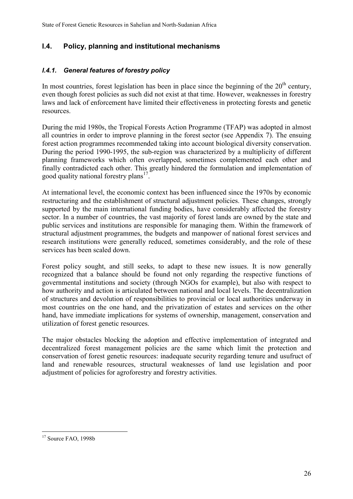## **I.4. Policy, planning and institutional mechanisms**

## *I.4.1. General features of forestry policy*

In most countries, forest legislation has been in place since the beginning of the  $20<sup>th</sup>$  century, even though forest policies as such did not exist at that time. However, weaknesses in forestry laws and lack of enforcement have limited their effectiveness in protecting forests and genetic resources.

During the mid 1980s, the Tropical Forests Action Programme (TFAP) was adopted in almost all countries in order to improve planning in the forest sector (see Appendix 7). The ensuing forest action programmes recommended taking into account biological diversity conservation. During the period 1990-1995, the sub-region was characterized by a multiplicity of different planning frameworks which often overlapped, sometimes complemented each other and finally contradicted each other. This greatly hindered the formulation and implementation of good quality national forestry plans<sup>17</sup>.

At international level, the economic context has been influenced since the 1970s by economic restructuring and the establishment of structural adjustment policies. These changes, strongly supported by the main international funding bodies, have considerably affected the forestry sector. In a number of countries, the vast majority of forest lands are owned by the state and public services and institutions are responsible for managing them. Within the framework of structural adjustment programmes, the budgets and manpower of national forest services and research institutions were generally reduced, sometimes considerably, and the role of these services has been scaled down.

Forest policy sought, and still seeks, to adapt to these new issues. It is now generally recognized that a balance should be found not only regarding the respective functions of governmental institutions and society (through NGOs for example), but also with respect to how authority and action is articulated between national and local levels. The decentralization of structures and devolution of responsibilities to provincial or local authorities underway in most countries on the one hand, and the privatization of estates and services on the other hand, have immediate implications for systems of ownership, management, conservation and utilization of forest genetic resources.

The major obstacles blocking the adoption and effective implementation of integrated and decentralized forest management policies are the same which limit the protection and conservation of forest genetic resources: inadequate security regarding tenure and usufruct of land and renewable resources, structural weaknesses of land use legislation and poor adjustment of policies for agroforestry and forestry activities.

 $\overline{a}$  $17$  Source FAO, 1998b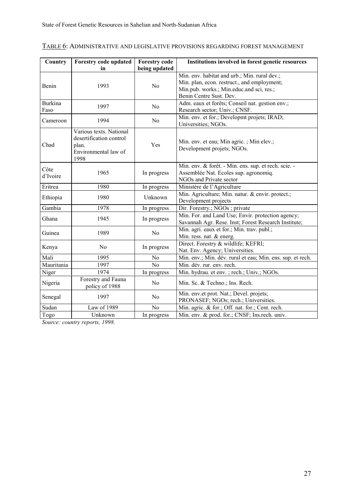## TABLE 6: ADMINISTRATIVE AND LEGISLATIVE PROVISIONS REGARDING FOREST MANAGEMENT

| Country                | Forestry code updated<br>in                                                                 | <b>Forestry code</b><br>being updated | Institutions involved in forest genetic resources                                                                                                                  |
|------------------------|---------------------------------------------------------------------------------------------|---------------------------------------|--------------------------------------------------------------------------------------------------------------------------------------------------------------------|
| Benin                  | 1993                                                                                        | N <sub>0</sub>                        | Min. env. habitat and urb.; Min. rural dev.;<br>Min. plan, econ. restruct., and employment;<br>Min.pub. works.; Min.educ.and sci, res.;<br>Benin Centre Sust. Dev. |
| <b>Burkina</b><br>Faso | 1997                                                                                        | N <sub>0</sub>                        | Adm. eaux et forêts; Conseil nat. gestion env.;<br>Research sector; Univ.; CNSF.                                                                                   |
| Cameroon               | 1994                                                                                        | N <sub>0</sub>                        | Min. env. et for.; Developmt projets; IRAD;<br>Universities; NGOs.                                                                                                 |
| Chad                   | Various texts. National<br>desertification control<br>plan.<br>Environmental law of<br>1998 | Yes                                   | Min. env. et eau; Min agric.; Min elev.;<br>Development projets; NGOs.                                                                                             |
| Côte<br>d'Ivoire       | 1965                                                                                        | In progress                           | Min. env. & forêt. - Min. ens. sup. et rech. scie. -<br>Assemblée Nat. Ecoles sup. agronomiq.<br>NGOs and Private sector                                           |
| Eritrea                | 1980                                                                                        | In progress                           | Ministère de l'Agriculture                                                                                                                                         |
| Ethiopia               | 1980                                                                                        | Unknown                               | Min. Agriculture; Min. natur. & envir. protect.;<br>Development projects                                                                                           |
| Gambia                 | 1978                                                                                        | In progress                           | Dir. Forestry.; NGOs; private                                                                                                                                      |
| Ghana                  | 1945                                                                                        | In progress                           | Min. For. and Land Use; Envir. protection agency;<br>Savannah Agr. Rese. Inst; Forest Research Institute;                                                          |
| Guinea                 | 1989                                                                                        | N <sub>0</sub>                        | Min. agri. eaux et for.; Min. trav. publ.;<br>Min. ress. nat. & energ.                                                                                             |
| Kenya                  | N <sub>0</sub>                                                                              | In progress                           | Direct. Forestry & wildlife; KEFRI;<br>Nat. Env. Agency; Universities.                                                                                             |
| Mali                   | 1995                                                                                        | No                                    | Min. env.; Min. dév. rural et eau; Min. ens. sup. et rech.                                                                                                         |
| Mauritania             | 1997                                                                                        | N <sub>o</sub>                        | Min. dév. rur. env. rech.                                                                                                                                          |
| Niger                  | 1974                                                                                        | In progress                           | Min. hydrau. et env. ; rech.; Univ.; NGOs.                                                                                                                         |
| Nigeria                | Forestry and Fauna<br>policy of 1988                                                        | N <sub>0</sub>                        | Min. Sc. & Techno.; Ins. Rech.                                                                                                                                     |
| Senegal                | 1997                                                                                        | N <sub>0</sub>                        | Min. env.et prot. Nat.; Devel. projets;<br>PRONASEF; NGOs; rech.; Universities.                                                                                    |
| Sudan                  | Law of 1989                                                                                 | N <sub>0</sub>                        | Min. agric. & for.; Off. nat. for.; Cent. rech.                                                                                                                    |
| Togo                   | Unknown                                                                                     | In progress                           | Min. env. & prod. for.; CNSF; Ins.rech. univ.                                                                                                                      |

*Source: country reports, 1998.*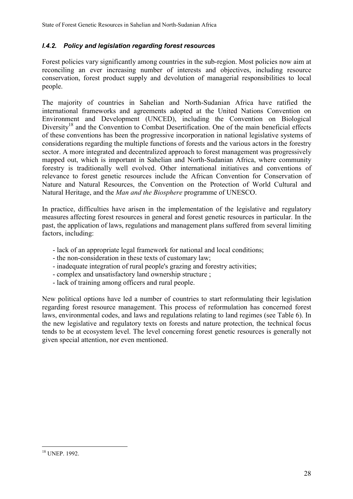## *I.4.2. Policy and legislation regarding forest resources*

Forest policies vary significantly among countries in the sub-region. Most policies now aim at reconciling an ever increasing number of interests and objectives, including resource conservation, forest product supply and devolution of managerial responsibilities to local people.

The majority of countries in Sahelian and North-Sudanian Africa have ratified the international frameworks and agreements adopted at the United Nations Convention on Environment and Development (UNCED), including the Convention on Biological Diversity<sup>18</sup> and the Convention to Combat Desertification. One of the main beneficial effects of these conventions has been the progressive incorporation in national legislative systems of considerations regarding the multiple functions of forests and the various actors in the forestry sector. A more integrated and decentralized approach to forest management was progressively mapped out, which is important in Sahelian and North-Sudanian Africa, where community forestry is traditionally well evolved. Other international initiatives and conventions of relevance to forest genetic resources include the African Convention for Conservation of Nature and Natural Resources, the Convention on the Protection of World Cultural and Natural Heritage, and the *Man and the Biosphere* programme of UNESCO.

In practice, difficulties have arisen in the implementation of the legislative and regulatory measures affecting forest resources in general and forest genetic resources in particular. In the past, the application of laws, regulations and management plans suffered from several limiting factors, including:

- lack of an appropriate legal framework for national and local conditions;
- the non-consideration in these texts of customary law;
- inadequate integration of rural people's grazing and forestry activities;
- complex and unsatisfactory land ownership structure ;
- lack of training among officers and rural people.

New political options have led a number of countries to start reformulating their legislation regarding forest resource management. This process of reformulation has concerned forest laws, environmental codes, and laws and regulations relating to land regimes (see Table 6). In the new legislative and regulatory texts on forests and nature protection, the technical focus tends to be at ecosystem level. The level concerning forest genetic resources is generally not given special attention, nor even mentioned.

 $\overline{a}$ 18 UNEP. 1992.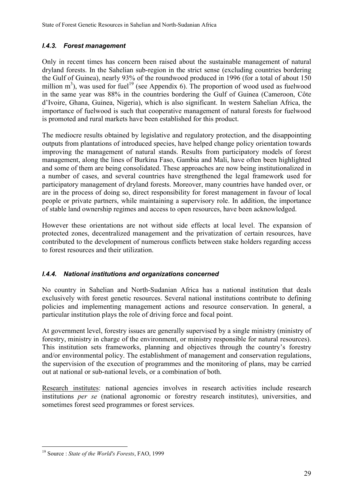# *I.4.3. Forest management*

Only in recent times has concern been raised about the sustainable management of natural dryland forests. In the Sahelian sub-region in the strict sense (excluding countries bordering the Gulf of Guinea), nearly 93% of the roundwood produced in 1996 (for a total of about 150 million  $m^3$ ), was used for fuel<sup>19</sup> (see Appendix 6). The proportion of wood used as fuelwood in the same year was 88% in the countries bordering the Gulf of Guinea (Cameroon, Côte d'Ivoire, Ghana, Guinea, Nigeria), which is also significant. In western Sahelian Africa, the importance of fuelwood is such that cooperative management of natural forests for fuelwood is promoted and rural markets have been established for this product.

The mediocre results obtained by legislative and regulatory protection, and the disappointing outputs from plantations of introduced species, have helped change policy orientation towards improving the management of natural stands. Results from participatory models of forest management, along the lines of Burkina Faso, Gambia and Mali, have often been highlighted and some of them are being consolidated. These approaches are now being institutionalized in a number of cases, and several countries have strengthened the legal framework used for participatory management of dryland forests. Moreover, many countries have handed over, or are in the process of doing so, direct responsibility for forest management in favour of local people or private partners, while maintaining a supervisory role. In addition, the importance of stable land ownership regimes and access to open resources, have been acknowledged.

However these orientations are not without side effects at local level. The expansion of protected zones, decentralized management and the privatization of certain resources, have contributed to the development of numerous conflicts between stake holders regarding access to forest resources and their utilization.

# *I.4.4. National institutions and organizations concerned*

No country in Sahelian and North-Sudanian Africa has a national institution that deals exclusively with forest genetic resources. Several national institutions contribute to defining policies and implementing management actions and resource conservation. In general, a particular institution plays the role of driving force and focal point.

At government level, forestry issues are generally supervised by a single ministry (ministry of forestry, ministry in charge of the environment, or ministry responsible for natural resources). This institution sets frameworks, planning and objectives through the country's forestry and/or environmental policy. The establishment of management and conservation regulations, the supervision of the execution of programmes and the monitoring of plans, may be carried out at national or sub-national levels, or a combination of both.

Research institutes: national agencies involves in research activities include research institutions *per se* (national agronomic or forestry research institutes), universities, and sometimes forest seed programmes or forest services.

 $\overline{a}$ 

<sup>19</sup> Source : *State of the World's Forests*, FAO, 1999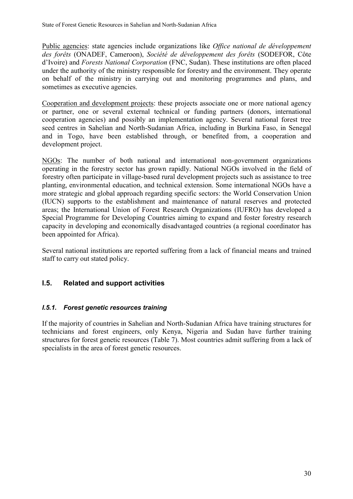Public agencies: state agencies include organizations like *Office national de développement des forêts* (ONADEF, Cameroon), *Société de développement des forêts* (SODEFOR, Côte d'Ivoire) and *Forests National Corporation* (FNC, Sudan). These institutions are often placed under the authority of the ministry responsible for forestry and the environment. They operate on behalf of the ministry in carrying out and monitoring programmes and plans, and sometimes as executive agencies.

Cooperation and development projects: these projects associate one or more national agency or partner, one or several external technical or funding partners (donors, international cooperation agencies) and possibly an implementation agency. Several national forest tree seed centres in Sahelian and North-Sudanian Africa, including in Burkina Faso, in Senegal and in Togo, have been established through, or benefited from, a cooperation and development project.

NGOs: The number of both national and international non-government organizations operating in the forestry sector has grown rapidly. National NGOs involved in the field of forestry often participate in village-based rural development projects such as assistance to tree planting, environmental education, and technical extension. Some international NGOs have a more strategic and global approach regarding specific sectors: the World Conservation Union (IUCN) supports to the establishment and maintenance of natural reserves and protected areas; the International Union of Forest Research Organizations (IUFRO) has developed a Special Programme for Developing Countries aiming to expand and foster forestry research capacity in developing and economically disadvantaged countries (a regional coordinator has been appointed for Africa).

Several national institutions are reported suffering from a lack of financial means and trained staff to carry out stated policy.

# **I.5. Related and support activities**

### *I.5.1. Forest genetic resources training*

If the majority of countries in Sahelian and North-Sudanian Africa have training structures for technicians and forest engineers, only Kenya, Nigeria and Sudan have further training structures for forest genetic resources (Table 7). Most countries admit suffering from a lack of specialists in the area of forest genetic resources.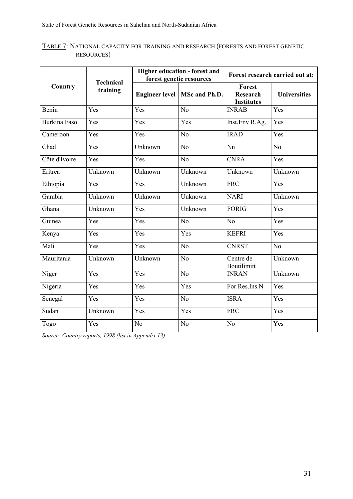### TABLE 7: NATIONAL CAPACITY FOR TRAINING AND RESEARCH (FORESTS AND FOREST GENETIC RESOURCES)

|                     |                              |                       | Higher education - forest and<br>forest genetic resources | Forest research carried out at:                |                     |  |
|---------------------|------------------------------|-----------------------|-----------------------------------------------------------|------------------------------------------------|---------------------|--|
| Country             | <b>Technical</b><br>training | <b>Engineer level</b> | MSc and Ph.D.                                             | Forest<br><b>Research</b><br><b>Institutes</b> | <b>Universities</b> |  |
| Benin               | Yes                          | Yes                   | N <sub>o</sub>                                            | <b>INRAB</b>                                   | Yes                 |  |
| <b>Burkina Faso</b> | Yes                          | Yes                   | Yes                                                       | Inst.Env R.Ag.                                 | Yes                 |  |
| Cameroon            | Yes                          | Yes                   | N <sub>o</sub>                                            | <b>IRAD</b>                                    | Yes                 |  |
| Chad                | Yes                          | Unknown               | No                                                        | Nn                                             | No                  |  |
| Côte d'Ivoire       | Yes                          | Yes                   | N <sub>0</sub>                                            | <b>CNRA</b>                                    | Yes                 |  |
| Eritrea             | Unknown                      | Unknown               | Unknown                                                   | Unknown                                        | Unknown             |  |
| Ethiopia            | Yes                          | Yes                   | Unknown                                                   | <b>FRC</b>                                     | Yes                 |  |
| Gambia              | Unknown                      | Unknown               | Unknown                                                   | <b>NARI</b>                                    | Unknown             |  |
| Ghana               | Unknown                      | Yes                   | Unknown                                                   | <b>FORIG</b>                                   | Yes                 |  |
| Guinea              | Yes                          | Yes                   | N <sub>0</sub>                                            | N <sub>0</sub>                                 | Yes                 |  |
| Kenya               | Yes                          | Yes                   | Yes                                                       | <b>KEFRI</b>                                   | Yes                 |  |
| Mali                | Yes                          | Yes                   | N <sub>o</sub>                                            | <b>CNRST</b>                                   | $\overline{No}$     |  |
| Mauritania          | Unknown                      | Unknown               | N <sub>o</sub>                                            | Centre de<br><b>Boutilimitt</b>                | Unknown             |  |
| Niger               | Yes                          | Yes                   | N <sub>o</sub>                                            | <b>INRAN</b>                                   | Unknown             |  |
| Nigeria             | Yes                          | Yes                   | $\overline{Y}$ es                                         | For.Res.Ins.N                                  | Yes                 |  |
| Senegal             | Yes                          | Yes                   | N <sub>o</sub>                                            | <b>ISRA</b>                                    | $\overline{Yes}$    |  |
| Sudan               | Unknown                      | Yes                   | Yes                                                       | <b>FRC</b>                                     | Yes                 |  |
| Togo                | Yes                          | N <sub>0</sub>        | N <sub>o</sub>                                            | N <sub>0</sub>                                 | Yes                 |  |

*Source: Country reports, 1998 (list in Appendix 13).*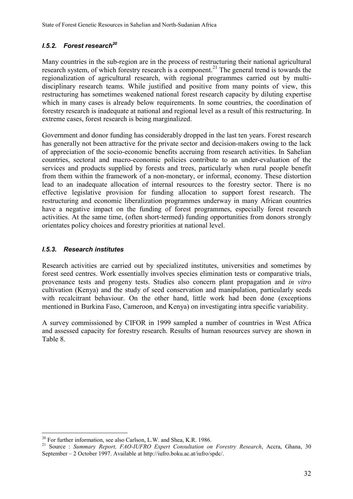# *I.5.2. Forest research<sup>20</sup>*

Many countries in the sub-region are in the process of restructuring their national agricultural research system, of which forestry research is a component.<sup>21</sup> The general trend is towards the regionalization of agricultural research, with regional programmes carried out by multidisciplinary research teams. While justified and positive from many points of view, this restructuring has sometimes weakened national forest research capacity by diluting expertise which in many cases is already below requirements. In some countries, the coordination of forestry research is inadequate at national and regional level as a result of this restructuring. In extreme cases, forest research is being marginalized.

Government and donor funding has considerably dropped in the last ten years. Forest research has generally not been attractive for the private sector and decision-makers owing to the lack of appreciation of the socio-economic benefits accruing from research activities. In Sahelian countries, sectoral and macro-economic policies contribute to an under-evaluation of the services and products supplied by forests and trees, particularly when rural people benefit from them within the framework of a non-monetary, or informal, economy. These distortion lead to an inadequate allocation of internal resources to the forestry sector. There is no effective legislative provision for funding allocation to support forest research. The restructuring and economic liberalization programmes underway in many African countries have a negative impact on the funding of forest programmes, especially forest research activities. At the same time, (often short-termed) funding opportunities from donors strongly orientates policy choices and forestry priorities at national level.

# *I.5.3. Research institutes*

 $\overline{a}$ 

Research activities are carried out by specialized institutes, universities and sometimes by forest seed centres. Work essentially involves species elimination tests or comparative trials, provenance tests and progeny tests. Studies also concern plant propagation and *in vitro* cultivation (Kenya) and the study of seed conservation and manipulation, particularly seeds with recalcitrant behaviour. On the other hand, little work had been done (exceptions mentioned in Burkina Faso, Cameroon, and Kenya) on investigating intra specific variability.

A survey commissioned by CIFOR in 1999 sampled a number of countries in West Africa and assessed capacity for forestry research. Results of human resources survey are shown in Table 8.

 $20$  For further information, see also Carlson, L.W. and Shea, K.R. 1986.

<sup>21</sup> Source : *Summary Report, FAO-IUFRO Expert Consultation on Forestry Research*, Accra, Ghana, 30 September – 2 October 1997. Available at http://iufro.boku.ac.at/iufro/spdc/.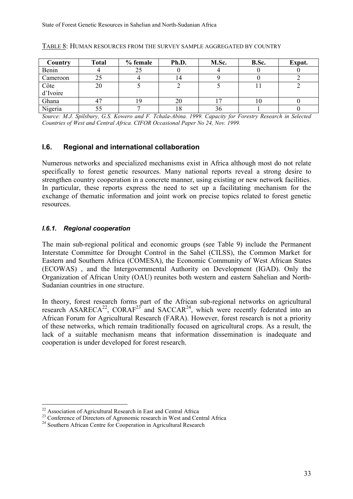| Country          | <b>Total</b> | % female | Ph.D. | M.Sc. | B.Sc. | Expat. |
|------------------|--------------|----------|-------|-------|-------|--------|
| Benin            |              | 25       |       |       |       |        |
| Cameroon         |              |          | 14    |       |       |        |
| Côte<br>d'Ivoire | 20           |          |       |       |       |        |
|                  |              |          |       |       |       |        |
| Ghana            |              |          | 20    |       |       |        |
| Nigeria          |              |          | 10    | 30    |       |        |

#### TABLE 8: HUMAN RESOURCES FROM THE SURVEY SAMPLE AGGREGATED BY COUNTRY

*Source: M.J. Spilsbury, G.S. Kowero and F. Tchala-Abina. 1999. Capacity for Forestry Research in Selected Countries of West and Central Africa. CIFOR Occasional Paper No 24, Nov. 1999.*

### **I.6. Regional and international collaboration**

Numerous networks and specialized mechanisms exist in Africa although most do not relate specifically to forest genetic resources. Many national reports reveal a strong desire to strengthen country cooperation in a concrete manner, using existing or new network facilities. In particular, these reports express the need to set up a facilitating mechanism for the exchange of thematic information and joint work on precise topics related to forest genetic resources.

#### *I.6.1. Regional cooperation*

 $\overline{a}$ 

The main sub-regional political and economic groups (see Table 9) include the Permanent Interstate Committee for Drought Control in the Sahel (CILSS), the Common Market for Eastern and Southern Africa (COMESA), the Economic Community of West African States (ECOWAS) , and the Intergovernmental Authority on Development (IGAD). Only the Organization of African Unity (OAU) reunites both western and eastern Sahelian and North-Sudanian countries in one structure.

In theory, forest research forms part of the African sub-regional networks on agricultural research ASARECA<sup>22</sup>, CORAF<sup>23</sup> and SACCAR<sup>24</sup>, which were recently federated into an African Forum for Agricultural Research (FARA). However, forest research is not a priority of these networks, which remain traditionally focused on agricultural crops. As a result, the lack of a suitable mechanism means that information dissemination is inadequate and cooperation is under developed for forest research.

<sup>&</sup>lt;sup>22</sup> Association of Agricultural Research in East and Central Africa

<sup>&</sup>lt;sup>23</sup> Conference of Directors of Agronomic research in West and Central Africa

<sup>&</sup>lt;sup>24</sup> Southern African Centre for Cooperation in Agricultural Research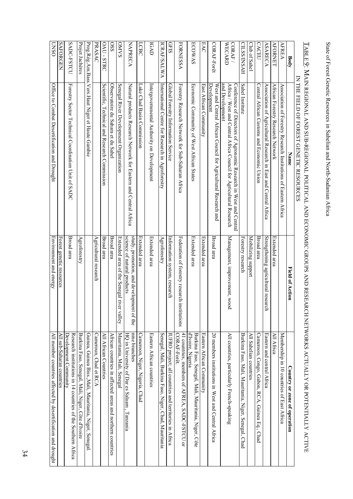State of Forest Genetic Resources in Sahelian and North-Sudanian Africa State of Forest Genetic Resources in Sahelian and North-Sudanian Africa

|                    | IN THE FIELD OF FOREST GENETIC RESOURCES                                                                                                                   |                                                                         |                                                                                       |
|--------------------|------------------------------------------------------------------------------------------------------------------------------------------------------------|-------------------------------------------------------------------------|---------------------------------------------------------------------------------------|
| Body               | Name                                                                                                                                                       | Field of Action                                                         | Country or zone of operation                                                          |
| <b>AFREA</b>       | Association of Forestry Research Institutions of Eastern Africa                                                                                            |                                                                         | Membership in 10 countries of East Africa                                             |
| <b>AFORNET</b>     | African Forestry Research Network                                                                                                                          | Extended area                                                           | All Africa                                                                            |
| <b>ASARECA</b>     | Association of Agricultural Research in East and Central Africa                                                                                            | Strengthening agricultural resea<br>rch                                 | Eastern and central Africa                                                            |
| <b>CACEU</b>       | Central African Customs and Economic Union                                                                                                                 | Broad area                                                              | Cameroon, Congo, Gabon, RCA,<br>Guinea Eq., Chad                                      |
| Club of Sahel      |                                                                                                                                                            | Mobilizing support                                                      | All Sahelian countries                                                                |
| <b>CILSS/INSAH</b> | Sahel Institute                                                                                                                                            | Forestry research                                                       | Burkina Faso, Mali, Mauritania, Niger, Senegal,<br>Chad                               |
| CORAF /<br>WECARD  | and Development<br>Africa / West and Central Africa Council for Agricultural Research<br>Conference of Directors of Agronomic Research in West and Central | Management, improvement, wood                                           | All countries, particularly French-speaking                                           |
| CORAF-Forêt        | West and Central African Council for Agricultural Research and<br><b>Development</b>                                                                       | Broad area                                                              | $20$ members institutions in West and Central Africa                                  |
| <b>EAC</b>         | East African Community                                                                                                                                     | Extended area                                                           | Eastern African Community                                                             |
| <b>ECOWAS</b>      | Economic Community of West African States                                                                                                                  | Extended area                                                           | d'Ivoire, Nigeria<br>Burkina Faso, Senegal, Mali, Mauritania, Niger, Côte             |
| <b>FORNESSA</b>    | Forestry Research Network for Sub-Saharan Africa                                                                                                           | Federation of forestry research<br>nstitutions                          | 41 countries, members of AFREA, SADC-FSTCU or<br>CORAF-Forêt.                         |
| <b>GFIS</b>        | Global Forestry Information Service                                                                                                                        | Information system, research                                            | IUFRO project; all countries and territories in Africa                                |
| ICRAF/SALWA        | International Centre for Research in Agroforestry                                                                                                          | Agroforestry                                                            | Senegal, Mali, Burkina Faso, Niger, Chad, Mauritania                                  |
| IGAD               | Intergovernmental Authority on Development                                                                                                                 | Extended area                                                           | Eastern African countries                                                             |
| LCBC               | Lake Chad Basin Commission                                                                                                                                 | Extended area                                                           | Cameroon, Niger, Nigeria,<br>Chad                                                     |
| <b>NAPRECA</b>     | Natural products Research Network for Eastern and Central Africa                                                                                           | study, promotion, and development of the<br>science of natural products | nine branches<br>HQ in University of Dar es Salaam , Tanzania                         |
| OMVS               | Senegal River Development Organization                                                                                                                     | Extended area of the Senegal riv<br>er valley                           | Mauritania, Mali, Senegal                                                             |
| $0$ SS             | Observatoire du Sahara et du Sahel                                                                                                                         | Broad area                                                              | African countries in affected areas and northem countries                             |
| OAU-STRC           | Scientific, Technical and Research Commission                                                                                                              | Broad area                                                              | All African Countries                                                                 |
| PRASAC             |                                                                                                                                                            | Agricultural research                                                   | Cameroun, Chad et RCA                                                                 |
|                    | Prog.Rég.Am.Bass.Vers.Haut Niger et Haute Gambie                                                                                                           |                                                                         | Guinea, Guinea Biss., Mali, Mauritania, Niger, Senegal                                |
| Projet Jachères    |                                                                                                                                                            | Agroforestry                                                            | Burkina Faso, Senegal, Mali, Niger, Côte d'Ivoire                                     |
| SADC-FSTCU         | Forestry Sector Technical Cootdination Unit of SADC                                                                                                        | Broad area                                                              | Research institutions in 14 countries of the Southern Africa<br>Development Community |
| <b>SAFORGEN</b>    |                                                                                                                                                            | Forest genetic resources                                                | All sub-Saharan countries                                                             |
| <b>OSNO</b>        | Office to Combat Desertification and Drought                                                                                                               | Environment and energy                                                  | All member countries affected by desertification and drought                          |

TABLE 9: MAIN REGIONAL AND SUB-REGIONAL POLITICAL AND ECONOMIC GROUPS AND RESEARCH NETWORKS ACTUALLY OR POTENTIALLY ACTIVE TABLE 9: MAIN REGIONAL AND SUB-REGIONAL POLITICAL AND ECONOMIC GROUPS AND RESEARCH NETWORKS ACTUALLY OR POTENTIALLY ACTIVE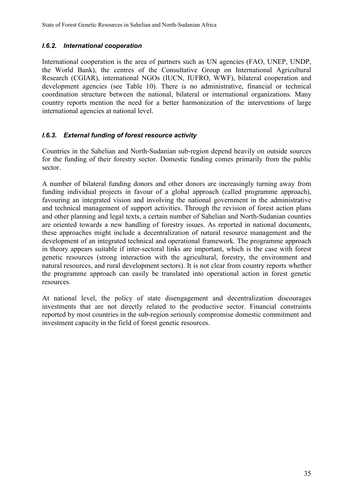# *I.6.2. International cooperation*

International cooperation is the area of partners such as UN agencies (FAO, UNEP, UNDP, the World Bank), the centres of the Consultative Group on International Agricultural Research (CGIAR), international NGOs (IUCN, IUFRO, WWF), bilateral cooperation and development agencies (see Table 10). There is no administrative, financial or technical coordination structure between the national, bilateral or international organizations. Many country reports mention the need for a better harmonization of the interventions of large international agencies at national level.

# *I.6.3. External funding of forest resource activity*

Countries in the Sahelian and North-Sudanian sub-region depend heavily on outside sources for the funding of their forestry sector. Domestic funding comes primarily from the public sector.

A number of bilateral funding donors and other donors are increasingly turning away from funding individual projects in favour of a global approach (called programme approach), favouring an integrated vision and involving the national government in the administrative and technical management of support activities. Through the revision of forest action plans and other planning and legal texts, a certain number of Sahelian and North-Sudanian counties are oriented towards a new handling of forestry issues. As reported in national documents, these approaches might include a decentralization of natural resource management and the development of an integrated technical and operational framework. The programme approach in theory appears suitable if inter-sectoral links are important, which is the case with forest genetic resources (strong interaction with the agricultural, forestry, the environment and natural resources, and rural development sectors). It is not clear from country reports whether the programme approach can easily be translated into operational action in forest genetic resources.

At national level, the policy of state disengagement and decentralization discourages investments that are not directly related to the productive sector. Financial constraints reported by most countries in the sub-region seriously compromise domestic commitment and investment capacity in the field of forest genetic resources.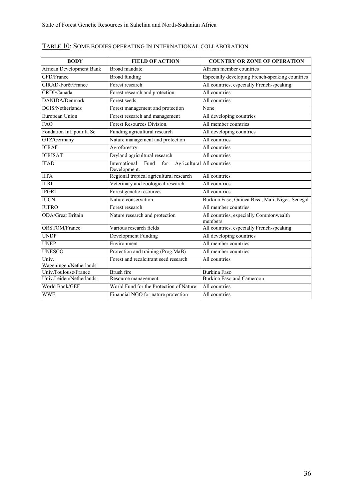| <b>BODY</b>                     | <b>FIELD OF ACTION</b>                       | <b>COUNTRY OR ZONE OF OPERATION</b>               |
|---------------------------------|----------------------------------------------|---------------------------------------------------|
| <b>African Development Bank</b> | Broad mandate                                | African member countries                          |
| CFD/France                      | <b>Broad funding</b>                         | Especially developing French-speaking countries   |
| CIRAD-Forêt/France              | Forest research                              | All countries, especially French-speaking         |
| CRDI/Canada                     | Forest research and protection               | All countries                                     |
| DANIDA/Denmark                  | Forest seeds                                 | All countries                                     |
| DGIS/Netherlands                | Forest management and protection             | None                                              |
| European Union                  | Forest research and management               | All developing countries                          |
| <b>FAO</b>                      | <b>Forest Resources Division.</b>            | All member countries                              |
| Fondation Int. pour la Sc       | Funding agricultural research                | All developing countries                          |
| GTZ/Germany                     | Nature management and protection             | All countries                                     |
| <b>ICRAF</b>                    | Agroforestry                                 | All countries                                     |
| <b>ICRISAT</b>                  | Dryland agricultural research                | All countries                                     |
| <b>IFAD</b>                     | International<br>Fund<br>for<br>Development. | Agricultural All countries                        |
| <b>IITA</b>                     | Regional tropical agricultural research      | All countries                                     |
| <b>ILRI</b>                     | Veterinary and zoological research           | All countries                                     |
| <b>IPGRI</b>                    | Forest genetic resources                     | All countries                                     |
| <b>IUCN</b>                     | Nature conservation                          | Burkina Faso, Guinea Biss., Mali, Niger, Senegal  |
| <b>IUFRO</b>                    | Forest research                              | All member countries                              |
| <b>ODA/Great Britain</b>        | Nature research and protection               | All countries, especially Commonwealth<br>members |
| ORSTOM/France                   | Various research fields                      | All countries, especially French-speaking         |
| <b>UNDP</b>                     | Development Funding                          | All developing countries                          |
| <b>UNEP</b>                     | Environment                                  | All member countries                              |
| <b>UNESCO</b>                   | Protection and training (Prog.MaB)           | All member countries                              |
| Univ.<br>Wageningen/Netherlands | Forest and recalcitrant seed research        | All countries                                     |
| Univ.Toulouse/France            | Brush fire                                   | <b>Burkina Faso</b>                               |
| Univ.Leiden/Netherlands         | Resource management                          | Burkina Faso and Cameroon                         |
| World Bank/GEF                  | World Fund for the Protection of Nature      | All countries                                     |
| <b>WWF</b>                      | Financial NGO for nature protection          | All countries                                     |

# TABLE 10: SOME BODIES OPERATING IN INTERNATIONAL COLLABORATION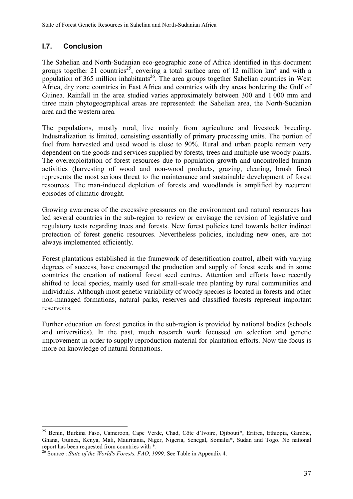# **I.7. Conclusion**

The Sahelian and North-Sudanian eco-geographic zone of Africa identified in this document groups together 21 countries<sup>25</sup>, covering a total surface area of 12 million  $km<sup>2</sup>$  and with a population of 365 million inhabitants<sup>26</sup>. The area groups together Sahelian countries in West Africa, dry zone countries in East Africa and countries with dry areas bordering the Gulf of Guinea. Rainfall in the area studied varies approximately between 300 and 1 000 mm and three main phytogeographical areas are represented: the Sahelian area, the North-Sudanian area and the western area.

The populations, mostly rural, live mainly from agriculture and livestock breeding. Industralization is limited, consisting essentially of primary processing units. The portion of fuel from harvested and used wood is close to 90%. Rural and urban people remain very dependent on the goods and services supplied by forests, trees and multiple use woody plants. The overexploitation of forest resources due to population growth and uncontrolled human activities (harvesting of wood and non-wood products, grazing, clearing, brush fires) represents the most serious threat to the maintenance and sustainable development of forest resources. The man-induced depletion of forests and woodlands is amplified by recurrent episodes of climatic drought.

Growing awareness of the excessive pressures on the environment and natural resources has led several countries in the sub-region to review or envisage the revision of legislative and regulatory texts regarding trees and forests. New forest policies tend towards better indirect protection of forest genetic resources. Nevertheless policies, including new ones, are not always implemented efficiently.

Forest plantations established in the framework of desertification control, albeit with varying degrees of success, have encouraged the production and supply of forest seeds and in some countries the creation of national forest seed centres. Attention and efforts have recently shifted to local species, mainly used for small-scale tree planting by rural communities and individuals. Although most genetic variability of woody species is located in forests and other non-managed formations, natural parks, reserves and classified forests represent important reservoirs.

Further education on forest genetics in the sub-region is provided by national bodies (schools and universities). In the past, much research work focussed on selection and genetic improvement in order to supply reproduction material for plantation efforts. Now the focus is more on knowledge of natural formations.

 $\overline{a}$ 

<sup>&</sup>lt;sup>25</sup> Benin, Burkina Faso, Cameroon, Cape Verde, Chad, Côte d'Ivoire, Djibouti\*, Eritrea, Ethiopia, Gambie, Ghana, Guinea, Kenya, Mali, Mauritania, Niger, Nigeria, Senegal, Somalia\*, Sudan and Togo. No national report has been requested from countries with \*.

<sup>&</sup>lt;sup>26</sup> Source : *State of the World's Forests. FAO, 1999*. See Table in Appendix 4.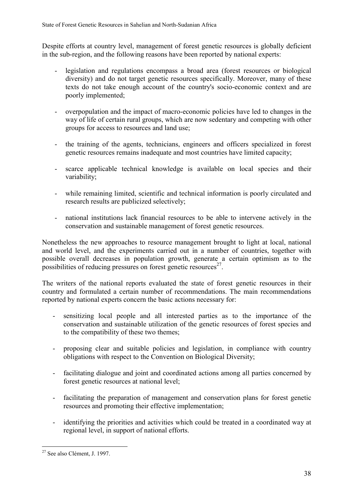Despite efforts at country level, management of forest genetic resources is globally deficient in the sub-region, and the following reasons have been reported by national experts:

- legislation and regulations encompass a broad area (forest resources or biological diversity) and do not target genetic resources specifically. Moreover, many of these texts do not take enough account of the country's socio-economic context and are poorly implemented;
- overpopulation and the impact of macro-economic policies have led to changes in the way of life of certain rural groups, which are now sedentary and competing with other groups for access to resources and land use;
- the training of the agents, technicians, engineers and officers specialized in forest genetic resources remains inadequate and most countries have limited capacity;
- scarce applicable technical knowledge is available on local species and their variability;
- while remaining limited, scientific and technical information is poorly circulated and research results are publicized selectively;
- national institutions lack financial resources to be able to intervene actively in the conservation and sustainable management of forest genetic resources.

Nonetheless the new approaches to resource management brought to light at local, national and world level, and the experiments carried out in a number of countries, together with possible overall decreases in population growth, generate a certain optimism as to the possibilities of reducing pressures on forest genetic resources $27$ .

The writers of the national reports evaluated the state of forest genetic resources in their country and formulated a certain number of recommendations. The main recommendations reported by national experts concern the basic actions necessary for:

- sensitizing local people and all interested parties as to the importance of the conservation and sustainable utilization of the genetic resources of forest species and to the compatibility of these two themes;
- proposing clear and suitable policies and legislation, in compliance with country obligations with respect to the Convention on Biological Diversity;
- facilitating dialogue and joint and coordinated actions among all parties concerned by forest genetic resources at national level;
- facilitating the preparation of management and conservation plans for forest genetic resources and promoting their effective implementation;
- identifying the priorities and activities which could be treated in a coordinated way at regional level, in support of national efforts.

 $\overline{a}$ <sup>27</sup> See also Clément, J. 1997.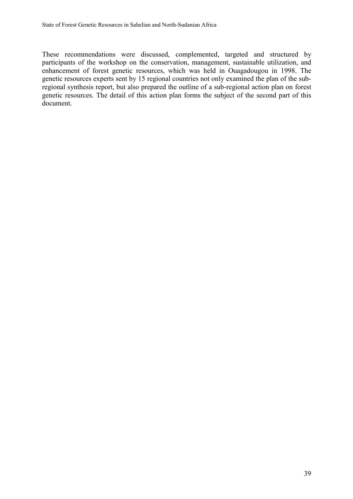These recommendations were discussed, complemented, targeted and structured by participants of the workshop on the conservation, management, sustainable utilization, and enhancement of forest genetic resources, which was held in Ouagadougou in 1998. The genetic resources experts sent by 15 regional countries not only examined the plan of the subregional synthesis report, but also prepared the outline of a sub-regional action plan on forest genetic resources. The detail of this action plan forms the subject of the second part of this document.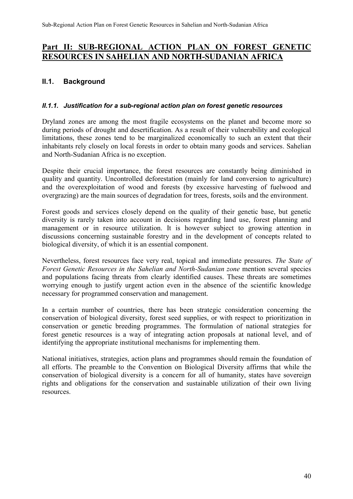# **Part II: SUB-REGIONAL ACTION PLAN ON FOREST GENETIC RESOURCES IN SAHELIAN AND NORTH-SUDANIAN AFRICA**

# **II.1. Background**

#### *II.1.1. Justification for a sub-regional action plan on forest genetic resources*

Dryland zones are among the most fragile ecosystems on the planet and become more so during periods of drought and desertification. As a result of their vulnerability and ecological limitations, these zones tend to be marginalized economically to such an extent that their inhabitants rely closely on local forests in order to obtain many goods and services. Sahelian and North-Sudanian Africa is no exception.

Despite their crucial importance, the forest resources are constantly being diminished in quality and quantity. Uncontrolled deforestation (mainly for land conversion to agriculture) and the overexploitation of wood and forests (by excessive harvesting of fuelwood and overgrazing) are the main sources of degradation for trees, forests, soils and the environment.

Forest goods and services closely depend on the quality of their genetic base, but genetic diversity is rarely taken into account in decisions regarding land use, forest planning and management or in resource utilization. It is however subject to growing attention in discussions concerning sustainable forestry and in the development of concepts related to biological diversity, of which it is an essential component.

Nevertheless, forest resources face very real, topical and immediate pressures. *The State of Forest Genetic Resources in the Sahelian and North-Sudanian zone* mention several species and populations facing threats from clearly identified causes. These threats are sometimes worrying enough to justify urgent action even in the absence of the scientific knowledge necessary for programmed conservation and management.

In a certain number of countries, there has been strategic consideration concerning the conservation of biological diversity, forest seed supplies, or with respect to prioritization in conservation or genetic breeding programmes. The formulation of national strategies for forest genetic resources is a way of integrating action proposals at national level, and of identifying the appropriate institutional mechanisms for implementing them.

National initiatives, strategies, action plans and programmes should remain the foundation of all efforts. The preamble to the Convention on Biological Diversity affirms that while the conservation of biological diversity is a concern for all of humanity, states have sovereign rights and obligations for the conservation and sustainable utilization of their own living resources.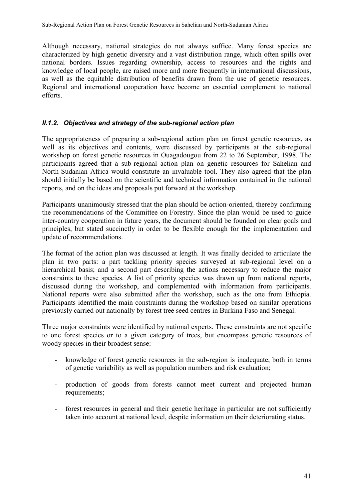Although necessary, national strategies do not always suffice. Many forest species are characterized by high genetic diversity and a vast distribution range, which often spills over national borders. Issues regarding ownership, access to resources and the rights and knowledge of local people, are raised more and more frequently in international discussions, as well as the equitable distribution of benefits drawn from the use of genetic resources. Regional and international cooperation have become an essential complement to national efforts.

# *II.1.2. Objectives and strategy of the sub-regional action plan*

The appropriateness of preparing a sub-regional action plan on forest genetic resources, as well as its objectives and contents, were discussed by participants at the sub-regional workshop on forest genetic resources in Ouagadougou from 22 to 26 September, 1998. The participants agreed that a sub-regional action plan on genetic resources for Sahelian and North-Sudanian Africa would constitute an invaluable tool. They also agreed that the plan should initially be based on the scientific and technical information contained in the national reports, and on the ideas and proposals put forward at the workshop.

Participants unanimously stressed that the plan should be action-oriented, thereby confirming the recommendations of the Committee on Forestry. Since the plan would be used to guide inter-country cooperation in future years, the document should be founded on clear goals and principles, but stated succinctly in order to be flexible enough for the implementation and update of recommendations.

The format of the action plan was discussed at length. It was finally decided to articulate the plan in two parts: a part tackling priority species surveyed at sub-regional level on a hierarchical basis; and a second part describing the actions necessary to reduce the major constraints to these species. A list of priority species was drawn up from national reports, discussed during the workshop, and complemented with information from participants. National reports were also submitted after the workshop, such as the one from Ethiopia. Participants identified the main constraints during the workshop based on similar operations previously carried out nationally by forest tree seed centres in Burkina Faso and Senegal.

Three major constraints were identified by national experts. These constraints are not specific to one forest species or to a given category of trees, but encompass genetic resources of woody species in their broadest sense:

- knowledge of forest genetic resources in the sub-region is inadequate, both in terms of genetic variability as well as population numbers and risk evaluation;
- production of goods from forests cannot meet current and projected human requirements:
- forest resources in general and their genetic heritage in particular are not sufficiently taken into account at national level, despite information on their deteriorating status.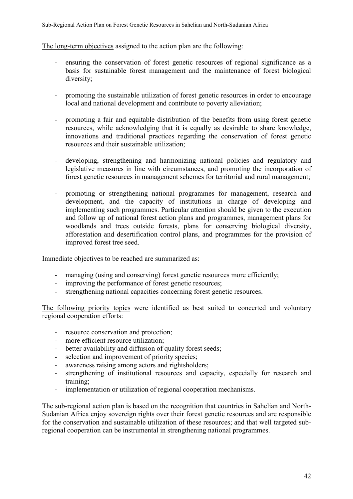The long-term objectives assigned to the action plan are the following:

- ensuring the conservation of forest genetic resources of regional significance as a basis for sustainable forest management and the maintenance of forest biological diversity;
- promoting the sustainable utilization of forest genetic resources in order to encourage local and national development and contribute to poverty alleviation;
- promoting a fair and equitable distribution of the benefits from using forest genetic resources, while acknowledging that it is equally as desirable to share knowledge, innovations and traditional practices regarding the conservation of forest genetic resources and their sustainable utilization;
- developing, strengthening and harmonizing national policies and regulatory and legislative measures in line with circumstances, and promoting the incorporation of forest genetic resources in management schemes for territorial and rural management;
- promoting or strengthening national programmes for management, research and development, and the capacity of institutions in charge of developing and implementing such programmes. Particular attention should be given to the execution and follow up of national forest action plans and programmes, management plans for woodlands and trees outside forests, plans for conserving biological diversity, afforestation and desertification control plans, and programmes for the provision of improved forest tree seed.

Immediate objectives to be reached are summarized as:

- managing (using and conserving) forest genetic resources more efficiently;
- improving the performance of forest genetic resources;
- strengthening national capacities concerning forest genetic resources.

The following priority topics were identified as best suited to concerted and voluntary regional cooperation efforts:

- resource conservation and protection;
- more efficient resource utilization;
- better availability and diffusion of quality forest seeds;
- selection and improvement of priority species;
- awareness raising among actors and rightsholders;
- strengthening of institutional resources and capacity, especially for research and training;
- implementation or utilization of regional cooperation mechanisms.

The sub-regional action plan is based on the recognition that countries in Sahelian and North-Sudanian Africa enjoy sovereign rights over their forest genetic resources and are responsible for the conservation and sustainable utilization of these resources; and that well targeted subregional cooperation can be instrumental in strengthening national programmes.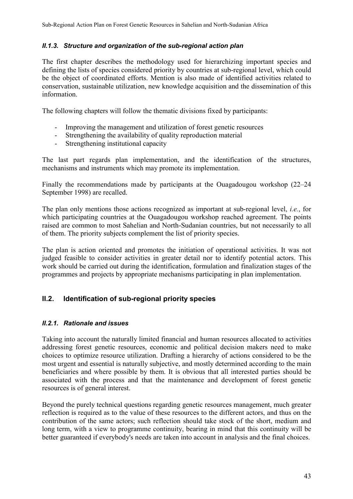### *II.1.3. Structure and organization of the sub-regional action plan*

The first chapter describes the methodology used for hierarchizing important species and defining the lists of species considered priority by countries at sub-regional level, which could be the object of coordinated efforts. Mention is also made of identified activities related to conservation, sustainable utilization, new knowledge acquisition and the dissemination of this information.

The following chapters will follow the thematic divisions fixed by participants:

- Improving the management and utilization of forest genetic resources
- Strengthening the availability of quality reproduction material
- Strengthening institutional capacity

The last part regards plan implementation, and the identification of the structures, mechanisms and instruments which may promote its implementation.

Finally the recommendations made by participants at the Ouagadougou workshop (22–24 September 1998) are recalled.

The plan only mentions those actions recognized as important at sub-regional level, *i.e.*, for which participating countries at the Ouagadougou workshop reached agreement. The points raised are common to most Sahelian and North-Sudanian countries, but not necessarily to all of them. The priority subjects complement the list of priority species.

The plan is action oriented and promotes the initiation of operational activities. It was not judged feasible to consider activities in greater detail nor to identify potential actors. This work should be carried out during the identification, formulation and finalization stages of the programmes and projects by appropriate mechanisms participating in plan implementation.

# **II.2. Identification of sub-regional priority species**

### *II.2.1. Rationale and issues*

Taking into account the naturally limited financial and human resources allocated to activities addressing forest genetic resources, economic and political decision makers need to make choices to optimize resource utilization. Drafting a hierarchy of actions considered to be the most urgent and essential is naturally subjective, and mostly determined according to the main beneficiaries and where possible by them. It is obvious that all interested parties should be associated with the process and that the maintenance and development of forest genetic resources is of general interest.

Beyond the purely technical questions regarding genetic resources management, much greater reflection is required as to the value of these resources to the different actors, and thus on the contribution of the same actors; such reflection should take stock of the short, medium and long term, with a view to programme continuity, bearing in mind that this continuity will be better guaranteed if everybody's needs are taken into account in analysis and the final choices.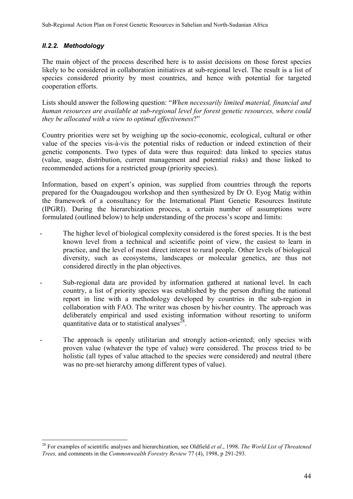# *II.2.2. Methodology*

 $\overline{a}$ 

The main object of the process described here is to assist decisions on those forest species likely to be considered in collaboration initiatives at sub-regional level. The result is a list of species considered priority by most countries, and hence with potential for targeted cooperation efforts.

Lists should answer the following question: "*When necessarily limited material, financial and human resources are available at sub-regional level for forest genetic resources, where could they be allocated with a view to optimal effectiveness*?"

Country priorities were set by weighing up the socio-economic, ecological, cultural or other value of the species vis-à-vis the potential risks of reduction or indeed extinction of their genetic components. Two types of data were thus required: data linked to species status (value, usage, distribution, current management and potential risks) and those linked to recommended actions for a restricted group (priority species).

Information, based on expert's opinion, was supplied from countries through the reports prepared for the Ouagadougou workshop and then synthesized by Dr O. Eyog Matig within the framework of a consultancy for the International Plant Genetic Resources Institute (IPGRI). During the hierarchization process, a certain number of assumptions were formulated (outlined below) to help understanding of the process's scope and limits:

- The higher level of biological complexity considered is the forest species. It is the best known level from a technical and scientific point of view, the easiest to learn in practice, and the level of most direct interest to rural people. Other levels of biological diversity, such as ecosystems, landscapes or molecular genetics, are thus not considered directly in the plan objectives.
- Sub-regional data are provided by information gathered at national level. In each country, a list of priority species was established by the person drafting the national report in line with a methodology developed by countries in the sub-region in collaboration with FAO. The writer was chosen by his/her country. The approach was deliberately empirical and used existing information without resorting to uniform quantitative data or to statistical analyses $^{28}$ .
- The approach is openly utilitarian and strongly action-oriented; only species with proven value (whatever the type of value) were considered. The process tried to be holistic (all types of value attached to the species were considered) and neutral (there was no pre-set hierarchy among different types of value).

<sup>28</sup> For examples of scientific analyses and hierarchization, see Oldfield *et al*., 1998. *The World List of Threatened Trees,* and comments in the *Commonwealth Forestry Review* 77 (4), 1998, p 291-293.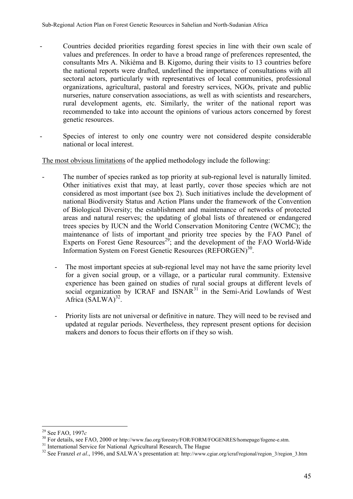- Countries decided priorities regarding forest species in line with their own scale of values and preferences. In order to have a broad range of preferences represented, the consultants Mrs A. Nikiéma and B. Kigomo, during their visits to 13 countries before the national reports were drafted, underlined the importance of consultations with all sectoral actors, particularly with representatives of local communities, professional organizations, agricultural, pastoral and forestry services, NGOs, private and public nurseries, nature conservation associations, as well as with scientists and researchers, rural development agents, etc. Similarly, the writer of the national report was recommended to take into account the opinions of various actors concerned by forest genetic resources.
- Species of interest to only one country were not considered despite considerable national or local interest.

The most obvious limitations of the applied methodology include the following:

- The number of species ranked as top priority at sub-regional level is naturally limited. Other initiatives exist that may, at least partly, cover those species which are not considered as most important (see box 2). Such initiatives include the development of national Biodiversity Status and Action Plans under the framework of the Convention of Biological Diversity; the establishment and maintenance of networks of protected areas and natural reserves; the updating of global lists of threatened or endangered trees species by IUCN and the World Conservation Monitoring Centre (WCMC); the maintenance of lists of important and priority tree species by the FAO Panel of Experts on Forest Gene  $Resources<sup>29</sup>$ ; and the development of the FAO World-Wide Information System on Forest Genetic Resources (REFORGEN)<sup>30</sup>.
	- The most important species at sub-regional level may not have the same priority level for a given social group, or a village, or a particular rural community. Extensive experience has been gained on studies of rural social groups at different levels of social organization by ICRAF and  $ISNAR<sup>31</sup>$  in the Semi-Arid Lowlands of West Africa  $(SALWA)^{32}$ .
	- Priority lists are not universal or definitive in nature. They will need to be revised and updated at regular periods. Nevertheless, they represent present options for decision makers and donors to focus their efforts on if they so wish.

 $29$  See FAO, 1997 $c$ 

<sup>&</sup>lt;sup>30</sup> For details, see FAO, 2000 or http://www.fao.org/forestry/FOR/FORM/FOGENRES/homepage/fogene-e.stm.<br><sup>31</sup> International Service for National Agricultural Research, The Hague

<sup>&</sup>lt;sup>32</sup> See Franzel et al., 1996, and SALWA's presentation at: http://www.cgiar.org/icraf/regional/region\_3/region\_3.htm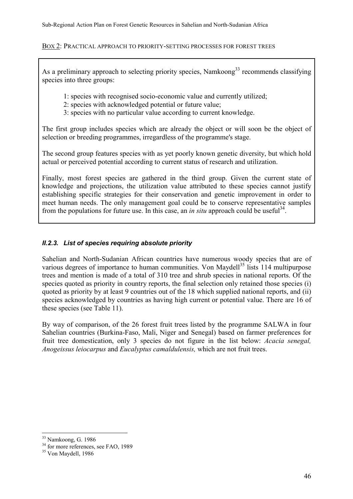#### BOX 2: PRACTICAL APPROACH TO PRIORITY-SETTING PROCESSES FOR FOREST TREES

As a preliminary approach to selecting priority species, Namkoong<sup>33</sup> recommends classifying species into three groups:

1: species with recognised socio-economic value and currently utilized;

- 2: species with acknowledged potential or future value;
- 3: species with no particular value according to current knowledge.

The first group includes species which are already the object or will soon be the object of selection or breeding programmes, irregardless of the programme's stage.

The second group features species with as yet poorly known genetic diversity, but which hold actual or perceived potential according to current status of research and utilization.

Finally, most forest species are gathered in the third group. Given the current state of knowledge and projections, the utilization value attributed to these species cannot justify establishing specific strategies for their conservation and genetic improvement in order to meet human needs. The only management goal could be to conserve representative samples from the populations for future use. In this case, an *in situ* approach could be useful<sup>34</sup>.

# *II.2.3. List of species requiring absolute priority*

Sahelian and North-Sudanian African countries have numerous woody species that are of various degrees of importance to human communities. Von Maydell<sup>35</sup> lists 114 multipurpose trees and mention is made of a total of 310 tree and shrub species in national reports. Of the species quoted as priority in country reports, the final selection only retained those species (i) quoted as priority by at least 9 countries out of the 18 which supplied national reports, and (ii) species acknowledged by countries as having high current or potential value. There are 16 of these species (see Table 11).

By way of comparison, of the 26 forest fruit trees listed by the programme SALWA in four Sahelian countries (Burkina-Faso, Mali, Niger and Senegal) based on farmer preferences for fruit tree domestication, only 3 species do not figure in the list below: *Acacia senegal, Anogeissus leiocarpus* and *Eucalyptus camaldulensis,* which are not fruit trees.

 $\overline{a}$ 

<sup>&</sup>lt;sup>33</sup> Namkoong, G. 1986

<sup>&</sup>lt;sup>34</sup> for more references, see FAO, 1989

<sup>&</sup>lt;sup>35</sup> Von Maydell, 1986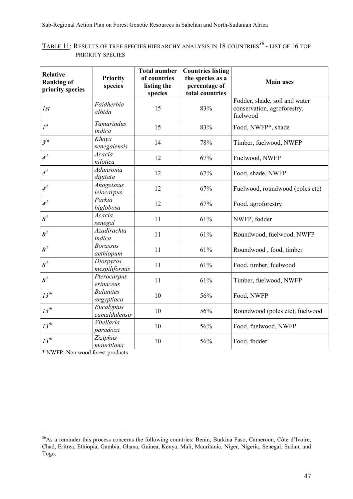| <b>Relative</b><br><b>Ranking of</b><br>priority species | <b>Priority</b><br>species     | <b>Total number</b><br>of countries<br>listing the<br>species | <b>Countries listing</b><br>the species as a<br>percentage of<br>total countries | <b>Main uses</b>                                                         |
|----------------------------------------------------------|--------------------------------|---------------------------------------------------------------|----------------------------------------------------------------------------------|--------------------------------------------------------------------------|
| I <sub>st</sub>                                          | Faidherbia<br>albida           | 15                                                            | 83%                                                                              | Fodder, shade, soil and water<br>conservation, agroforestry,<br>fuelwood |
| $I^{st}$                                                 | Tamarindus<br>indica           | 15                                                            | 83%                                                                              | Food, NWFP*, shade                                                       |
| $3^{rd}$                                                 | Khaya<br>senegalensis          | 14                                                            | 78%                                                                              | Timber, fuelwood, NWFP                                                   |
| $4^{th}$                                                 | Acacia<br>nilotica             | 12                                                            | 67%                                                                              | Fuelwood, NWFP                                                           |
| $4^{th}$                                                 | Adansonia<br>digitata          | 12                                                            | 67%                                                                              | Food, shade, NWFP                                                        |
| $4^{th}$                                                 | Anogeissus<br>leiocarpus       | 12                                                            | 67%                                                                              | Fuelwood, roundwood (poles etc)                                          |
| $4^{th}$                                                 | Parkia<br>biglobosa            | 12                                                            | 67%                                                                              | Food, agroforestry                                                       |
| $8^{th}$                                                 | Acacia<br>senegal              | 11                                                            | 61%                                                                              | NWFP, fodder                                                             |
| $8^{th}$                                                 | <b>Azadirachta</b><br>indica   | 11                                                            | 61%                                                                              | Roundwood, fuelwood, NWFP                                                |
| $8^{th}$                                                 | <b>Borassus</b><br>aethiopum   | 11                                                            | 61%                                                                              | Roundwood, food, timber                                                  |
| $8^{th}$                                                 | Diospyros<br>mespiliformis     | 11                                                            | 61%                                                                              | Food, timber, fuelwood                                                   |
| $8^{th}$                                                 | Pterocarpus<br>erinaceus       | 11                                                            | 61%                                                                              | Timber, fuelwood, NWFP                                                   |
| $13^{th}$                                                | <b>Balanites</b><br>aegyptiaca | 10                                                            | 56%                                                                              | Food, NWFP                                                               |
| $13^{th}$                                                | Eucalyptus<br>camaldulensis    | 10                                                            | 56%                                                                              | Roundwood (poles etc), fuelwood                                          |
| $13^{th}$                                                | Vitellaria<br>paradoxa         | 10                                                            | 56%                                                                              | Food, fuelwood, NWFP                                                     |
| $13^{th}$                                                | Ziziphus<br>mauritiana         | 10                                                            | 56%                                                                              | Food, fodder                                                             |

TABLE 11: RESULTS OF TREE SPECIES HIERARCHY ANALYSIS IN 18 COUNTRIES*<sup>36</sup>* - LIST OF 16 TOP PRIORITY SPECIES

\* NWFP: Non wood forest products

 $\overline{a}$ 

<sup>&</sup>lt;sup>36</sup>As a reminder this process concerns the following countries: Benin, Burkina Faso, Cameroon, Côte d'Ivoire, Chad, Eritrea, Ethiopia, Gambia, Ghana, Guinea, Kenya, Mali, Mauritania, Niger, Nigeria, Senegal, Sudan, and Togo.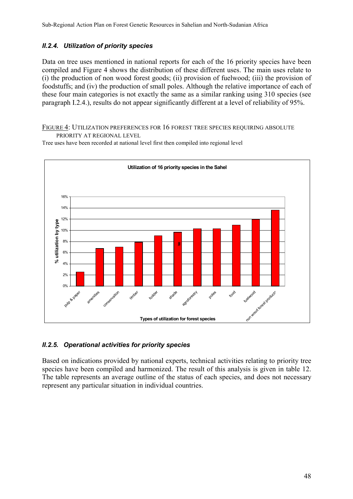# *II.2.4. Utilization of priority species*

Data on tree uses mentioned in national reports for each of the 16 priority species have been compiled and Figure 4 shows the distribution of these different uses. The main uses relate to (i) the production of non wood forest goods; (ii) provision of fuelwood; (iii) the provision of foodstuffs; and (iv) the production of small poles. Although the relative importance of each of these four main categories is not exactly the same as a similar ranking using 310 species (see paragraph I.2.4.), results do not appear significantly different at a level of reliability of 95%.

FIGURE 4: UTILIZATION PREFERENCES FOR 16 FOREST TREE SPECIES REQUIRING ABSOLUTE PRIORITY AT REGIONAL LEVEL

Tree uses have been recorded at national level first then compiled into regional level



### *II.2.5. Operational activities for priority species*

Based on indications provided by national experts, technical activities relating to priority tree species have been compiled and harmonized. The result of this analysis is given in table 12. The table represents an average outline of the status of each species, and does not necessary represent any particular situation in individual countries.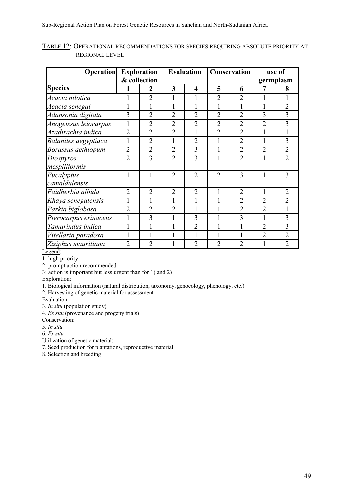| <b>Operation</b>      | <b>Exploration</b> |                |                | <b>Evaluation</b> |                | Conservation   | use of         |                |
|-----------------------|--------------------|----------------|----------------|-------------------|----------------|----------------|----------------|----------------|
|                       | & collection       |                |                |                   |                |                | germplasm      |                |
| <b>Species</b>        |                    | $\overline{2}$ | 3              | 4                 | 5              | 6              | 7              | 8              |
| Acacia nilotica       |                    | $\overline{2}$ |                | 1                 | $\overline{2}$ | $\overline{2}$ |                |                |
| Acacia senegal        |                    |                |                |                   |                | 1              |                | $\overline{2}$ |
| Adansonia digitata    | $\overline{3}$     | $\overline{2}$ | $\overline{2}$ | $\overline{2}$    | $\overline{2}$ | $\overline{2}$ | 3              | 3              |
| Anogeissus leiocarpus | 1                  | $\overline{2}$ | $\overline{2}$ | $\overline{2}$    | $\overline{2}$ | $\overline{2}$ | $\overline{2}$ | 3              |
| Azadirachta indica    | $\overline{2}$     | $\overline{2}$ | $\overline{2}$ | 1                 | $\overline{2}$ | $\overline{2}$ |                |                |
| Balanites aegyptiaca  | 1                  | $\overline{2}$ | $\mathbf{1}$   | $\overline{2}$    |                | $\overline{2}$ |                | 3              |
| Borassus aethiopum    | $\overline{2}$     | $\overline{2}$ | $\overline{2}$ | 3                 | 1              | $\overline{2}$ | $\overline{2}$ | $\overline{2}$ |
| Diospyros             | $\overline{2}$     | 3              | $\overline{2}$ | 3                 |                | $\overline{2}$ |                | $\overline{2}$ |
| mespiliformis         |                    |                |                |                   |                |                |                |                |
| Eucalyptus            | 1                  | 1              | $\overline{2}$ | $\overline{2}$    | $\overline{2}$ | 3              |                | 3              |
| camaldulensis         |                    |                |                |                   |                |                |                |                |
| Faidherbia albida     | $\overline{2}$     | $\overline{2}$ | $\overline{2}$ | $\overline{2}$    |                | $\overline{2}$ | 1              | $\overline{2}$ |
| Khaya senegalensis    |                    |                |                | $\mathbf{1}$      |                | $\overline{2}$ | $\overline{2}$ | $\overline{2}$ |
| Parkia biglobosa      | $\overline{2}$     | $\overline{2}$ | $\overline{2}$ | 1                 |                | $\overline{2}$ | $\overline{2}$ |                |
| Pterocarpus erinaceus | $\mathbf{1}$       | $\overline{3}$ | 1              | 3                 |                | 3              | $\mathbf{1}$   | 3              |
| Tamarindus indica     |                    |                | 1              | $\overline{2}$    |                | 1              | $\overline{2}$ | 3              |
| Vitellaria paradoxa   |                    |                |                |                   |                |                | $\overline{2}$ | $\overline{2}$ |
| Ziziphus mauritiana   | $\overline{2}$     | $\overline{2}$ |                | $\overline{2}$    | $\mathfrak{D}$ | $\overline{2}$ |                | $\overline{2}$ |

TABLE 12: OPERATIONAL RECOMMENDATIONS FOR SPECIES REQUIRING ABSOLUTE PRIORITY AT REGIONAL LEVEL

Legend:

1: high priority

2: prompt action recommended

3: action is important but less urgent than for 1) and 2)

Exploration:

1. Biological information (natural distribution, taxonomy, genocology, phenology, etc.)

2. Harvesting of genetic material for assessment

Evaluation:

3. *In situ* (population study)

4. *Ex situ* (provenance and progeny trials)

Conservation:

5. *In situ*

6. *Ex situ*

Utilization of genetic material:

7. Seed production for plantations, reproductive material

8. Selection and breeding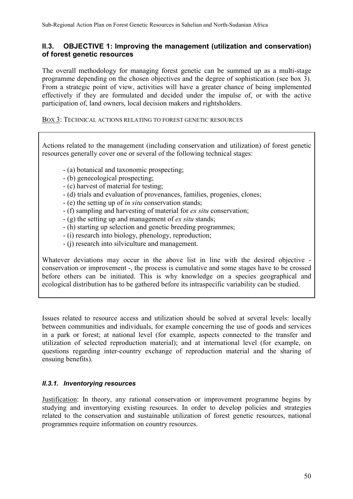# **II.3. OBJECTIVE 1: Improving the management (utilization and conservation) of forest genetic resources**

The overall methodology for managing forest genetic can be summed up as a multi-stage programme depending on the chosen objectives and the degree of sophistication (see box 3). From a strategic point of view, activities will have a greater chance of being implemented effectively if they are formulated and decided under the impulse of, or with the active participation of, land owners, local decision makers and rightsholders.

#### BOX 3: TECHNICAL ACTIONS RELATING TO FOREST GENETIC RESOURCES

Actions related to the management (including conservation and utilization) of forest genetic resources generally cover one or several of the following technical stages:

- (a) botanical and taxonomic prospecting;
- (b) genecological prospecting;
- (c) harvest of material for testing;
- (d) trials and evaluation of provenances, families, progenies, clones;
- (e) the setting up of *in situ* conservation stands;
- (f) sampling and harvesting of material for *ex situ* conservation;
- (g) the setting up and management of *ex situ* stands;
- (h) starting up selection and genetic breeding programmes;
- (i) research into biology, phenology, reproduction;
- (j) research into silviculture and management.

Whatever deviations may occur in the above list in line with the desired objective conservation or improvement -, the process is cumulative and some stages have to be crossed before others can be initiated. This is why knowledge on a species geographical and ecological distribution has to be gathered before its intraspecific variability can be studied.

Issues related to resource access and utilization should be solved at several levels: locally between communities and individuals, for example concerning the use of goods and services in a park or forest; at national level (for example, aspects connected to the transfer and utilization of selected reproduction material); and at international level (for example, on questions regarding inter-country exchange of reproduction material and the sharing of ensuing benefits).

### *II.3.1. Inventorying resources*

Justification: In theory, any rational conservation or improvement programme begins by studying and inventorying existing resources. In order to develop policies and strategies related to the conservation and sustainable utilization of forest genetic resources, national programmes require information on country resources.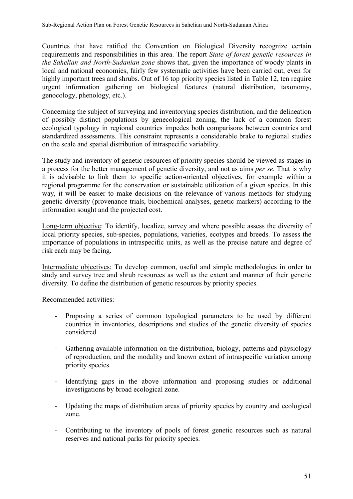Countries that have ratified the Convention on Biological Diversity recognize certain requirements and responsibilities in this area. The report *State of forest genetic resources in the Sahelian and North-Sudanian zone* shows that, given the importance of woody plants in local and national economies, fairly few systematic activities have been carried out, even for highly important trees and shrubs. Out of 16 top priority species listed in Table 12, ten require urgent information gathering on biological features (natural distribution, taxonomy, genocology, phenology, etc.).

Concerning the subject of surveying and inventorying species distribution, and the delineation of possibly distinct populations by genecological zoning, the lack of a common forest ecological typology in regional countries impedes both comparisons between countries and standardized assessments. This constraint represents a considerable brake to regional studies on the scale and spatial distribution of intraspecific variability.

The study and inventory of genetic resources of priority species should be viewed as stages in a process for the better management of genetic diversity, and not as aims *per se*. That is why it is advisable to link them to specific action-oriented objectives, for example within a regional programme for the conservation or sustainable utilization of a given species. In this way, it will be easier to make decisions on the relevance of various methods for studying genetic diversity (provenance trials, biochemical analyses, genetic markers) according to the information sought and the projected cost.

Long-term objective: To identify, localize, survey and where possible assess the diversity of local priority species, sub-species, populations, varieties, ecotypes and breeds. To assess the importance of populations in intraspecific units, as well as the precise nature and degree of risk each may be facing.

Intermediate objectives: To develop common, useful and simple methodologies in order to study and survey tree and shrub resources as well as the extent and manner of their genetic diversity. To define the distribution of genetic resources by priority species.

### Recommended activities:

- Proposing a series of common typological parameters to be used by different countries in inventories, descriptions and studies of the genetic diversity of species considered.
- Gathering available information on the distribution, biology, patterns and physiology of reproduction, and the modality and known extent of intraspecific variation among priority species.
- Identifying gaps in the above information and proposing studies or additional investigations by broad ecological zone.
- Updating the maps of distribution areas of priority species by country and ecological zone.
- Contributing to the inventory of pools of forest genetic resources such as natural reserves and national parks for priority species.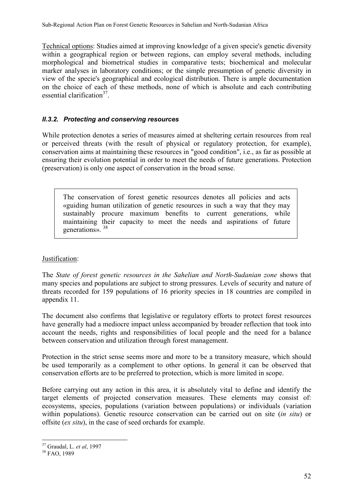Technical options: Studies aimed at improving knowledge of a given specie's genetic diversity within a geographical region or between regions, can employ several methods, including morphological and biometrical studies in comparative tests; biochemical and molecular marker analyses in laboratory conditions; or the simple presumption of genetic diversity in view of the specie's geographical and ecological distribution. There is ample documentation on the choice of each of these methods, none of which is absolute and each contributing essential clarification $37$ 

# *II.3.2. Protecting and conserving resources*

While protection denotes a series of measures aimed at sheltering certain resources from real or perceived threats (with the result of physical or regulatory protection, for example), conservation aims at maintaining these resources in "good condition", i.e., as far as possible at ensuring their evolution potential in order to meet the needs of future generations. Protection (preservation) is only one aspect of conservation in the broad sense.

The conservation of forest genetic resources denotes all policies and acts «guiding human utilization of genetic resources in such a way that they may sustainably procure maximum benefits to current generations, while maintaining their capacity to meet the needs and aspirations of future generations». <sup>38</sup>

### Justification:

The *State of forest genetic resources in the Sahelian and North-Sudanian zone* shows that many species and populations are subject to strong pressures. Levels of security and nature of threats recorded for 159 populations of 16 priority species in 18 countries are compiled in appendix 11.

The document also confirms that legislative or regulatory efforts to protect forest resources have generally had a mediocre impact unless accompanied by broader reflection that took into account the needs, rights and responsibilities of local people and the need for a balance between conservation and utilization through forest management.

Protection in the strict sense seems more and more to be a transitory measure, which should be used temporarily as a complement to other options. In general it can be observed that conservation efforts are to be preferred to protection, which is more limited in scope.

Before carrying out any action in this area, it is absolutely vital to define and identify the target elements of projected conservation measures. These elements may consist of: ecosystems, species, populations (variation between populations) or individuals (variation within populations). Genetic resource conservation can be carried out on site (*in situ*) or offsite (*ex situ*), in the case of seed orchards for example.

 $\overline{a}$ 

<sup>37</sup> Graudal, L. *et al*, 1997 38 FAO, 1989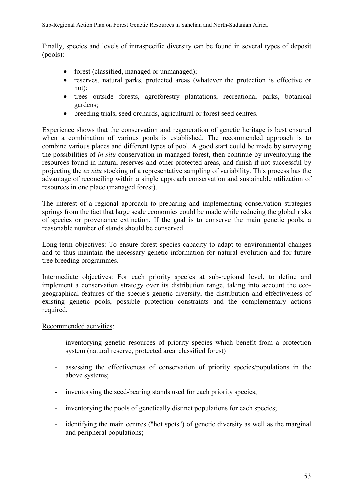Finally, species and levels of intraspecific diversity can be found in several types of deposit (pools):

- forest (classified, managed or unmanaged);
- reserves, natural parks, protected areas (whatever the protection is effective or not);
- trees outside forests, agroforestry plantations, recreational parks, botanical gardens;
- breeding trials, seed orchards, agricultural or forest seed centres.

Experience shows that the conservation and regeneration of genetic heritage is best ensured when a combination of various pools is established. The recommended approach is to combine various places and different types of pool. A good start could be made by surveying the possibilities of *in situ* conservation in managed forest, then continue by inventorying the resources found in natural reserves and other protected areas, and finish if not successful by projecting the *ex situ* stocking of a representative sampling of variability. This process has the advantage of reconciling within a single approach conservation and sustainable utilization of resources in one place (managed forest).

The interest of a regional approach to preparing and implementing conservation strategies springs from the fact that large scale economies could be made while reducing the global risks of species or provenance extinction. If the goal is to conserve the main genetic pools, a reasonable number of stands should be conserved.

Long-term objectives: To ensure forest species capacity to adapt to environmental changes and to thus maintain the necessary genetic information for natural evolution and for future tree breeding programmes.

Intermediate objectives: For each priority species at sub-regional level, to define and implement a conservation strategy over its distribution range, taking into account the ecogeographical features of the specie's genetic diversity, the distribution and effectiveness of existing genetic pools, possible protection constraints and the complementary actions required.

Recommended activities:

- inventorying genetic resources of priority species which benefit from a protection system (natural reserve, protected area, classified forest)
- assessing the effectiveness of conservation of priority species/populations in the above systems;
- inventorying the seed-bearing stands used for each priority species;
- inventorying the pools of genetically distinct populations for each species;
- identifying the main centres ("hot spots") of genetic diversity as well as the marginal and peripheral populations;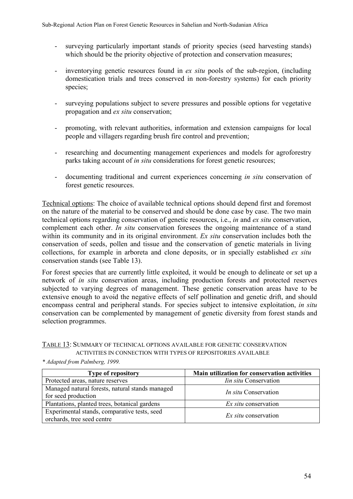- surveying particularly important stands of priority species (seed harvesting stands) which should be the priority objective of protection and conservation measures;
- inventorying genetic resources found in *ex situ* pools of the sub-region, (including domestication trials and trees conserved in non-forestry systems) for each priority species;
- surveying populations subject to severe pressures and possible options for vegetative propagation and *ex situ* conservation;
- promoting, with relevant authorities, information and extension campaigns for local people and villagers regarding brush fire control and prevention;
- researching and documenting management experiences and models for agroforestry parks taking account of *in situ* considerations for forest genetic resources;
- documenting traditional and current experiences concerning *in situ* conservation of forest genetic resources.

Technical options: The choice of available technical options should depend first and foremost on the nature of the material to be conserved and should be done case by case. The two main technical options regarding conservation of genetic resources, i.e., *in* and *ex situ* conservation, complement each other. *In situ* conservation foresees the ongoing maintenance of a stand within its community and in its original environment. *Ex situ* conservation includes both the conservation of seeds, pollen and tissue and the conservation of genetic materials in living collections, for example in arboreta and clone deposits, or in specially established *ex situ* conservation stands (see Table 13).

For forest species that are currently little exploited, it would be enough to delineate or set up a network of *in situ* conservation areas, including production forests and protected reserves subjected to varying degrees of management. These genetic conservation areas have to be extensive enough to avoid the negative effects of self pollination and genetic drift, and should encompass central and peripheral stands. For species subject to intensive exploitation, *in situ* conservation can be complemented by management of genetic diversity from forest stands and selection programmes.

#### TABLE 13: SUMMARY OF TECHNICAL OPTIONS AVAILABLE FOR GENETIC CONSERVATION ACTIVITIES IN CONNECTION WITH TYPES OF REPOSITORIES AVAILABLE

| <b>Type of repository</b>                                                  | Main utilization for conservation activities |
|----------------------------------------------------------------------------|----------------------------------------------|
| Protected areas, nature reserves                                           | <i>Iin situ</i> Conservation                 |
| Managed natural forests, natural stands managed<br>for seed production     | <i>In situ</i> Conservation                  |
| Plantations, planted trees, botanical gardens                              | <i>Ex situ</i> conservation                  |
| Experimental stands, comparative tests, seed<br>orchards, tree seed centre | <i>Ex situ</i> conservation                  |

*\* Adapted from Palmberg, 1999.*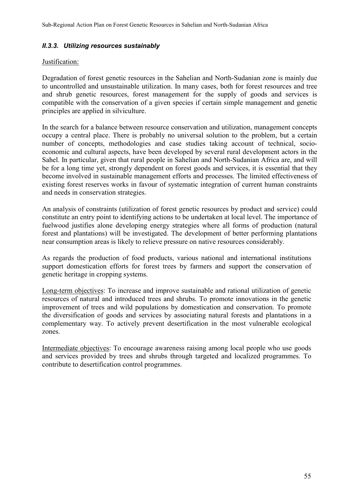#### *II.3.3. Utilizing resources sustainably*

#### Justification:

Degradation of forest genetic resources in the Sahelian and North-Sudanian zone is mainly due to uncontrolled and unsustainable utilization. In many cases, both for forest resources and tree and shrub genetic resources, forest management for the supply of goods and services is compatible with the conservation of a given species if certain simple management and genetic principles are applied in silviculture.

In the search for a balance between resource conservation and utilization, management concepts occupy a central place. There is probably no universal solution to the problem, but a certain number of concepts, methodologies and case studies taking account of technical, socioeconomic and cultural aspects, have been developed by several rural development actors in the Sahel. In particular, given that rural people in Sahelian and North-Sudanian Africa are, and will be for a long time yet, strongly dependent on forest goods and services, it is essential that they become involved in sustainable management efforts and processes. The limited effectiveness of existing forest reserves works in favour of systematic integration of current human constraints and needs in conservation strategies.

An analysis of constraints (utilization of forest genetic resources by product and service) could constitute an entry point to identifying actions to be undertaken at local level. The importance of fuelwood justifies alone developing energy strategies where all forms of production (natural forest and plantations) will be investigated. The development of better performing plantations near consumption areas is likely to relieve pressure on native resources considerably.

As regards the production of food products, various national and international institutions support domestication efforts for forest trees by farmers and support the conservation of genetic heritage in cropping systems.

Long-term objectives: To increase and improve sustainable and rational utilization of genetic resources of natural and introduced trees and shrubs. To promote innovations in the genetic improvement of trees and wild populations by domestication and conservation. To promote the diversification of goods and services by associating natural forests and plantations in a complementary way. To actively prevent desertification in the most vulnerable ecological zones.

Intermediate objectives: To encourage awareness raising among local people who use goods and services provided by trees and shrubs through targeted and localized programmes. To contribute to desertification control programmes.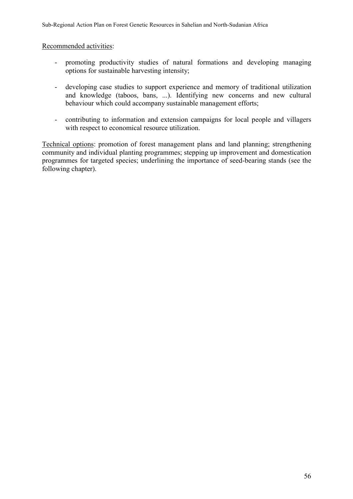#### Recommended activities:

- promoting productivity studies of natural formations and developing managing options for sustainable harvesting intensity;
- developing case studies to support experience and memory of traditional utilization and knowledge (taboos, bans, ...). Identifying new concerns and new cultural behaviour which could accompany sustainable management efforts;
- contributing to information and extension campaigns for local people and villagers with respect to economical resource utilization.

Technical options: promotion of forest management plans and land planning; strengthening community and individual planting programmes; stepping up improvement and domestication programmes for targeted species; underlining the importance of seed-bearing stands (see the following chapter).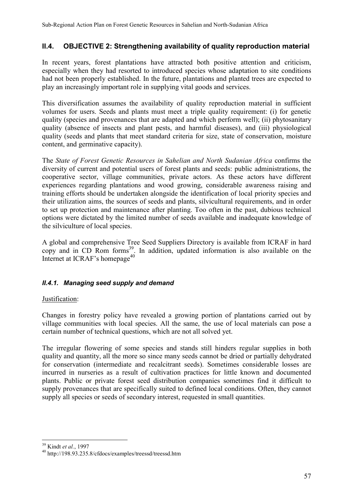# **II.4. OBJECTIVE 2: Strengthening availability of quality reproduction material**

In recent years, forest plantations have attracted both positive attention and criticism, especially when they had resorted to introduced species whose adaptation to site conditions had not been properly established. In the future, plantations and planted trees are expected to play an increasingly important role in supplying vital goods and services.

This diversification assumes the availability of quality reproduction material in sufficient volumes for users. Seeds and plants must meet a triple quality requirement: (i) for genetic quality (species and provenances that are adapted and which perform well); (ii) phytosanitary quality (absence of insects and plant pests, and harmful diseases), and (iii) physiological quality (seeds and plants that meet standard criteria for size, state of conservation, moisture content, and germinative capacity).

The *State of Forest Genetic Resources in Sahelian and North Sudanian Africa* confirms the diversity of current and potential users of forest plants and seeds: public administrations, the cooperative sector, village communities, private actors. As these actors have different experiences regarding plantations and wood growing, considerable awareness raising and training efforts should be undertaken alongside the identification of local priority species and their utilization aims, the sources of seeds and plants, silvicultural requirements, and in order to set up protection and maintenance after planting. Too often in the past, dubious technical options were dictated by the limited number of seeds available and inadequate knowledge of the silviculture of local species.

A global and comprehensive Tree Seed Suppliers Directory is available from ICRAF in hard copy and in CD Rom forms<sup>39</sup>. In addition, updated information is also available on the Internet at ICRAF's homepage<sup>40</sup>

# *II.4.1. Managing seed supply and demand*

### Justification:

Changes in forestry policy have revealed a growing portion of plantations carried out by village communities with local species. All the same, the use of local materials can pose a certain number of technical questions, which are not all solved yet.

The irregular flowering of some species and stands still hinders regular supplies in both quality and quantity, all the more so since many seeds cannot be dried or partially dehydrated for conservation (intermediate and recalcitrant seeds). Sometimes considerable losses are incurred in nurseries as a result of cultivation practices for little known and documented plants. Public or private forest seed distribution companies sometimes find it difficult to supply provenances that are specifically suited to defined local conditions. Often, they cannot supply all species or seeds of secondary interest, requested in small quantities.

<sup>&</sup>lt;sup>39</sup> Kindt et al., 1997

<sup>&</sup>lt;sup>40</sup> http://198.93.235.8/cfdocs/examples/treessd/treessd.htm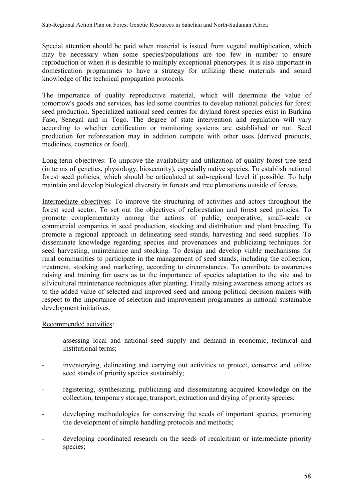Special attention should be paid when material is issued from vegetal multiplication, which may be necessary when some species/populations are too few in number to ensure reproduction or when it is desirable to multiply exceptional phenotypes. It is also important in domestication programmes to have a strategy for utilizing these materials and sound knowledge of the technical propagation protocols.

The importance of quality reproductive material, which will determine the value of tomorrow's goods and services, has led some countries to develop national policies for forest seed production. Specialized national seed centres for dryland forest species exist in Burkina Faso, Senegal and in Togo. The degree of state intervention and regulation will vary according to whether certification or monitoring systems are established or not. Seed production for reforestation may in addition compete with other uses (derived products, medicines, cosmetics or food).

Long-term objectives: To improve the availability and utilization of quality forest tree seed (in terms of genetics, physiology, biosecurity), especially native species. To establish national forest seed policies, which should be articulated at sub-regional level if possible. To help maintain and develop biological diversity in forests and tree plantations outside of forests.

Intermediate objectives: To improve the structuring of activities and actors throughout the forest seed sector. To set out the objectives of reforestation and forest seed policies. To promote complementarity among the actions of public, cooperative, small-scale or commercial companies in seed production, stocking and distribution and plant breeding. To promote a regional approach in delineating seed stands, harvesting and seed supplies. To disseminate knowledge regarding species and provenances and publicizing techniques for seed harvesting, maintenance and stocking. To design and develop viable mechanisms for rural communities to participate in the management of seed stands, including the collection, treatment, stocking and marketing, according to circumstances. To contribute to awareness raising and training for users as to the importance of species adaptation to the site and to silvicultural maintenance techniques after planting. Finally raising awareness among actors as to the added value of selected and improved seed and among political decision makers with respect to the importance of selection and improvement programmes in national sustainable development initiatives.

### Recommended activities:

- assessing local and national seed supply and demand in economic, technical and institutional terms;
- inventorying, delineating and carrying out activities to protect, conserve and utilize seed stands of priority species sustainably;
- registering, synthesizing, publicizing and disseminating acquired knowledge on the collection, temporary storage, transport, extraction and drying of priority species;
- developing methodologies for conserving the seeds of important species, promoting the development of simple handling protocols and methods;
- developing coordinated research on the seeds of recalcitrant or intermediate priority species;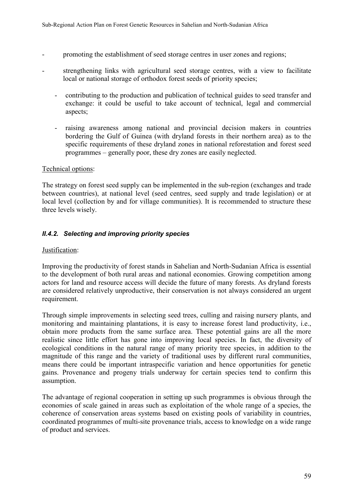- promoting the establishment of seed storage centres in user zones and regions;
- strengthening links with agricultural seed storage centres, with a view to facilitate local or national storage of orthodox forest seeds of priority species;
	- contributing to the production and publication of technical guides to seed transfer and exchange: it could be useful to take account of technical, legal and commercial aspects;
	- raising awareness among national and provincial decision makers in countries bordering the Gulf of Guinea (with dryland forests in their northern area) as to the specific requirements of these dryland zones in national reforestation and forest seed programmes – generally poor, these dry zones are easily neglected.

#### Technical options:

The strategy on forest seed supply can be implemented in the sub-region (exchanges and trade between countries), at national level (seed centres, seed supply and trade legislation) or at local level (collection by and for village communities). It is recommended to structure these three levels wisely.

# *II.4.2. Selecting and improving priority species*

#### Justification:

Improving the productivity of forest stands in Sahelian and North-Sudanian Africa is essential to the development of both rural areas and national economies. Growing competition among actors for land and resource access will decide the future of many forests. As dryland forests are considered relatively unproductive, their conservation is not always considered an urgent requirement.

Through simple improvements in selecting seed trees, culling and raising nursery plants, and monitoring and maintaining plantations, it is easy to increase forest land productivity, i.e., obtain more products from the same surface area. These potential gains are all the more realistic since little effort has gone into improving local species. In fact, the diversity of ecological conditions in the natural range of many priority tree species, in addition to the magnitude of this range and the variety of traditional uses by different rural communities, means there could be important intraspecific variation and hence opportunities for genetic gains. Provenance and progeny trials underway for certain species tend to confirm this assumption.

The advantage of regional cooperation in setting up such programmes is obvious through the economies of scale gained in areas such as exploitation of the whole range of a species, the coherence of conservation areas systems based on existing pools of variability in countries, coordinated programmes of multi-site provenance trials, access to knowledge on a wide range of product and services.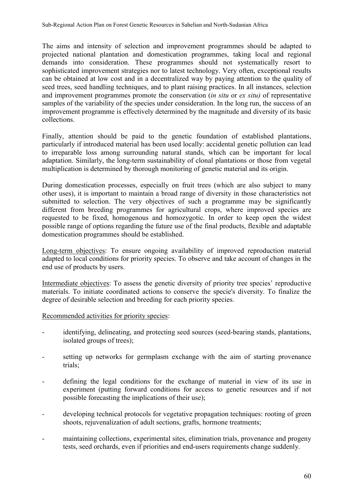The aims and intensity of selection and improvement programmes should be adapted to projected national plantation and domestication programmes, taking local and regional demands into consideration. These programmes should not systematically resort to sophisticated improvement strategies nor to latest technology. Very often, exceptional results can be obtained at low cost and in a decentralized way by paying attention to the quality of seed trees, seed handling techniques, and to plant raising practices. In all instances, selection and improvement programmes promote the conservation (*in situ* or *ex situ)* of representative samples of the variability of the species under consideration. In the long run, the success of an improvement programme is effectively determined by the magnitude and diversity of its basic collections.

Finally, attention should be paid to the genetic foundation of established plantations, particularly if introduced material has been used locally: accidental genetic pollution can lead to irreparable loss among surrounding natural stands, which can be important for local adaptation. Similarly, the long-term sustainability of clonal plantations or those from vegetal multiplication is determined by thorough monitoring of genetic material and its origin.

During domestication processes, especially on fruit trees (which are also subject to many other uses), it is important to maintain a broad range of diversity in those characteristics not submitted to selection. The very objectives of such a programme may be significantly different from breeding programmes for agricultural crops, where improved species are requested to be fixed, homogenous and homozygotic. In order to keep open the widest possible range of options regarding the future use of the final products, flexible and adaptable domestication programmes should be established.

Long-term objectives: To ensure ongoing availability of improved reproduction material adapted to local conditions for priority species. To observe and take account of changes in the end use of products by users.

Intermediate objectives: To assess the genetic diversity of priority tree species' reproductive materials. To initiate coordinated actions to conserve the specie's diversity. To finalize the degree of desirable selection and breeding for each priority species.

Recommended activities for priority species:

- identifying, delineating, and protecting seed sources (seed-bearing stands, plantations, isolated groups of trees);
- setting up networks for germplasm exchange with the aim of starting provenance trials;
- defining the legal conditions for the exchange of material in view of its use in experiment (putting forward conditions for access to genetic resources and if not possible forecasting the implications of their use);
- developing technical protocols for vegetative propagation techniques: rooting of green shoots, rejuvenalization of adult sections, grafts, hormone treatments;
- maintaining collections, experimental sites, elimination trials, provenance and progeny tests, seed orchards, even if priorities and end-users requirements change suddenly.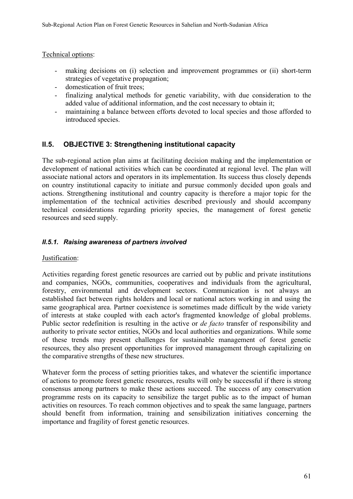### Technical options:

- making decisions on (i) selection and improvement programmes or (ii) short-term strategies of vegetative propagation;
- domestication of fruit trees;
- finalizing analytical methods for genetic variability, with due consideration to the added value of additional information, and the cost necessary to obtain it;
- maintaining a balance between efforts devoted to local species and those afforded to introduced species.

# **II.5. OBJECTIVE 3: Strengthening institutional capacity**

The sub-regional action plan aims at facilitating decision making and the implementation or development of national activities which can be coordinated at regional level. The plan will associate national actors and operators in its implementation. Its success thus closely depends on country institutional capacity to initiate and pursue commonly decided upon goals and actions. Strengthening institutional and country capacity is therefore a major topic for the implementation of the technical activities described previously and should accompany technical considerations regarding priority species, the management of forest genetic resources and seed supply.

# *II.5.1. Raising awareness of partners involved*

### Justification:

Activities regarding forest genetic resources are carried out by public and private institutions and companies, NGOs, communities, cooperatives and individuals from the agricultural, forestry, environmental and development sectors. Communication is not always an established fact between rights holders and local or national actors working in and using the same geographical area. Partner coexistence is sometimes made difficult by the wide variety of interests at stake coupled with each actor's fragmented knowledge of global problems. Public sector redefinition is resulting in the active or *de facto* transfer of responsibility and authority to private sector entities, NGOs and local authorities and organizations. While some of these trends may present challenges for sustainable management of forest genetic resources, they also present opportunities for improved management through capitalizing on the comparative strengths of these new structures.

Whatever form the process of setting priorities takes, and whatever the scientific importance of actions to promote forest genetic resources, results will only be successful if there is strong consensus among partners to make these actions succeed. The success of any conservation programme rests on its capacity to sensibilize the target public as to the impact of human activities on resources. To reach common objectives and to speak the same language, partners should benefit from information, training and sensibilization initiatives concerning the importance and fragility of forest genetic resources.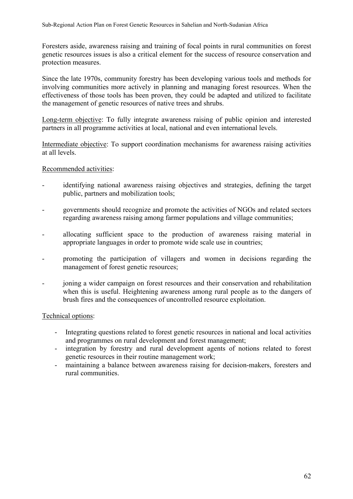Foresters aside, awareness raising and training of focal points in rural communities on forest genetic resources issues is also a critical element for the success of resource conservation and protection measures.

Since the late 1970s, community forestry has been developing various tools and methods for involving communities more actively in planning and managing forest resources. When the effectiveness of those tools has been proven, they could be adapted and utilized to facilitate the management of genetic resources of native trees and shrubs.

Long-term objective: To fully integrate awareness raising of public opinion and interested partners in all programme activities at local, national and even international levels.

Intermediate objective: To support coordination mechanisms for awareness raising activities at all levels.

#### Recommended activities:

- identifying national awareness raising objectives and strategies, defining the target public, partners and mobilization tools;
- governments should recognize and promote the activities of NGOs and related sectors regarding awareness raising among farmer populations and village communities;
- allocating sufficient space to the production of awareness raising material in appropriate languages in order to promote wide scale use in countries;
- promoting the participation of villagers and women in decisions regarding the management of forest genetic resources;
- joning a wider campaign on forest resources and their conservation and rehabilitation when this is useful. Heightening awareness among rural people as to the dangers of brush fires and the consequences of uncontrolled resource exploitation.

### Technical options:

- Integrating questions related to forest genetic resources in national and local activities and programmes on rural development and forest management;
- integration by forestry and rural development agents of notions related to forest genetic resources in their routine management work;
- maintaining a balance between awareness raising for decision-makers, foresters and rural communities.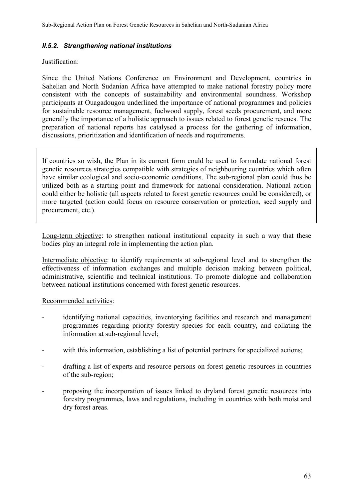#### *II.5.2. Strengthening national institutions*

#### Justification:

Since the United Nations Conference on Environment and Development, countries in Sahelian and North Sudanian Africa have attempted to make national forestry policy more consistent with the concepts of sustainability and environmental soundness. Workshop participants at Ouagadougou underlined the importance of national programmes and policies for sustainable resource management, fuelwood supply, forest seeds procurement, and more generally the importance of a holistic approach to issues related to forest genetic rescues. The preparation of national reports has catalysed a process for the gathering of information, discussions, prioritization and identification of needs and requirements.

If countries so wish, the Plan in its current form could be used to formulate national forest genetic resources strategies compatible with strategies of neighbouring countries which often have similar ecological and socio-economic conditions. The sub-regional plan could thus be utilized both as a starting point and framework for national consideration. National action could either be holistic (all aspects related to forest genetic resources could be considered), or more targeted (action could focus on resource conservation or protection, seed supply and procurement, etc.).

Long-term objective: to strengthen national institutional capacity in such a way that these bodies play an integral role in implementing the action plan.

Intermediate objective: to identify requirements at sub-regional level and to strengthen the effectiveness of information exchanges and multiple decision making between political, administrative, scientific and technical institutions. To promote dialogue and collaboration between national institutions concerned with forest genetic resources.

#### Recommended activities:

- identifying national capacities, inventorying facilities and research and management programmes regarding priority forestry species for each country, and collating the information at sub-regional level;
- with this information, establishing a list of potential partners for specialized actions;
- drafting a list of experts and resource persons on forest genetic resources in countries of the sub-region;
- proposing the incorporation of issues linked to dryland forest genetic resources into forestry programmes, laws and regulations, including in countries with both moist and dry forest areas.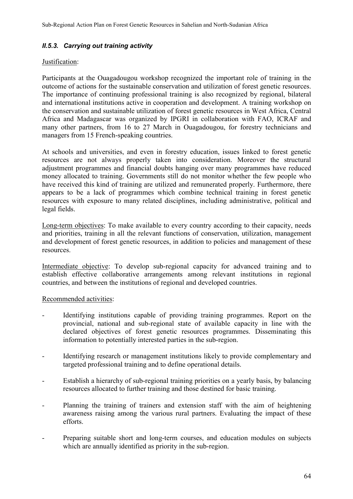### *II.5.3. Carrying out training activity*

#### Justification:

Participants at the Ouagadougou workshop recognized the important role of training in the outcome of actions for the sustainable conservation and utilization of forest genetic resources. The importance of continuing professional training is also recognized by regional, bilateral and international institutions active in cooperation and development. A training workshop on the conservation and sustainable utilization of forest genetic resources in West Africa, Central Africa and Madagascar was organized by IPGRI in collaboration with FAO, ICRAF and many other partners, from 16 to 27 March in Ouagadougou, for forestry technicians and managers from 15 French-speaking countries.

At schools and universities, and even in forestry education, issues linked to forest genetic resources are not always properly taken into consideration. Moreover the structural adjustment programmes and financial doubts hanging over many programmes have reduced money allocated to training. Governments still do not monitor whether the few people who have received this kind of training are utilized and remunerated properly. Furthermore, there appears to be a lack of programmes which combine technical training in forest genetic resources with exposure to many related disciplines, including administrative, political and legal fields.

Long-term objectives: To make available to every country according to their capacity, needs and priorities, training in all the relevant functions of conservation, utilization, management and development of forest genetic resources, in addition to policies and management of these resources.

Intermediate objective: To develop sub-regional capacity for advanced training and to establish effective collaborative arrangements among relevant institutions in regional countries, and between the institutions of regional and developed countries.

#### Recommended activities:

- Identifying institutions capable of providing training programmes. Report on the provincial, national and sub-regional state of available capacity in line with the declared objectives of forest genetic resources programmes. Disseminating this information to potentially interested parties in the sub-region.
- Identifying research or management institutions likely to provide complementary and targeted professional training and to define operational details.
- Establish a hierarchy of sub-regional training priorities on a yearly basis, by balancing resources allocated to further training and those destined for basic training.
- Planning the training of trainers and extension staff with the aim of heightening awareness raising among the various rural partners. Evaluating the impact of these efforts.
- Preparing suitable short and long-term courses, and education modules on subjects which are annually identified as priority in the sub-region.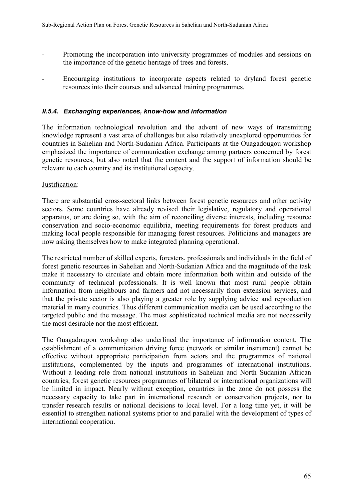- Promoting the incorporation into university programmes of modules and sessions on the importance of the genetic heritage of trees and forests.
- Encouraging institutions to incorporate aspects related to dryland forest genetic resources into their courses and advanced training programmes.

### *II.5.4. Exchanging experiences, know-how and information*

The information technological revolution and the advent of new ways of transmitting knowledge represent a vast area of challenges but also relatively unexplored opportunities for countries in Sahelian and North-Sudanian Africa. Participants at the Ouagadougou workshop emphasized the importance of communication exchange among partners concerned by forest genetic resources, but also noted that the content and the support of information should be relevant to each country and its institutional capacity.

### Justification:

There are substantial cross-sectoral links between forest genetic resources and other activity sectors. Some countries have already revised their legislative, regulatory and operational apparatus, or are doing so, with the aim of reconciling diverse interests, including resource conservation and socio-economic equilibria, meeting requirements for forest products and making local people responsible for managing forest resources. Politicians and managers are now asking themselves how to make integrated planning operational.

The restricted number of skilled experts, foresters, professionals and individuals in the field of forest genetic resources in Sahelian and North-Sudanian Africa and the magnitude of the task make it necessary to circulate and obtain more information both within and outside of the community of technical professionals. It is well known that most rural people obtain information from neighbours and farmers and not necessarily from extension services, and that the private sector is also playing a greater role by supplying advice and reproduction material in many countries. Thus different communication media can be used according to the targeted public and the message. The most sophisticated technical media are not necessarily the most desirable nor the most efficient.

The Ouagadougou workshop also underlined the importance of information content. The establishment of a communication driving force (network or similar instrument) cannot be effective without appropriate participation from actors and the programmes of national institutions, complemented by the inputs and programmes of international institutions. Without a leading role from national institutions in Sahelian and North Sudanian African countries, forest genetic resources programmes of bilateral or international organizations will be limited in impact. Nearly without exception, countries in the zone do not possess the necessary capacity to take part in international research or conservation projects, nor to transfer research results or national decisions to local level. For a long time yet, it will be essential to strengthen national systems prior to and parallel with the development of types of international cooperation.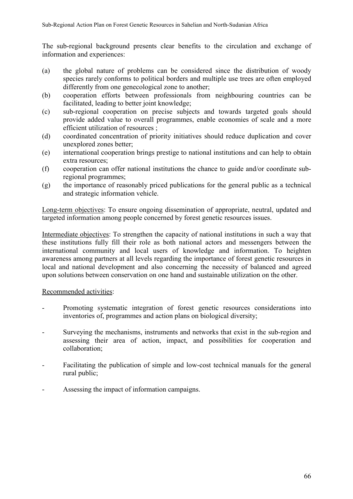The sub-regional background presents clear benefits to the circulation and exchange of information and experiences:

- (a) the global nature of problems can be considered since the distribution of woody species rarely conforms to political borders and multiple use trees are often employed differently from one genecological zone to another;
- (b) cooperation efforts between professionals from neighbouring countries can be facilitated, leading to better joint knowledge;
- (c) sub-regional cooperation on precise subjects and towards targeted goals should provide added value to overall programmes, enable economies of scale and a more efficient utilization of resources ;
- (d) coordinated concentration of priority initiatives should reduce duplication and cover unexplored zones better;
- (e) international cooperation brings prestige to national institutions and can help to obtain extra resources;
- (f) cooperation can offer national institutions the chance to guide and/or coordinate subregional programmes;
- (g) the importance of reasonably priced publications for the general public as a technical and strategic information vehicle.

Long-term objectives: To ensure ongoing dissemination of appropriate, neutral, updated and targeted information among people concerned by forest genetic resources issues.

Intermediate objectives: To strengthen the capacity of national institutions in such a way that these institutions fully fill their role as both national actors and messengers between the international community and local users of knowledge and information. To heighten awareness among partners at all levels regarding the importance of forest genetic resources in local and national development and also concerning the necessity of balanced and agreed upon solutions between conservation on one hand and sustainable utilization on the other.

## Recommended activities:

- Promoting systematic integration of forest genetic resources considerations into inventories of, programmes and action plans on biological diversity;
- Surveying the mechanisms, instruments and networks that exist in the sub-region and assessing their area of action, impact, and possibilities for cooperation and collaboration;
- Facilitating the publication of simple and low-cost technical manuals for the general rural public;
- Assessing the impact of information campaigns.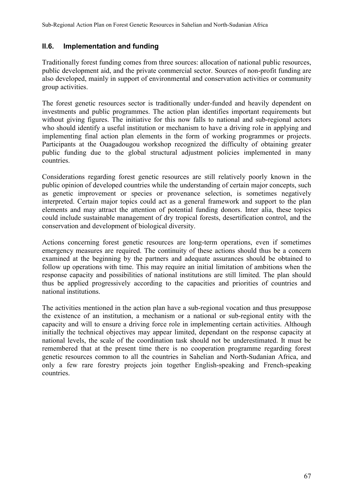## **II.6. Implementation and funding**

Traditionally forest funding comes from three sources: allocation of national public resources, public development aid, and the private commercial sector. Sources of non-profit funding are also developed, mainly in support of environmental and conservation activities or community group activities.

The forest genetic resources sector is traditionally under-funded and heavily dependent on investments and public programmes. The action plan identifies important requirements but without giving figures. The initiative for this now falls to national and sub-regional actors who should identify a useful institution or mechanism to have a driving role in applying and implementing final action plan elements in the form of working programmes or projects. Participants at the Ouagadougou workshop recognized the difficulty of obtaining greater public funding due to the global structural adjustment policies implemented in many countries.

Considerations regarding forest genetic resources are still relatively poorly known in the public opinion of developed countries while the understanding of certain major concepts, such as genetic improvement or species or provenance selection, is sometimes negatively interpreted. Certain major topics could act as a general framework and support to the plan elements and may attract the attention of potential funding donors. Inter alia, these topics could include sustainable management of dry tropical forests, desertification control, and the conservation and development of biological diversity.

Actions concerning forest genetic resources are long-term operations, even if sometimes emergency measures are required. The continuity of these actions should thus be a concern examined at the beginning by the partners and adequate assurances should be obtained to follow up operations with time. This may require an initial limitation of ambitions when the response capacity and possibilities of national institutions are still limited. The plan should thus be applied progressively according to the capacities and priorities of countries and national institutions.

The activities mentioned in the action plan have a sub-regional vocation and thus presuppose the existence of an institution, a mechanism or a national or sub-regional entity with the capacity and will to ensure a driving force role in implementing certain activities. Although initially the technical objectives may appear limited, dependant on the response capacity at national levels, the scale of the coordination task should not be underestimated. It must be remembered that at the present time there is no cooperation programme regarding forest genetic resources common to all the countries in Sahelian and North-Sudanian Africa, and only a few rare forestry projects join together English-speaking and French-speaking countries.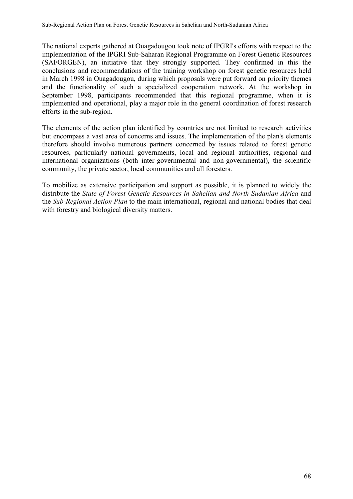The national experts gathered at Ouagadougou took note of IPGRI's efforts with respect to the implementation of the IPGRI Sub-Saharan Regional Programme on Forest Genetic Resources (SAFORGEN), an initiative that they strongly supported. They confirmed in this the conclusions and recommendations of the training workshop on forest genetic resources held in March 1998 in Ouagadougou, during which proposals were put forward on priority themes and the functionality of such a specialized cooperation network. At the workshop in September 1998, participants recommended that this regional programme, when it is implemented and operational, play a major role in the general coordination of forest research efforts in the sub-region.

The elements of the action plan identified by countries are not limited to research activities but encompass a vast area of concerns and issues. The implementation of the plan's elements therefore should involve numerous partners concerned by issues related to forest genetic resources, particularly national governments, local and regional authorities, regional and international organizations (both inter-governmental and non-governmental), the scientific community, the private sector, local communities and all foresters.

To mobilize as extensive participation and support as possible, it is planned to widely the distribute the *State of Forest Genetic Resources in Sahelian and North Sudanian Africa* and the *Sub-Regional Action Plan* to the main international, regional and national bodies that deal with forestry and biological diversity matters.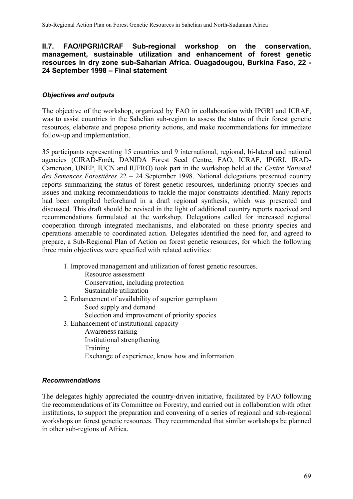## **II.7. FAO/IPGRI/ICRAF Sub-regional workshop on the conservation, management, sustainable utilization and enhancement of forest genetic resources in dry zone sub-Saharian Africa. Ouagadougou, Burkina Faso, 22 - 24 September 1998 – Final statement**

## *Objectives and outputs*

The objective of the workshop, organized by FAO in collaboration with IPGRI and ICRAF, was to assist countries in the Sahelian sub-region to assess the status of their forest genetic resources, elaborate and propose priority actions, and make recommendations for immediate follow-up and implementation.

35 participants representing 15 countries and 9 international, regional, bi-lateral and national agencies (CIRAD-Forêt, DANIDA Forest Seed Centre, FAO, ICRAF, IPGRI, IRAD-Cameroon, UNEP, IUCN and IUFRO) took part in the workshop held at the *Centre National des Semences Forestières* 22 – 24 September 1998. National delegations presented country reports summarizing the status of forest genetic resources, underlining priority species and issues and making recommendations to tackle the major constraints identified. Many reports had been compiled beforehand in a draft regional synthesis, which was presented and discussed. This draft should be revised in the light of additional country reports received and recommendations formulated at the workshop. Delegations called for increased regional cooperation through integrated mechanisms, and elaborated on these priority species and operations amenable to coordinated action. Delegates identified the need for, and agreed to prepare, a Sub-Regional Plan of Action on forest genetic resources, for which the following three main objectives were specified with related activities:

1. Improved management and utilization of forest genetic resources. Resource assessment Conservation, including protection Sustainable utilization 2. Enhancement of availability of superior germplasm Seed supply and demand Selection and improvement of priority species 3. Enhancement of institutional capacity Awareness raising Institutional strengthening Training

Exchange of experience, know how and information

## *Recommendations*

The delegates highly appreciated the country-driven initiative, facilitated by FAO following the recommendations of its Committee on Forestry, and carried out in collaboration with other institutions, to support the preparation and convening of a series of regional and sub-regional workshops on forest genetic resources. They recommended that similar workshops be planned in other sub-regions of Africa.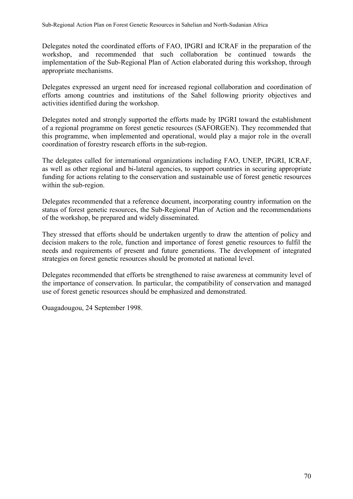Delegates noted the coordinated efforts of FAO, IPGRI and ICRAF in the preparation of the workshop, and recommended that such collaboration be continued towards the implementation of the Sub-Regional Plan of Action elaborated during this workshop, through appropriate mechanisms.

Delegates expressed an urgent need for increased regional collaboration and coordination of efforts among countries and institutions of the Sahel following priority objectives and activities identified during the workshop.

Delegates noted and strongly supported the efforts made by IPGRI toward the establishment of a regional programme on forest genetic resources (SAFORGEN). They recommended that this programme, when implemented and operational, would play a major role in the overall coordination of forestry research efforts in the sub-region.

The delegates called for international organizations including FAO, UNEP, IPGRI, ICRAF, as well as other regional and bi-lateral agencies, to support countries in securing appropriate funding for actions relating to the conservation and sustainable use of forest genetic resources within the sub-region.

Delegates recommended that a reference document, incorporating country information on the status of forest genetic resources, the Sub-Regional Plan of Action and the recommendations of the workshop, be prepared and widely disseminated.

They stressed that efforts should be undertaken urgently to draw the attention of policy and decision makers to the role, function and importance of forest genetic resources to fulfil the needs and requirements of present and future generations. The development of integrated strategies on forest genetic resources should be promoted at national level.

Delegates recommended that efforts be strengthened to raise awareness at community level of the importance of conservation. In particular, the compatibility of conservation and managed use of forest genetic resources should be emphasized and demonstrated.

Ouagadougou, 24 September 1998.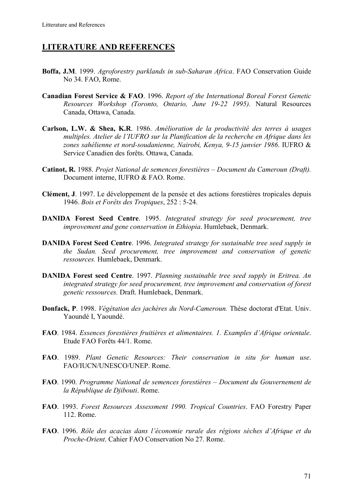## **LITERATURE AND REFERENCES**

- **Boffa, J.M**. 1999. *Agroforestry parklands in sub-Saharan Africa*. FAO Conservation Guide No 34. FAO, Rome.
- **Canadian Forest Service & FAO**. 1996. *Report of the International Boreal Forest Genetic Resources Workshop (Toronto, Ontario, June 19-22 1995).* Natural Resources Canada, Ottawa, Canada.
- **Carlson, L.W. & Shea, K.R**. 1986. *Amélioration de la productivité des terres à usages multiples. Atelier de l'IUFRO sur la Planification de la recherche en Afrique dans les zones sahélienne et nord-soudanienne, Nairobi, Kenya, 9-15 janvier 1986*. IUFRO & Service Canadien des forêts. Ottawa, Canada.
- **Catinot, R.** 1988. *Projet National de semences forestières Document du Cameroun (Draft).* Document interne, IUFRO & FAO. Rome.
- **Clément, J**. 1997. Le développement de la pensée et des actions forestières tropicales depuis 1946. *Bois et Forêts des Tropiques*, 252 : 5-24.
- **DANIDA Forest Seed Centre**. 1995. *Integrated strategy for seed procurement, tree improvement and gene conservation in Ethiopia*. Humlebaek, Denmark.
- **DANIDA Forest Seed Centre**. 1996. *Integrated strategy for sustainable tree seed supply in the Sudan. Seed procurement, tree improvement and conservation of genetic ressources.* Humlebaek, Denmark.
- **DANIDA Forest seed Centre**. 1997. *Planning sustainable tree seed supply in Eritrea. An integrated strategy for seed procurement, tree improvement and conservation of forest genetic ressources.* Draft. Humlebaek, Denmark.
- **Donfack, P**. 1998. *Végétation des jachères du Nord-Cameroun.* Thèse doctorat d'Etat. Univ. Yaoundé I, Yaoundé.
- **FAO**. 1984. *Essences forestières fruitières et alimentaires. 1. Examples d'Afrique orientale*. Etude FAO Forêts 44/1. Rome.
- **FAO**. 1989. *Plant Genetic Resources: Their conservation in situ for human use*. FAO/IUCN/UNESCO/UNEP. Rome.
- **FAO**. 1990. *Programme National de semences forestières Document du Gouvernement de la République de Djibouti*. Rome.
- **FAO**. 1993. *Forest Resources Assessment 1990. Tropical Countries*. FAO Forestry Paper 112. Rome.
- **FAO**. 1996. *Rôle des acacias dans l'économie rurale des régions sèches d'Afrique et du Proche-Orient*. Cahier FAO Conservation No 27. Rome.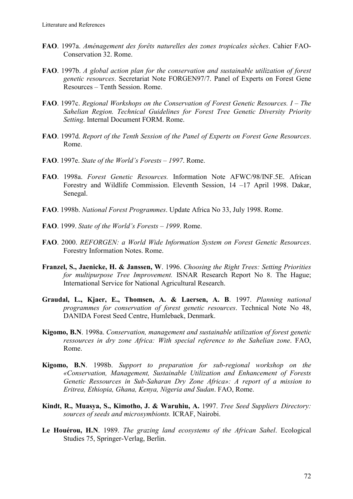- **FAO**. 1997a. *Aménagement des forêts naturelles des zones tropicales sèches*. Cahier FAO-Conservation 32. Rome.
- **FAO**. 1997b. *A global action plan for the conservation and sustainable utilization of forest genetic resources*. Secretariat Note FORGEN97/7. Panel of Experts on Forest Gene Resources – Tenth Session. Rome.
- **FAO**. 1997c. *Regional Workshops on the Conservation of Forest Genetic Resources. I The Sahelian Region. Technical Guidelines for Forest Tree Genetic Diversity Priority Setting*. Internal Document FORM. Rome.
- **FAO**. 1997d. *Report of the Tenth Session of the Panel of Experts on Forest Gene Resources*. Rome.
- **FAO**. 1997e. *State of the World's Forests 1997*. Rome.
- **FAO**. 1998a. *Forest Genetic Resources.* Information Note AFWC/98/INF.5E. African Forestry and Wildlife Commission. Eleventh Session, 14 –17 April 1998. Dakar, Senegal.
- **FAO**. 1998b. *National Forest Programmes*. Update Africa No 33, July 1998. Rome.
- **FAO**. 1999. *State of the World's Forests 1999*. Rome.
- **FAO**. 2000. *REFORGEN: a World Wide Information System on Forest Genetic Resources*. Forestry Information Notes. Rome.
- **Franzel, S., Jaenicke, H. & Janssen, W**. 1996. *Choosing the Right Trees: Setting Priorities for multipurpose Tree Improvement.* ISNAR Research Report No 8. The Hague; International Service for National Agricultural Research.
- **Graudal, L., Kjaer, E., Thomsen, A. & Laersen, A. B**. 1997. *Planning national programmes for conservation of forest genetic resources*. Technical Note No 48, DANIDA Forest Seed Centre, Humlebaek, Denmark.
- **Kigomo, B.N**. 1998a. *Conservation, management and sustainable utilization of forest genetic ressources in dry zone Africa: With special reference to the Sahelian zone*. FAO, Rome.
- **Kigomo, B.N**. 1998b. *Support to preparation for sub-regional workshop on the «Conservation, Management, Sustainable Utilization and Enhancement of Forests Genetic Ressources in Sub-Saharan Dry Zone Africa»: A report of a mission to Eritrea, Ethiopia, Ghana, Kenya, Nigeria and Sudan*. FAO, Rome.
- **Kindt, R., Muasya, S., Kimotho, J. & Waruhiu, A.** 1997. *Tree Seed Suppliers Directory: sources of seeds and microsymbionts.* ICRAF, Nairobi.
- **Le Houérou, H.N**. 1989. *The grazing land ecosystems of the African Sahel*. Ecological Studies 75, Springer-Verlag, Berlin.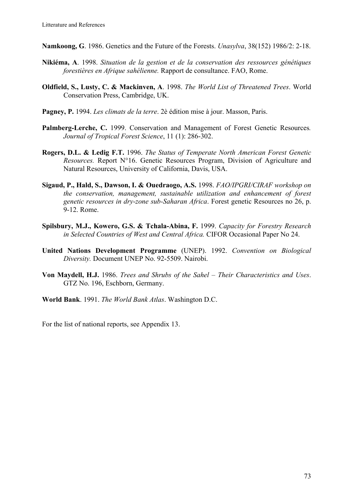- **Namkoong, G**. 1986. Genetics and the Future of the Forests. *Unasylva*, 38(152) 1986/2: 2-18.
- **Nikiéma, A**. 1998. *Situation de la gestion et de la conservation des ressources génétiques forestières en Afrique sahélienne.* Rapport de consultance. FAO, Rome.
- **Oldfield, S., Lusty, C. & Mackinven, A**. 1998. *The World List of Threatened Trees*. World Conservation Press, Cambridge, UK.
- **Pagney, P.** 1994. *Les climats de la terre*. 2è édition mise à jour. Masson, Paris.
- **Palmberg-Lerche, C.** 1999. Conservation and Management of Forest Genetic Resources*. Journal of Tropical Forest Science*, 11 (1): 286-302.
- **Rogers, D.L. & Ledig F.T.** 1996. *The Status of Temperate North American Forest Genetic Resources.* Report N°16. Genetic Resources Program, Division of Agriculture and Natural Resources, University of California, Davis, USA.
- **Sigaud, P., Hald, S., Dawson, I. & Ouedraogo, A.S.** 1998. *FAO/IPGRI/CIRAF workshop on the conservation, management, sustainable utilization and enhancement of forest genetic resources in dry-zone sub-Saharan Africa*. Forest genetic Resources no 26, p. 9-12. Rome.
- **Spilsbury, M.J., Kowero, G.S. & Tchala-Abina, F.** 1999. *Capacity for Forestry Research in Selected Countries of West and Central Africa.* CIFOR Occasional Paper No 24.
- **United Nations Development Programme** (UNEP). 1992. *Convention on Biological Diversity.* Document UNEP No. 92-5509. Nairobi.
- **Von Maydell, H.J.** 1986. *Trees and Shrubs of the Sahel Their Characteristics and Uses*. GTZ No. 196, Eschborn, Germany.
- **World Bank**. 1991. *The World Bank Atlas*. Washington D.C.

For the list of national reports, see Appendix 13.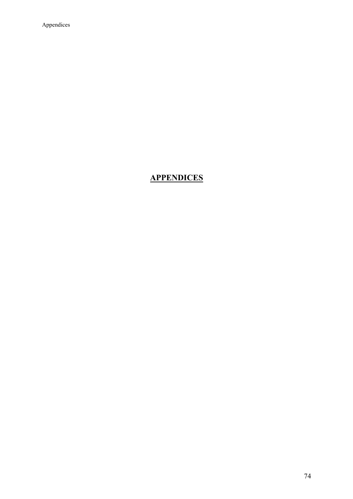Appendices

## **APPENDICES**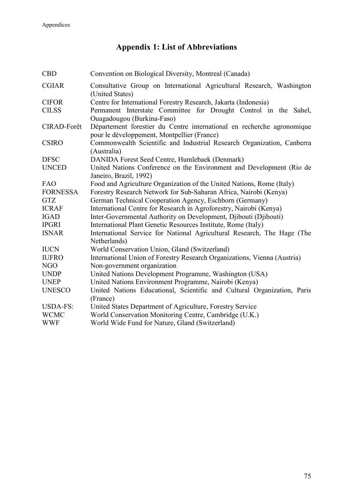## **Appendix 1: List of Abbreviations**

| <b>CBD</b>      | Convention on Biological Diversity, Montreal (Canada)                                                                 |
|-----------------|-----------------------------------------------------------------------------------------------------------------------|
| <b>CGIAR</b>    | Consultative Group on International Agricultural Research, Washington<br>(United States)                              |
| <b>CIFOR</b>    | Centre for International Forestry Research, Jakarta (Indonesia)                                                       |
| <b>CILSS</b>    | Permanent Interstate Committee for Drought Control in the Sahel,<br>Ouagadougou (Burkina-Faso)                        |
| CIRAD-Forêt     | Département forestier du Centre international en recherche agronomique<br>pour le développement, Montpellier (France) |
| <b>CSIRO</b>    | Commonwealth Scientific and Industrial Research Organization, Canberra<br>(Australia)                                 |
| <b>DFSC</b>     | DANIDA Forest Seed Centre, Humlebaek (Denmark)                                                                        |
| <b>UNCED</b>    | United Nations Conference on the Environment and Development (Rio de<br>Janeiro, Brazil, 1992)                        |
| <b>FAO</b>      | Food and Agriculture Organization of the United Nations, Rome (Italy)                                                 |
| <b>FORNESSA</b> | Forestry Research Network for Sub-Saharan Africa, Nairobi (Kenya)                                                     |
| <b>GTZ</b>      | German Technical Cooperation Agency, Eschborn (Germany)                                                               |
| <b>ICRAF</b>    | International Centre for Research in Agroforestry, Nairobi (Kenya)                                                    |
| <b>IGAD</b>     | Inter-Governmental Authority on Development, Djibouti (Djibouti)                                                      |
| <b>IPGRI</b>    | International Plant Genetic Resources Institute, Rome (Italy)                                                         |
| <b>ISNAR</b>    | International Service for National Agricultural Research, The Hage (The<br>Netherlands)                               |
| <b>IUCN</b>     | World Conservation Union, Gland (Switzerland)                                                                         |
| <b>IUFRO</b>    | International Union of Forestry Research Organizations, Vienna (Austria)                                              |
| NGO             | Non-government organization                                                                                           |
| <b>UNDP</b>     | United Nations Development Programme, Washington (USA)                                                                |
| <b>UNEP</b>     | United Nations Environment Programme, Nairobi (Kenya)                                                                 |
| <b>UNESCO</b>   | United Nations Educational, Scientific and Cultural Organization, Paris<br>(France)                                   |
| <b>USDA-FS:</b> | United States Department of Agriculture, Forestry Service                                                             |
| <b>WCMC</b>     | World Conservation Monitoring Centre, Cambridge (U.K.)                                                                |
| <b>WWF</b>      | World Wide Fund for Nature, Gland (Switzerland)                                                                       |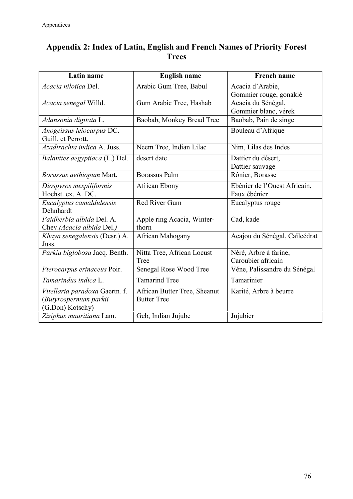## **Appendix 2: Index of Latin, English and French Names of Priority Forest Trees**

| <b>Latin name</b>                                                           | <b>English name</b>                                | <b>French name</b>                           |
|-----------------------------------------------------------------------------|----------------------------------------------------|----------------------------------------------|
| Acacia nilotica Del.                                                        | Arabic Gum Tree, Babul                             | Acacia d'Arabie,<br>Gommier rouge, gonakié   |
| Acacia senegal Willd.                                                       | Gum Arabic Tree, Hashab                            | Acacia du Sénégal,<br>Gommier blanc, vérek   |
| Adansonia digitata L.                                                       | Baobab, Monkey Bread Tree                          | Baobab, Pain de singe                        |
| Anogeissus leiocarpus DC.<br>Guill. et Perrott.                             |                                                    | Bouleau d'Afrique                            |
| Azadirachta indica A. Juss.                                                 | Neem Tree, Indian Lilac                            | Nim, Lilas des Indes                         |
| Balanites aegyptiaca (L.) Del.                                              | desert date                                        | Dattier du désert,<br>Dattier sauvage        |
| Borassus aethiopum Mart.                                                    | <b>Borassus Palm</b>                               | Rônier, Borasse                              |
| Diospyros mespiliformis<br>Hochst. ex. A. DC.                               | African Ebony                                      | Ebénier de l'Ouest Africain,<br>Faux ébénier |
| Eucalyptus camaldulensis<br>Dehnhardt                                       | Red River Gum                                      | Eucalyptus rouge                             |
| Faidherbia albida Del. A.<br>Chev.(Acacia albida Del.)                      | Apple ring Acacia, Winter-<br>thorn                | Cad, kade                                    |
| Khaya senegalensis (Desr.) A.<br>Juss.                                      | African Mahogany                                   | Acajou du Sénégal, Caïlcédrat                |
| Parkia biglobosa Jacq. Benth.                                               | Nitta Tree, African Locust<br>Tree                 | Néré, Arbre à farine,<br>Caroubier africain  |
| Pterocarpus erinaceus Poir.                                                 | Senegal Rose Wood Tree                             | Véne, Palissandre du Sénégal                 |
| Tamarindus indica L.                                                        | <b>Tamarind Tree</b>                               | Tamarinier                                   |
| Vitellaria paradoxa Gaertn. f.<br>(Butyrospermum parkii<br>(G.Don) Kotschy) | African Butter Tree, Sheanut<br><b>Butter Tree</b> | Karité, Arbre à beurre                       |
| Ziziphus mauritiana Lam.                                                    | Geb, Indian Jujube                                 | Jujubier                                     |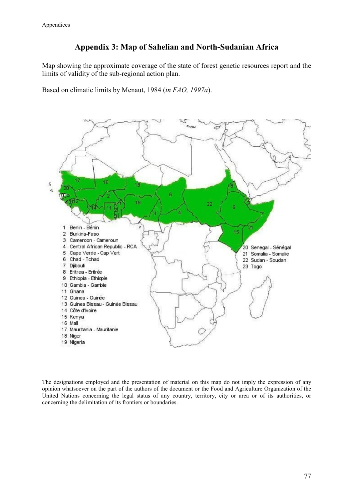## **Appendix 3: Map of Sahelian and North-Sudanian Africa**

Map showing the approximate coverage of the state of forest genetic resources report and the limits of validity of the sub-regional action plan.

Based on climatic limits by Menaut, 1984 (*in FAO, 1997a*).



The designations employed and the presentation of material on this map do not imply the expression of any opinion whatsoever on the part of the authors of the document or the Food and Agriculture Organization of the United Nations concerning the legal status of any country, territory, city or area or of its authorities, or concerning the delimitation of its frontiers or boundaries.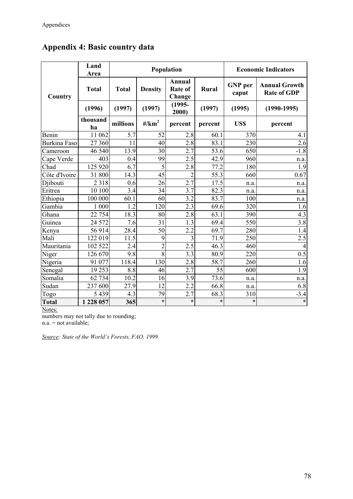|               | Land<br>Area   |              |                                | Population                         |         |                         | <b>Economic Indicators</b>                 |
|---------------|----------------|--------------|--------------------------------|------------------------------------|---------|-------------------------|--------------------------------------------|
| Country       | <b>Total</b>   | <b>Total</b> | <b>Density</b>                 | Annual<br><b>Rate of</b><br>Change | Rural   | <b>GNP</b> per<br>caput | <b>Annual Growth</b><br><b>Rate of GDP</b> |
|               | (1996)         | (1997)       | (1997)                         | $(1995 -$<br>2000)                 | (1997)  | (1995)                  | $(1990-1995)$                              |
|               | thousand<br>ha | millions     | $\frac{\text{H}}{\text{km}^2}$ | percent                            | percent | US\$                    | percent                                    |
| Benin         | 11 062         | 5.7          | 52                             | 2.8                                | 60.1    | 370                     | 4.1                                        |
| Burkina Faso  | 27 360         | 11           | 40                             | 2.8                                | 83.1    | 230                     | 2.6                                        |
| Cameroon      | 46 540         | 13.9         | 30                             | 2.7                                | 53.6    | 650                     | $-1.8$                                     |
| Cape Verde    | 403            | 0.4          | 99                             | 2.5                                | 42.9    | 960                     | n.a.                                       |
| Chad          | 125 920        | 6.7          | $\overline{5}$                 | 2.8                                | 77.2    | 180                     | 1.9                                        |
| Côte d'Ivoire | 31 800         | 14.3         | 45                             | $\overline{2}$                     | 55.3    | 660                     | 0.67                                       |
| Djibouti      | 2 3 1 8        | 0.6          | 26                             | 2.7                                | 17.5    | n.a.                    | n.a.                                       |
| Eritrea       | 10 100         | 3.4          | 34                             | 3.7                                | 82.3    | n.a.                    | n.a.                                       |
| Ethiopia      | 100 000        | 60.1         | 60                             | 3.2                                | 83.7    | 100                     | n.a.                                       |
| Gambia        | 1 000          | 1.2          | 120                            | $\overline{2.3}$                   | 69.6    | 320                     | 1.6                                        |
| Ghana         | 22 754         | 18.3         | 80                             | 2.8                                | 63.1    | 390                     | 4.3                                        |
| Guinea        | 24 572         | 7.6          | 31                             | 1.3                                | 69.4    | 550                     | 3.8                                        |
| Kenya         | 56 914         | 28.4         | 50                             | 2.2                                | 69.7    | 280                     | 1.4                                        |
| Mali          | 122 019        | 11.5         | 9                              | 3                                  | 71.9    | 250                     | $\overline{2.5}$                           |
| Mauritania    | 102 522        | 2.4          | $\overline{2}$                 | $\overline{2.5}$                   | 46.3    | 460                     | $\overline{4}$                             |
| Niger         | 126 670        | 9.8          | $\overline{8}$                 | 3.3                                | 80.9    | 220                     | $\overline{0.5}$                           |
| Nigeria       | 91 077         | 118.4        | 130                            | 2.8                                | 58.7    | 260                     | 1.6                                        |
| Senegal       | 19 25 3        | 8.8          | 46                             | 2.7                                | 55      | 600                     | 1.9                                        |
| Somalia       | 62 734         | 10.2         | 16                             | 3.9                                | 73.6    | n.a.                    | n.a.                                       |
| Sudan         | 237 600        | 27.9         | 12                             | 2.2                                | 66.8    | n.a.                    | 6.8                                        |
| Togo          | 5 4 3 9        | 4.3          | 79                             | 2.7                                | 68.3    | 310                     | $-3.4$                                     |
| <b>Total</b>  | 1 228 057      | 365          | $\ast$                         | $\star$                            | $\star$ | $\star$                 | $\star$                                    |

## **Appendix 4: Basic country data**

Notes:

numbers may not tally due to rounding; n.a. = not available;

*Source: State of the World's Forests, FAO, 1999*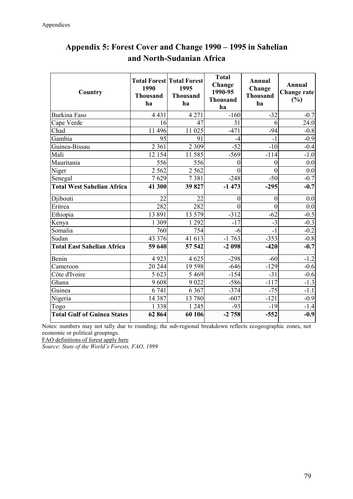| Country                            | 1990<br><b>Thousand</b><br>ha | <b>Total Forest Total Forest</b><br>1995<br><b>Thousand</b><br>ha | <b>Total</b><br>Change<br>1990-95<br><b>Thousand</b><br>ha | <b>Annual</b><br>Change<br><b>Thousand</b><br>ha | <b>Annual</b><br><b>Change rate</b><br>(%) |
|------------------------------------|-------------------------------|-------------------------------------------------------------------|------------------------------------------------------------|--------------------------------------------------|--------------------------------------------|
| <b>Burkina Faso</b>                | 4 4 3 1                       | 4 2 7 1                                                           | $-160$                                                     | $-32$                                            | $-0.7$                                     |
| Cape Verde                         | 16                            | 47                                                                | 31                                                         | 6                                                | 24.0                                       |
| Chad                               | 11 496                        | 11 025                                                            | $-471$                                                     | $-94$                                            | $-0.8$                                     |
| Gambia                             | 95                            | 91                                                                | $-4$                                                       | $-1$                                             | $-0.9$                                     |
| Guinea-Bissau                      | 2 3 6 1                       | 2 3 0 9                                                           | $-52$                                                      | $-10$                                            | $-0.4$                                     |
| Mali                               | 12 154                        | 11 585                                                            | $-569$                                                     | $-114$                                           | $-1.0$                                     |
| Mauritania                         | 556                           | 556                                                               | 0                                                          | $\theta$                                         | 0.0                                        |
| Niger                              | 2 5 6 2                       | 2 5 6 2                                                           | $\theta$                                                   | $\overline{0}$                                   | 0.0                                        |
| Senegal                            | 7629                          | 7381                                                              | $-248$                                                     | $-50$                                            | $-0.7$                                     |
| <b>Total West Sahelian Africa</b>  | 41 300                        | 39827                                                             | $-1473$                                                    | $-295$                                           | $-0.7$                                     |
| Djibouti                           | 22                            | 22                                                                | 0                                                          | $\mathbf{0}$                                     | 0.0                                        |
| Eritrea                            | 282                           | 282                                                               | $\theta$                                                   | $\overline{0}$                                   | 0.0                                        |
| Ethiopia                           | 13 891                        | 13 579                                                            | $-312$                                                     | $-62$                                            | $-0.5$                                     |
| Kenya                              | 1 309                         | 1 2 9 2                                                           | $-17$                                                      | $-3$                                             | $-0.3$                                     |
| Somalia                            | 760                           | 754                                                               | $-6$                                                       | $-1$                                             | $-0.2$                                     |
| Sudan                              | 43 376                        | 41 613                                                            | $-1763$                                                    | $-353$                                           | $-0.8$                                     |
| <b>Total East Sahelian Africa</b>  | 59 640                        | 57 542                                                            | $-2098$                                                    | $-420$                                           | $-0.7$                                     |
| Benin                              | 4923                          | 4625                                                              | $-298$                                                     | $-60$                                            | $-1.2$                                     |
| Cameroon                           | 20 244                        | 19 5 98                                                           | $-646$                                                     | $-129$                                           | $-0.6$                                     |
| Côte d'Ivoire                      | 5 6 23                        | 5 4 6 9                                                           | $-154$                                                     | $-31$                                            | $-0.6$                                     |
| Ghana                              | 9608                          | 9 0 2 2                                                           | $-586$                                                     | $-117$                                           | $-1.3$                                     |
| Guinea                             | 6741                          | 6 3 6 7                                                           | $-374$                                                     | $-75$                                            | $-1.1$                                     |
| Nigeria                            | 14 3 8 7                      | 13 780                                                            | $-607$                                                     | $-121$                                           | $-0.9$                                     |
| Togo                               | 1 3 3 8                       | 245<br>$\mathbf{1}$                                               | $-93$                                                      | $-19$                                            | $-1.4$                                     |
| <b>Total Gulf of Guinea States</b> | 62 864                        | 60 106                                                            | $-2758$                                                    | $-552$                                           | $-0.9$                                     |

## **Appendix 5: Forest Cover and Change 1990 – 1995 in Sahelian and North-Sudanian Africa**

Notes: numbers may not tally due to rounding; the sub-regional breakdown reflects ecogeographic zones, not economic or political groupings.

FAO definitions of forest apply here

*Source: State of the World's Forests, FAO, 1999*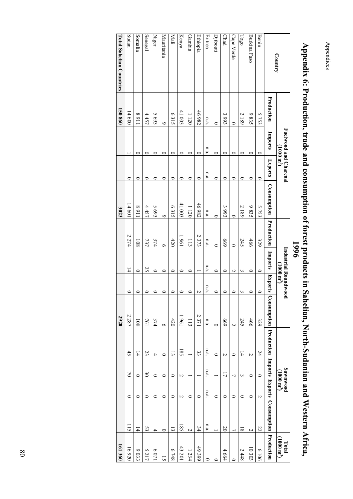Appendices Appendices

|                                 |                |                              |                                 |             |                  | 9661                        |                    |                     |                     |                         |                                |                                                   |                                     |
|---------------------------------|----------------|------------------------------|---------------------------------|-------------|------------------|-----------------------------|--------------------|---------------------|---------------------|-------------------------|--------------------------------|---------------------------------------------------|-------------------------------------|
| Country                         |                | <b>Fuelwood and Charcoal</b> | $(\mathrm{m}~000~\mathrm{m}^2)$ |             |                  | <b>Industrial Roundwood</b> | $\mathbf{m}^{(n)}$ |                     |                     |                         | Sawnwood<br>$(1000~{\rm m}^2)$ |                                                   | $\frac{1}{10}$ otal $\frac{3}{100}$ |
|                                 | Production     | Imports                      | <b>Exports</b>                  | Consumption | Production       | Imports                     |                    | Exports Consumption |                     |                         |                                | Production Imports Exports Consumption Production |                                     |
| Benin                           | 5753           | $\circ$                      | $\circ$                         | 5753        | 329              | $\circ$                     | ⊂                  | 329                 | 24                  | $\circ$                 | $\sim$                         | 22                                                | 9019                                |
| Burkina Faso                    | 9835           | 0                            | $\circ$                         | 9835        | 466              | $\circ$                     | 0                  | 466                 | $\overline{a}$      | $\circ$                 | $\circ$                        | $\overline{C}$                                    | 10 303                              |
| $\Gamma_{\rm OSO}$              | 2189           | 0                            | $\circ$                         | 2189        | 245              | $\tilde{\phantom{a}}$       | ω                  | 245                 | $\overline{4}$      | $\overline{\mathbf{c}}$ | $\circ$                        | $\overline{8}$                                    | 2448                                |
| Cape Verde                      | 0              | 0                            | $\circ$                         | 0           | 0                | N                           | 0                  | $\overline{a}$      | $\circ$             | 7                       | $\circ$                        | 7                                                 |                                     |
| Chad                            | 3993           | $\circ$                      | $\circ$                         | 3993        | 699              | $\circ$                     | $\circ$            | 699                 | N                   | こ                       | $\circ$                        | $\overline{c}$                                    | 4664                                |
| Djibouti                        | ⊂              | ⊂                            | $\circ$                         | ⊂           | ⊂                | $\circ$                     | 0                  | $\circ$             | 0                   |                         | $\circ$                        |                                                   |                                     |
| Eritrea                         | n.a.           | n.a.                         | n.a.                            | n.a.        | n.a.             | n.a.                        | n.a.               | n.a.                | n.a.                | n.a.                    | n.a.                           | n.a.                                              | 0                                   |
| Ethiopia                        | 46982          | ⊂                            | $\circ$                         | 46982       | 2373             |                             | N                  | 2371                | 33                  |                         | $\circ$                        | 34                                                | 49399                               |
| Gambia                          | 1120           | $\circ$                      | $\circ$                         | 1120        | $\overline{113}$ | $\circ$                     | $\circ$            | 113                 |                     |                         | $\circ$                        | $\overline{a}$                                    | 1234                                |
| Kenya                           | 41 003         | ∊                            | $\circ$                         | 41 003      | 1961             | $\circ$                     | $\circ$            | 1961                | $\overline{185}$    | N                       | $\overline{c}$                 | 185                                               | 43201                               |
| Mali                            | 6315           | ⊂                            | $\circ$                         | 6315        | 420              | $\circ$                     | $\circ$            | $420$               | $\overline{\omega}$ | $\circ$                 | $\circ$                        | $\overline{5}$                                    | 8148                                |
| Mauritania                      | $\bullet$      | ∊                            | $\circ$                         | $\bullet$   | Ò                | $\circ$                     | $\circ$            | $\circ$             | $\circ$             | $\circ$                 | $\circ$                        | $\circ$                                           | 51                                  |
| <b>Niger</b>                    | 5693           | ⊂                            | $\circ$                         | 5693        | 374              | $\circ$                     | $\circ$            | 374                 | 4                   | $\circ$                 | $\circ$                        | 4                                                 | 1209                                |
| Senegal                         | 4457           | ∊                            | $\circ$                         | 4457        | 737              | 25                          | $\circ$            | 761                 | 23                  | $\mathfrak{S}$          | $\circ$                        | 53                                                | 5217                                |
| Somalia                         | 1168           | ⊂                            | $\circ$                         | 1168        | 108              | $\circ$                     | 0                  | 108                 | $\overline{4}$      | $\circ$                 | $\circ$                        | $\overline{4}$                                    | 9033                                |
| Sudan                           | 14600          |                              | $\circ$                         | 14601       | 2274             | $\overline{4}$              | $\circ$            | 2287                | $\ddot{t}$          | $\geq$                  | $\circ$                        | Ξ                                                 | 16920                               |
| <b>Lotal Sahelian Conntries</b> | <b>150 860</b> |                              |                                 | 3023        |                  |                             |                    | 2920                |                     |                         |                                |                                                   | 161 360                             |

# **Appendix 6: Production, trade and consumption of forest products in Sahelian, North-Sudanian and Western Africa,** Appendix 6: Production, trade and consumption of forest products in Sahelian, North-Sudanian and Western Africa,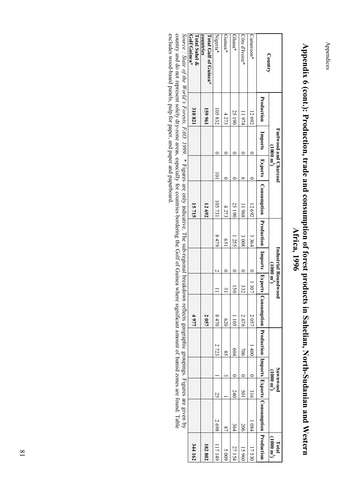Appendices Appendices

| 344 162                       |               |                                         |               | 4977  |                  |                             |                           | 15715                                                                                                                                                                                                                         |                      |                       | 310821     | Golf/Guinea*<br>Total Sahel &      |
|-------------------------------|---------------|-----------------------------------------|---------------|-------|------------------|-----------------------------|---------------------------|-------------------------------------------------------------------------------------------------------------------------------------------------------------------------------------------------------------------------------|----------------------|-----------------------|------------|------------------------------------|
| 182 802                       |               |                                         |               | 2057  |                  |                             |                           | 12 692                                                                                                                                                                                                                        |                      |                       | 159961     | countries<br>Total Gulf of Guinea* |
| 117149                        | 2698          | 25                                      | 2723          | 8470  |                  |                             | 6418                      | 105731                                                                                                                                                                                                                        | $\overline{0}$       |                       | 105832     | Nigeria*                           |
| 600 S                         | $\frac{8}{1}$ |                                         | $\frac{8}{3}$ | 620   |                  |                             | $\widetilde{\mathcal{S}}$ | 4273                                                                                                                                                                                                                          |                      |                       | 4273       | Guinea*                            |
| 27 154                        | 364           | 240                                     | 604           | 1 105 | 50               |                             | 1255                      | 25 190                                                                                                                                                                                                                        |                      |                       | 25 190     | Ghana*                             |
| 15960                         | 206           | 501                                     | 106           | 2676  | 332              |                             | 3008                      | 896 11                                                                                                                                                                                                                        |                      |                       | 11974      | Côte d'Ivoire*                     |
| 17530                         | 1 084         | 316                                     | 1400          | 2057  | $ 0 $ 1307       |                             | 3364                      | 12692                                                                                                                                                                                                                         |                      |                       | 12692      | Cameroon*                          |
|                               |               |                                         |               |       |                  |                             |                           | Imports __ Exparts __ Consumption __ Production __ Imports __ Exports __ Consumption __ Production __ Emperts __ Exports __ Consumption __ Production __ Himports __ Consumption __ Production __ Production __ Production __ |                      |                       | Production |                                    |
| $(1000 \text{ m}^3)$<br>Total |               | <b>Sawnwood</b><br>$(1000 \text{ m}^3)$ |               |       | $\binom{m}{000}$ | <b>Industrial Roundwood</b> |                           |                                                                                                                                                                                                                               | $(1000 \text{ m}^3)$ | Fuelwood and Charcoal |            | Country                            |
|                               |               |                                         |               |       |                  |                             |                           |                                                                                                                                                                                                                               |                      |                       |            |                                    |

# Appendix 6 (cont.): Production, trade and consumption of forest products in Sahelian, North-Sudanian and Western **Appendix 6 (cont.): Production, trade and consumption of forest products in Sahelian, North-Sudanian and Western** Africa, 1996 **Africa, 1996**

excludes wood-based panels, pulp for paper, and paper and paperboard. Source : State of the World's Forests, FAO. 1999. \* Figures are only indicative. The sub-regional breakdown reflects geographic groupings. Figures are given by country and do not represent solely dry-zone areas, especiall *Source : State of the World's Forests, FAO. 1999*excludes wood-based panels, pulp for paper, and paper and paperboard. country and do not represent solely dry-zone areas, especially for countries bordering the Golf of Guinea where significant amount of humid zones are found. Table . \* Figures are only indicative. The sub-regional breakdown reflects geographic groupings. Figures are given by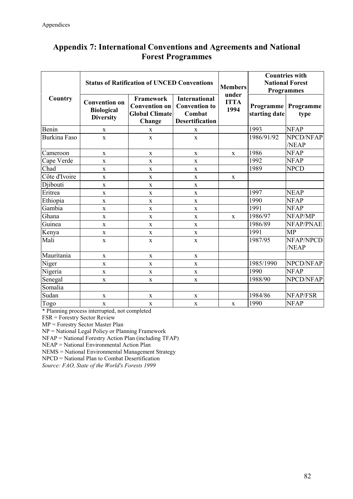## **Appendix 7: International Conventions and Agreements and National Forest Programmes**

|                     |                                                               | <b>Status of Ratification of UNCED Conventions</b>                          |                                                                                  | <b>Members</b><br>under |               | <b>Countries with</b><br><b>National Forest</b><br><b>Programmes</b> |
|---------------------|---------------------------------------------------------------|-----------------------------------------------------------------------------|----------------------------------------------------------------------------------|-------------------------|---------------|----------------------------------------------------------------------|
| Country             | <b>Convention on</b><br><b>Biological</b><br><b>Diversity</b> | Framework<br><b>Convention on</b><br><b>Global Climate</b><br><b>Change</b> | <b>International</b><br><b>Convention to</b><br>Combat<br><b>Desertification</b> | <b>ITTA</b><br>1994     | starting date | <b>Programme</b> Programme<br>type                                   |
| Benin               | $\mathbf X$                                                   | $\mathbf X$                                                                 | $\mathbf X$                                                                      |                         | 1993          | <b>NFAP</b>                                                          |
| <b>Burkina Faso</b> | $\mathbf X$                                                   | $\mathbf X$                                                                 | $\mathbf X$                                                                      |                         | 1986/91/92    | NPCD/NFAP<br>/NEAP                                                   |
| Cameroon            | $\mathbf X$                                                   | $\mathbf X$                                                                 | $\mathbf X$                                                                      | $\mathbf X$             | 1986          | <b>NFAP</b>                                                          |
| Cape Verde          | $\mathbf X$                                                   | $\mathbf X$                                                                 | $\mathbf X$                                                                      |                         | 1992          | <b>NFAP</b>                                                          |
| Chad                | $\mathbf X$                                                   | $\mathbf X$                                                                 | $\mathbf X$                                                                      |                         | 1989          | <b>NPCD</b>                                                          |
| Côte d'Ivoire       | $\mathbf X$                                                   | $\mathbf X$                                                                 | $\mathbf X$                                                                      | $\mathbf X$             |               |                                                                      |
| Djibouti            | $\mathbf X$                                                   | $\mathbf X$                                                                 | $\mathbf X$                                                                      |                         |               |                                                                      |
| Eritrea             | $\mathbf X$                                                   | $\mathbf X$                                                                 | $\mathbf X$                                                                      |                         | 1997          | <b>NEAP</b>                                                          |
| Ethiopia            | $\mathbf X$                                                   | $\mathbf X$                                                                 | $\mathbf X$                                                                      |                         | 1990          | <b>NFAP</b>                                                          |
| Gambia              | $\mathbf X$                                                   | $\mathbf X$                                                                 | $\mathbf X$                                                                      |                         | 1991          | <b>NFAP</b>                                                          |
| Ghana               | $\mathbf X$                                                   | $\mathbf X$                                                                 | $\mathbf X$                                                                      | $\mathbf X$             | 1986/97       | NFAP/MP                                                              |
| Guinea              | $\bf{X}$                                                      | $\mathbf X$                                                                 | $\mathbf X$                                                                      |                         | 1986/89       | NFAP/PNAE                                                            |
| Kenya               | $\mathbf X$                                                   | $\mathbf X$                                                                 | $\mathbf X$                                                                      |                         | 1991          | <b>MP</b>                                                            |
| Mali                | $\mathbf X$                                                   | $\mathbf X$                                                                 | $\mathbf X$                                                                      |                         | 1987/95       | NFAP/NPCD<br>/NEAP                                                   |
| Mauritania          | $\mathbf X$                                                   | $\mathbf X$                                                                 | $\mathbf X$                                                                      |                         |               |                                                                      |
| Niger               | $\mathbf X$                                                   | $\mathbf X$                                                                 | $\mathbf X$                                                                      |                         | 1985/1990     | NPCD/NFAP                                                            |
| Nigeria             | $\mathbf X$                                                   | $\mathbf X$                                                                 | $\mathbf X$                                                                      |                         | 1990          | <b>NFAP</b>                                                          |
| Senegal             | $\mathbf X$                                                   | $\mathbf x$                                                                 | $\mathbf X$                                                                      |                         | 1988/90       | NPCD/NFAP                                                            |
| Somalia             |                                                               |                                                                             |                                                                                  |                         |               |                                                                      |
| Sudan               | $\mathbf X$                                                   | X                                                                           | $\mathbf X$                                                                      |                         | 1984/86       | NFAP/FSR                                                             |
| Togo                | $\mathbf X$                                                   | $\mathbf X$                                                                 | $\mathbf X$                                                                      | $\mathbf X$             | 1990          | <b>NFAP</b>                                                          |

\* Planning process interrupted, not completed

FSR = Forestry Sector Review

MP = Forestry Sector Master Plan

NP = National Legal Policy or Planning Framework

NFAP = National Forestry Action Plan (including TFAP)

NEAP = National Environmental Action Plan

NEMS = National Environmental Management Strategy

NPCD = National Plan to Combat Desertification

*Source: FAO, State of the World's Forests 1999*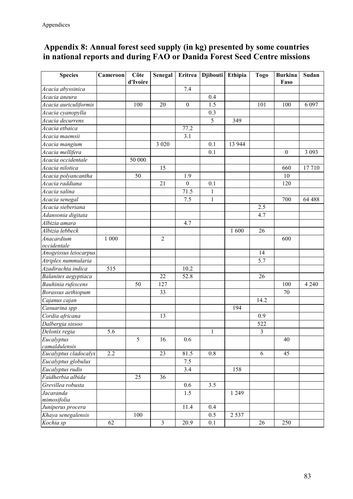## **Appendix 8: Annual forest seed supply (in kg) presented by some countries in national reports and during FAO or Danida Forest Seed Centre missions**

| <b>Species</b>                          | Cameroon | Côte<br>d'Ivoire | Senegal           | <b>Eritrea</b>   | <b>Djibouti</b> | Ethipia | <b>Togo</b>    | <b>Burkina</b><br>Faso | Sudan             |
|-----------------------------------------|----------|------------------|-------------------|------------------|-----------------|---------|----------------|------------------------|-------------------|
| Acacia abyssinica                       |          |                  |                   | 7.4              |                 |         |                |                        |                   |
| Acacia aneura                           |          |                  |                   |                  | 0.4             |         |                |                        |                   |
| Acacia auriculiformis                   |          | 100              | 20                | $\boldsymbol{0}$ | 1.5             |         | 101            | 100                    | 6 0 9 7           |
| Acacia cyanopylla                       |          |                  |                   |                  | 0.3             |         |                |                        |                   |
| Acacia decurrens                        |          |                  |                   |                  | 5               | 349     |                |                        |                   |
| Acacia etbaica                          |          |                  |                   | 77.2             |                 |         |                |                        |                   |
| Acacia maemsii                          |          |                  |                   | 3.1              |                 |         |                |                        |                   |
| Acacia mangium                          |          |                  | $\overline{3}020$ |                  | 0.1             | 13 944  |                |                        |                   |
| Acacia mellifera                        |          |                  |                   |                  | 0.1             |         |                | $\boldsymbol{0}$       | $\overline{3}093$ |
| Acacia occidentale                      |          | 50 000           |                   |                  |                 |         |                |                        |                   |
| Acacia nilotica                         |          |                  | 15                |                  |                 |         |                | 660                    | 17710             |
| Acacia polyancantha                     |          | 50               |                   | 1.9              |                 |         |                | 10                     |                   |
| Acacia raddiana                         |          |                  | $\overline{21}$   | $\mathbf{0}$     | 0.1             |         |                | 120                    |                   |
| Acacia salina                           |          |                  |                   | 71.5             | $\mathbf{1}$    |         |                |                        |                   |
| Acacia senegal                          |          |                  |                   | 7.5              | $\mathbf{1}$    |         |                | 700                    | 64 488            |
| Acacia sieberiana                       |          |                  |                   |                  |                 |         | 2.5            |                        |                   |
| Adansonia digitata                      |          |                  |                   |                  |                 |         | 4.7            |                        |                   |
| Albizia amara                           |          |                  |                   | 4.7              |                 |         |                |                        |                   |
| Albizia lebbeck                         |          |                  |                   |                  |                 | 1 600   | 26             |                        |                   |
| Anacardium                              | 1 000    |                  | $\overline{2}$    |                  |                 |         |                | 600                    |                   |
| occidentale                             |          |                  |                   |                  |                 |         |                |                        |                   |
| Anogeissus leiocarpus                   |          |                  |                   |                  |                 |         | 14             |                        |                   |
| Atriplex nummularia                     |          |                  |                   |                  |                 |         | 5.7            |                        |                   |
| Azadirachta indica                      | 515      |                  |                   | 10.2             |                 |         |                |                        |                   |
| Balanites aegyptiaca                    |          |                  | 22                | 52.8             |                 |         | 26             |                        |                   |
| Bauhinia rufescens                      |          | 50               | 127               |                  |                 |         |                | 100                    | 4 2 4 0           |
| Borassus aethiopum                      |          |                  | 33                |                  |                 |         |                | 70                     |                   |
| Cajanus cajan                           |          |                  |                   |                  |                 |         | 14.2           |                        |                   |
| Casuarina spp                           |          |                  |                   |                  |                 | 194     |                |                        |                   |
| Cordia africana                         |          |                  | 13                |                  |                 |         | 0.9            |                        |                   |
| Dalbergia sissoo                        |          |                  |                   |                  |                 |         | 522            |                        |                   |
| Delonix regia                           | 5.6      |                  |                   |                  | $\mathbf{1}$    |         | $\mathfrak{Z}$ |                        |                   |
| Eucalyptus                              |          | 5                | 16                | 0.6              |                 |         |                | 40                     |                   |
| camaldulensis                           |          |                  |                   |                  |                 |         |                |                        |                   |
| Eucalyptus cladocalyx                   | 2.2      |                  | 23                | 81.5             | 0.8             |         | 6              | 45                     |                   |
| Eucalyptus globulus                     |          |                  |                   | 7.5              |                 |         |                |                        |                   |
| Eucalyptus rudis                        |          |                  |                   | 3.4              |                 | 158     |                |                        |                   |
| Faidherbia albida                       |          | 25               | 36                |                  |                 |         |                |                        |                   |
| Grevillea robusta                       |          |                  |                   | 0.6              | 3.5             |         |                |                        |                   |
| Jacaranda                               |          |                  |                   | 1.5              |                 | 1 2 4 9 |                |                        |                   |
| mimosifolia                             |          |                  |                   | 11.4             | 0.4             |         |                |                        |                   |
| Juniperus procera<br>Khaya senegalensis |          | 100              |                   |                  | 0.5             | 2 5 3 7 |                |                        |                   |
|                                         | 62       |                  | $\mathfrak{Z}$    | 20.9             | 0.1             |         |                | 250                    |                   |
| Kochia sp                               |          |                  |                   |                  |                 |         | 26             |                        |                   |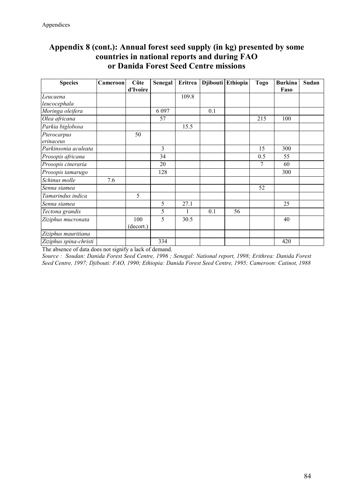## **Appendix 8 (cont.): Annual forest seed supply (in kg) presented by some countries in national reports and during FAO or Danida Forest Seed Centre missions**

| <b>Species</b>         | Cameroon | Côte      | Senegal | Eritrea |     | Djibouti Ethiopia | <b>Togo</b> | <b>Burkina</b> | Sudan |
|------------------------|----------|-----------|---------|---------|-----|-------------------|-------------|----------------|-------|
|                        |          | d'Ivoire  |         |         |     |                   |             | Faso           |       |
| Leucaena               |          |           |         | 109.8   |     |                   |             |                |       |
| leucocephala           |          |           |         |         |     |                   |             |                |       |
| Moringa oleifera       |          |           | 6 0 9 7 |         | 0.1 |                   |             |                |       |
| Olea africana          |          |           | 57      |         |     |                   | 215         | 100            |       |
| Parkia biglobosa       |          |           |         | 15.5    |     |                   |             |                |       |
| Pterocarpus            |          | 50        |         |         |     |                   |             |                |       |
| erinaceus              |          |           |         |         |     |                   |             |                |       |
| Parkinsonia aculeata   |          |           | 3       |         |     |                   | 15          | 300            |       |
| Prosopis africana      |          |           | 34      |         |     |                   | 0.5         | 55             |       |
| Prosopis cineraria     |          |           | 20      |         |     |                   | 7           | 60             |       |
| Prosopis tamarugo      |          |           | 128     |         |     |                   |             | 300            |       |
| Schinus molle          | 7.6      |           |         |         |     |                   |             |                |       |
| Senna siamea           |          |           |         |         |     |                   | 52          |                |       |
| Tamarindus indica      |          | 5         |         |         |     |                   |             |                |       |
| Senna siamea           |          |           | 5       | 27.1    |     |                   |             | 25             |       |
| Tectona grandis        |          |           | 5       |         | 0.1 | 56                |             |                |       |
| Ziziphus mucronata     |          | 100       | 5       | 30.5    |     |                   |             | 40             |       |
|                        |          | (decort.) |         |         |     |                   |             |                |       |
| Ziziphus mauritiana    |          |           |         |         |     |                   |             |                |       |
| Ziziphus spina-christi |          |           | 334     |         |     |                   |             | 420            |       |

The absence of data does not signify a lack of demand.

*Source : Soudan: Danida Forest Seed Centre, 1996 ; Senegal: National report, 1998; Erithrea: Danida Forest Seed Centre, 1997; Djibouti: FAO, 1990; Ethiopia: Danida Forest Seed Centre, 1995; Cameroon: Catinot, 1988*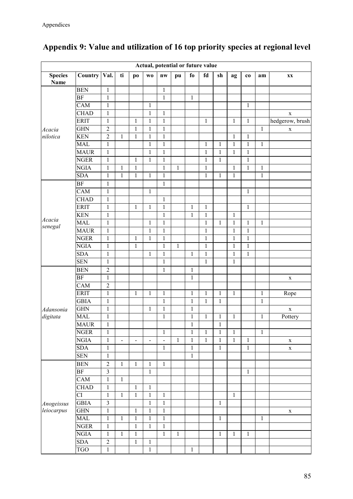|                               |                        |                  |                |                          |                              | Actual, potential or future value |              |              |              |              |              |              |              |                        |
|-------------------------------|------------------------|------------------|----------------|--------------------------|------------------------------|-----------------------------------|--------------|--------------|--------------|--------------|--------------|--------------|--------------|------------------------|
| <b>Species</b><br><b>Name</b> | Country                | Val.             | ti             | po                       | W <sub>0</sub>               | nw                                | pu           | fo           | fd           | sh           | ag           | co           | am           | $\mathbf{X}\mathbf{X}$ |
|                               | <b>BEN</b>             | $\mathbf{1}$     |                |                          |                              | $\mathbf{1}$                      |              |              |              |              |              |              |              |                        |
|                               | <b>BF</b>              | $\mathbf{1}$     |                |                          |                              | $\mathbf{1}$                      |              | $\mathbf{1}$ |              |              |              |              |              |                        |
|                               | CAM                    | $\mathbf{1}$     |                |                          | $\mathbf{1}$                 |                                   |              |              |              |              |              | 1            |              |                        |
|                               | <b>CHAD</b>            | $\mathbf{1}$     |                |                          | $\,1$                        | $\mathbf{1}$                      |              |              |              |              |              |              |              | $\mathbf X$            |
|                               | <b>ERIT</b>            | $\mathbf{1}$     |                | 1                        | $\,1$                        | $\mathbf{1}$                      |              |              | 1            |              | $\mathbf{1}$ | 1            |              | hedgerow, brush        |
| Acacia                        | <b>GHN</b>             | $\overline{2}$   |                | $\mathbf 1$              | $\mathbf{1}$                 | $\mathbf{1}$                      |              |              |              |              |              |              | $\mathbf{1}$ | X                      |
| nilotica                      | <b>KEN</b>             | $\boldsymbol{2}$ | $\,1$          | $\mathbf{1}$             | $\mathbf{1}$                 | $\mathbf{1}$                      |              |              |              |              | $\mathbf{1}$ | $\mathbf{1}$ |              |                        |
|                               | <b>MAL</b>             | $\mathbf{1}$     |                |                          | $\,1$                        | $\mathbf{1}$                      |              |              | $\,1\,$      | $\mathbf{1}$ | $\mathbf{1}$ | $\mathbf{1}$ | $\mathbf{1}$ |                        |
|                               | <b>MAUR</b>            | $\,1$            |                |                          | $\mathbf 1$                  | $\,1$                             |              |              | $\mathbf{1}$ | $\mathbf{1}$ | $\mathbf{1}$ | $\mathbf{1}$ |              |                        |
|                               | <b>NGER</b>            | $\mathbf{1}$     |                | $\mathbf{1}$             | $\mathbf{1}$                 | $\,1$                             |              |              | $\mathbf{1}$ | $\mathbf{1}$ |              | $\mathbf{1}$ |              |                        |
|                               | <b>NGIA</b>            | $\,1$            | $\,1\,$        | $\,1$                    |                              | $\mathbf{1}$                      | $\mathbf{1}$ |              | $\,1$        |              | $\mathbf{1}$ | $\mathbf{1}$ | $\mathbf{1}$ |                        |
|                               | <b>SDA</b>             | $\mathbf{1}$     | $\mathbf 1$    | $\mathbf{1}$             | $\mathbf{1}$                 | $\mathbf{1}$                      |              |              | $\mathbf{1}$ | $\mathbf{1}$ | $\mathbf{1}$ |              | $\mathbf{1}$ |                        |
|                               | BF                     | $\mathbf{1}$     |                |                          |                              | $\mathbf{1}$                      |              |              |              |              |              |              |              |                        |
|                               | $\overline{C}AM$       | $\mathbf{1}$     |                |                          | 1                            |                                   |              |              |              |              |              | $\mathbf{1}$ |              |                        |
|                               | <b>CHAD</b>            | $\mathbf{1}$     |                |                          |                              | $\,1$                             |              |              |              |              |              |              |              |                        |
|                               | <b>ERIT</b>            | $\mathbf{1}$     |                | $\mathbf{1}$             | $\mathbf{1}$                 | $\,1$                             |              | $\,1$        | $\mathbf{1}$ |              |              | $\mathbf{1}$ |              |                        |
|                               | <b>KEN</b>             | $\mathbf{1}$     |                |                          |                              | $\mathbf{1}$                      |              | $\mathbf{1}$ | $\mathbf 1$  |              | $\mathbf{1}$ |              |              |                        |
| Acacia                        | <b>MAL</b>             | $\mathbf{1}$     |                |                          | $\,1\,$                      | $\mathbf{1}$                      |              |              | $\mathbf 1$  | $\mathbf{1}$ | $\mathbf 1$  | $\mathbf{1}$ | $\mathbf{1}$ |                        |
| senegal                       | <b>MAUR</b>            | $\mathbf{1}$     |                |                          | $\mathbf 1$                  | $\,1$                             |              |              | $\mathbf{1}$ |              | $\mathbf{1}$ | $\mathbf{1}$ |              |                        |
|                               | <b>NGER</b>            | $\mathbf{1}$     |                | $\mathbf{1}$             | $\,1\,$                      | $\,1$                             |              |              | $\mathbf{1}$ |              | $\mathbf{1}$ | $\mathbf{1}$ |              |                        |
| Adansonia                     | <b>NGIA</b>            | $\mathbf{1}$     |                | $\mathbf{1}$             |                              | $\mathbf{1}$                      | $\mathbf{1}$ |              | $\mathbf 1$  |              | $\mathbf{1}$ | $\,1$        |              |                        |
|                               | <b>SDA</b>             | $\mathbf{1}$     |                |                          | $\mathbf{1}$                 | $\mathbf{1}$                      |              | $\mathbf{1}$ | $\mathbf 1$  |              | $\mathbf 1$  | $\mathbf{1}$ |              |                        |
|                               | <b>SEN</b>             | $\mathbf{1}$     |                |                          |                              | $\mathbf{1}$                      |              |              | $\mathbf{1}$ |              | $\mathbf{1}$ |              |              |                        |
|                               | <b>BEN</b>             | $\overline{2}$   |                |                          |                              | $\mathbf{1}$                      |              | $\mathbf{1}$ |              |              |              |              |              |                        |
|                               | <b>BF</b>              | $\,1$            |                |                          |                              |                                   |              | $\mathbf{1}$ |              |              |              |              |              | $\mathbf X$            |
|                               | CAM                    | $\overline{2}$   |                |                          |                              |                                   |              |              |              |              |              |              |              |                        |
|                               | <b>ERIT</b>            | $\mathbf{1}$     |                | $\mathbf{1}$             | $\mathbf{1}$                 | 1                                 |              | $\mathbf{1}$ | $\mathbf{1}$ | $\mathbf{1}$ | $\mathbf{1}$ |              | $\mathbf{1}$ | Rope                   |
|                               | <b>GBIA</b>            | $\mathbf{1}$     |                |                          |                              | $\mathbf{1}$                      |              | $\mathbf{1}$ | $\mathbf{1}$ | $\mathbf{1}$ |              |              | $\,1\,$      |                        |
|                               | <b>GHN</b>             | $\mathbf{1}$     |                |                          | 1                            | $\mathbf{1}$                      |              | $\mathbf{1}$ |              |              |              |              |              | $\mathbf X$            |
| digitata                      | <b>MAL</b>             | $\mathbf{1}$     |                |                          |                              | $\,1$                             |              | $\,1$        | $\mathbf{1}$ | $\mathbf{1}$ | $\mathbf{1}$ |              | $\mathbf{1}$ | Pottery                |
|                               | <b>MAUR</b>            | $\,1$            |                |                          |                              |                                   |              | $\mathbf{1}$ |              | $\mathbf{1}$ |              |              |              |                        |
|                               | <b>NGER</b>            | $\mathbf{1}$     |                |                          |                              | $\mathbf{1}$                      |              | $\mathbf{1}$ | $\mathbf{1}$ | $\mathbf{1}$ | $\,1\,$      |              | $\mathbf{1}$ |                        |
|                               | <b>NGIA</b>            | $\mathbf{1}$     | $\blacksquare$ | $\overline{\phantom{a}}$ | $\qquad \qquad \blacksquare$ | $\overline{a}$                    | $\mathbf{1}$ | $\mathbf{1}$ | $\mathbf{1}$ | $\mathbf{1}$ | $\,1\,$      | $\mathbf{1}$ |              | $\mathbf X$            |
|                               | <b>SDA</b>             | $\mathbf{1}$     |                |                          |                              | $\mathbf{1}$                      |              | $\mathbf{1}$ |              | $\mathbf{1}$ |              | $\mathbf{1}$ |              | $\mathbf X$            |
|                               | <b>SEN</b>             | $\mathbf{1}$     |                |                          |                              |                                   |              | $\mathbf{1}$ |              |              |              |              |              |                        |
|                               | <b>BEN</b>             | $\boldsymbol{2}$ | $\,1$          | $\mathbf{1}$             | $\mathbf{1}$                 | $\mathbf{1}$                      |              |              |              |              |              |              |              |                        |
|                               | BF                     | $\overline{3}$   |                |                          | $\mathbf{1}$                 |                                   |              |              |              |              |              | $\mathbf{1}$ |              |                        |
|                               | CAM                    | $\mathbbm{1}$    | $\,1$          |                          |                              |                                   |              |              |              |              |              |              |              |                        |
|                               | <b>CHAD</b>            | $\,1\,$          |                | $\mathbf{1}$             | $\mathbf{1}$                 |                                   |              |              |              |              |              |              |              |                        |
|                               | $\overline{\text{CI}}$ | $\,1\,$          | $\,1$          | $\mathbf{1}$             | $\,1$                        | $\mathbf{1}$                      |              |              |              |              | $\mathbf{1}$ |              |              |                        |
| Anogeissus                    | <b>GBIA</b>            | $\overline{3}$   |                |                          | $\mathbf{1}$                 | $\mathbf{1}$                      |              |              |              | $\,1$        |              |              |              |                        |
| leiocarpus                    | <b>GHN</b>             | $\mathbf{1}$     |                | $\mathbf 1$              | $\,1\,$                      | $\,1$                             |              |              |              |              |              |              |              | X                      |
|                               | <b>MAL</b>             | $\,1$            | $\,1$          | $\,1$                    | $\mathbf 1$                  | $\,1$                             |              |              |              | $\,1$        |              |              | $\,1$        |                        |
|                               | <b>NGER</b>            | $\mathbf{1}$     |                | $\mathbf{1}$             | $\,1\,$                      | $\mathbf{1}$                      |              |              |              |              |              |              |              |                        |
|                               | <b>NGIA</b>            | $\,1$            | $\,1$          | $\,1$                    |                              | $\mathbf{1}$                      | $\mathbf{1}$ |              |              | $\mathbf{1}$ | $\mathbf{1}$ | $\mathbf{1}$ |              |                        |
|                               | <b>SDA</b>             | $\overline{2}$   |                | $\,1$                    | $\,1$                        |                                   |              |              |              |              |              |              |              |                        |
|                               | <b>TGO</b>             | $\,1$            |                |                          | $\mathbf{1}$                 |                                   |              | $\mathbf{1}$ |              |              |              |              |              |                        |

## **Appendix 9: Value and utilization of 16 top priority species at regional level**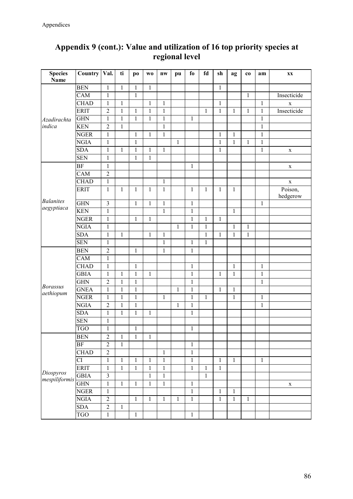| <b>Species</b>               | Country   Val. |                         | ti           | p <sub>o</sub> | W <sub>0</sub> | nw           | pu           | fo           | fd           | sh           | ag           | co           | am           | <b>XX</b>           |
|------------------------------|----------------|-------------------------|--------------|----------------|----------------|--------------|--------------|--------------|--------------|--------------|--------------|--------------|--------------|---------------------|
| <b>Name</b>                  |                |                         |              |                |                |              |              |              |              |              |              |              |              |                     |
|                              | <b>BEN</b>     | $\mathbf{1}$            | $\,1$        | $\mathbf{1}$   | $\mathbf{1}$   |              |              |              |              | $\mathbf{1}$ |              |              |              |                     |
|                              | CAM            | $\mathbf{1}$            |              | $\mathbf{1}$   |                |              |              |              |              |              |              | $\mathbf{1}$ |              | Insecticide         |
|                              | <b>CHAD</b>    | $\mathbf{1}$            | $\,1$        |                | $\mathbf{1}$   | $\mathbf{1}$ |              |              |              | $\,1$        |              |              | $\mathbf{1}$ | $\mathbf X$         |
|                              | <b>ERIT</b>    | $\overline{c}$          | $\,1$        | $\mathbf{1}$   | $\mathbf{1}$   | $\mathbf{1}$ |              |              | 1            | $\mathbf{1}$ | 1            | 1            | $\mathbf{1}$ | Insecticide         |
| Azadirachta                  | GHN            | $\mathbf{1}$            | $\,1$        | $\mathbf{1}$   | $\mathbf{1}$   | $\mathbf{1}$ |              | 1            |              |              |              |              | $\mathbf{1}$ |                     |
| indica                       | <b>KEN</b>     | $\overline{2}$          | $\,1$        |                |                | $\mathbf{1}$ |              |              |              |              |              |              | $\mathbf{1}$ |                     |
|                              | <b>NGER</b>    | $\mathbf{1}$            |              | $\mathbf{1}$   | $\mathbf{1}$   | $\mathbf{1}$ |              |              |              | 1            | $\mathbf{1}$ |              | $\mathbf{1}$ |                     |
|                              | <b>NGIA</b>    | $\mathbf{1}$            |              | $\,1$          |                |              | $\mathbf{1}$ |              |              | $\,1\,$      | $\mathbf 1$  | $\mathbf{1}$ | $\,1$        |                     |
|                              | <b>SDA</b>     | $\mathbf{1}$            | 1            | $\mathbf{1}$   | $\mathbf{1}$   | 1            |              |              |              | $\mathbf{1}$ |              |              | $\,1\,$      | $\mathbf X$         |
|                              | <b>SEN</b>     | $\mathbf{1}$            |              | $\mathbf{1}$   | $\,1$          |              |              |              |              |              |              |              |              |                     |
|                              | <b>BF</b>      | $\mathbf{1}$            |              |                |                |              |              | $\mathbf{1}$ |              |              |              |              |              | $\mathbf X$         |
|                              | CAM            | $\overline{2}$          |              |                |                |              |              |              |              |              |              |              |              |                     |
|                              | <b>CHAD</b>    | $\mathbf{1}$            |              |                |                | $\mathbf{1}$ |              |              |              |              |              |              |              | $\mathbf X$         |
|                              | <b>ERIT</b>    | $\,1\,$                 | $\mathbf{1}$ | $\mathbf{1}$   | $\mathbf{1}$   | $\mathbf{1}$ |              | $\mathbf{1}$ | $\mathbf{1}$ | $\mathbf{1}$ | $\mathbf{1}$ |              |              | Poison,<br>hedgerow |
| <b>Balanites</b>             | <b>GHN</b>     | $\mathfrak{Z}$          |              | $\mathbf{1}$   | $\mathbf{1}$   | $\mathbf{1}$ |              | $\mathbf{1}$ |              |              |              |              | $\mathbf{1}$ |                     |
| aegyptiaca                   | <b>KEN</b>     | $\mathbf{1}$            |              |                |                | $\mathbf{1}$ |              | $\mathbf{1}$ |              |              | $\mathbf{1}$ |              |              |                     |
|                              | <b>NGER</b>    | $\mathbf{1}$            |              | $\mathbf{1}$   | $\,1$          |              |              | $\mathbf{1}$ | $\mathbf{1}$ | $\mathbf{1}$ |              |              |              |                     |
|                              | <b>NGIA</b>    | $\mathbf{1}$            |              |                |                |              | $\mathbf{1}$ | 1            | $\mathbf{1}$ |              | $\mathbf{1}$ | $\mathbf{1}$ |              |                     |
|                              | <b>SDA</b>     | $\mathbf{1}$            | $\,1$        |                | $\,1$          | $\mathbf{1}$ |              |              | $\mathbf{1}$ | $\mathbf{1}$ | $\mathbf 1$  | $\mathbf{1}$ |              |                     |
|                              | <b>SEN</b>     | $\mathbf{1}$            |              |                |                | $\mathbf{1}$ |              | 1            | 1            |              |              |              |              |                     |
| <b>Borassus</b><br>aethiopum | <b>BEN</b>     | $\overline{c}$          |              | $\,1\,$        |                | $\mathbf{1}$ |              | $\mathbf{1}$ |              |              |              |              |              |                     |
|                              | CAM            | $\mathbf{1}$            |              |                |                |              |              |              |              |              |              |              |              |                     |
|                              | <b>CHAD</b>    | $\mathbf 1$             |              | $\mathbf{1}$   |                |              |              | $\mathbf{1}$ |              |              | $\mathbf{1}$ |              | $\mathbf{1}$ |                     |
|                              | <b>GBIA</b>    | $\mathbf{1}$            | $\,1$        | $\mathbf 1$    | $\mathbf 1$    |              |              | $\mathbf{1}$ |              | 1            | $\mathbf 1$  |              | $\mathbf{1}$ |                     |
|                              | <b>GHN</b>     | $\overline{c}$          | $\,1$        | $\,1\,$        |                |              |              | $\mathbf{1}$ |              |              |              |              | $\,1\,$      |                     |
|                              | <b>GNEA</b>    | $\mathbf 1$             | $\,1$        | $\mathbf{1}$   |                |              | $\mathbf{1}$ | $\mathbf{1}$ |              | $\mathbf{1}$ | $\mathbf{1}$ |              |              |                     |
|                              | <b>NGER</b>    | $\mathbf{1}$            | $\,1$        | $\mathbf{1}$   |                | $\mathbf{1}$ |              | $\mathbf{1}$ | $\mathbf{1}$ |              | $\mathbf{1}$ |              | $\mathbf{1}$ |                     |
|                              | <b>NGIA</b>    | $\overline{c}$          | $\mathbf 1$  | $\mathbf{1}$   |                |              | $\mathbf{1}$ | $\mathbf{1}$ |              |              |              |              | $\mathbf{1}$ |                     |
|                              | <b>SDA</b>     | $\mathbf{1}$            | $\,1$        | $\mathbf{1}$   | $\mathbf{1}$   |              |              | $\mathbf{1}$ |              |              |              |              |              |                     |
|                              | <b>SEN</b>     | $\mathbf{1}$            |              |                |                |              |              |              |              |              |              |              |              |                     |
|                              | <b>TGO</b>     | $\mathbf{1}$            |              | $\,1$          |                |              |              | $\mathbf{1}$ |              |              |              |              |              |                     |
|                              | <b>BEN</b>     | $\overline{2}$          | $\,1$        | $\,1$          | $\,1$          |              |              |              |              |              |              |              |              |                     |
|                              | <b>BF</b>      | $\overline{2}$          | $\mathbf{1}$ |                |                |              |              | 1            |              |              |              |              |              |                     |
|                              | <b>CHAD</b>    | $\overline{c}$          |              |                |                | $\mathbf{1}$ |              | $\,1\,$      |              |              |              |              |              |                     |
|                              | <b>CI</b>      | $\mathbf{1}$            | $\mathbf{1}$ | 1              | $\mathbf{1}$   | $\mathbf{1}$ |              | $\mathbf{1}$ |              | 1            | $\mathbf{1}$ |              | $\mathbf{1}$ |                     |
|                              | <b>ERIT</b>    | $\mathbf{1}$            | $\mathbf{1}$ | $\mathbf{1}$   | $\mathbf{1}$   | $\mathbf{1}$ |              | $\mathbf{1}$ | $\mathbf{1}$ | $\mathbf{1}$ |              |              |              |                     |
| Diospyros<br>mespiliformis   | <b>GBIA</b>    | $\overline{\mathbf{3}}$ |              |                | $\mathbf{1}$   | $\mathbf{1}$ |              |              | $\mathbf{1}$ |              |              |              |              |                     |
|                              | <b>GHN</b>     | $\mathbf{1}$            | $\mathbf 1$  | $\mathbf{1}$   | $\mathbf{1}$   | $\mathbf{1}$ |              | $\mathbf{1}$ |              |              |              |              |              | $\mathbf X$         |
|                              | <b>NGER</b>    | $\mathbf{1}$            |              |                |                |              |              | $\mathbf{1}$ |              | $\mathbf{1}$ | $\mathbf{1}$ |              |              |                     |
|                              | <b>NGIA</b>    | $\overline{2}$          |              | $\mathbf{1}$   | $\mathbf 1$    | 1            | 1            | $\mathbf{1}$ |              | $\mathbf{1}$ | $\mathbf{1}$ | $\mathbf{1}$ |              |                     |
|                              | SDA            | $\overline{2}$          | $\,1$        |                |                |              |              |              |              |              |              |              |              |                     |
|                              | <b>TGO</b>     | $\mathbf{1}$            |              | $\mathbf{1}$   |                |              |              | $\mathbf 1$  |              |              |              |              |              |                     |

## **Appendix 9 (cont.): Value and utilization of 16 top priority species at regional level**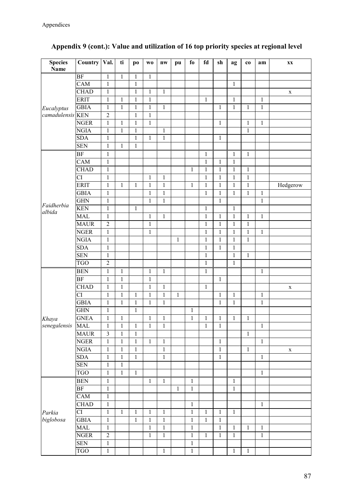| <b>Species</b><br><b>Name</b> | Country     | Val.                    | ti           | po           | W <sub>0</sub> | nw           | pu           | fo             | $\mathbf{fd}$ | sh            | ag           | co           | am           | $\mathbf{X}\mathbf{X}$ |
|-------------------------------|-------------|-------------------------|--------------|--------------|----------------|--------------|--------------|----------------|---------------|---------------|--------------|--------------|--------------|------------------------|
|                               | <b>BF</b>   | $\mathbf{1}$            | $\,1$        | $\mathbf{1}$ | $\mathbf{1}$   |              |              |                |               |               |              |              |              |                        |
|                               | CAM         | $\mathbf{1}$            |              | $\mathbf{1}$ |                |              |              |                |               |               | $\mathbf{1}$ |              |              |                        |
|                               | <b>CHAD</b> | $\mathbf{1}$            |              | $\mathbf{1}$ | $\mathbf{1}$   | $\mathbf{1}$ |              |                |               |               |              |              |              | $\mathbf X$            |
|                               | <b>ERIT</b> | $\mathbf 1$             | $\mathbf{1}$ | $\mathbf{1}$ | $\mathbf{1}$   |              |              |                | $\mathbf{1}$  |               | $\,1\,$      |              | $\mathbf{1}$ |                        |
| Eucalyptus                    | <b>GBIA</b> | $\,1$                   | $\,1\,$      | $\,1$        | $\,1$          | $\mathbf{1}$ |              |                |               | 1             | $\mathbf 1$  | 1            | $\,1$        |                        |
| camadulensis <sup>KEN</sup>   |             | $\overline{c}$          |              | $\,1$        | $\,1$          |              |              |                |               |               |              |              |              |                        |
|                               | <b>NGER</b> | $\mathbf{1}$            | $\mathbf{1}$ | $\,1$        | $\mathbf 1$    |              |              |                |               | 1             |              | 1            | $\mathbf{1}$ |                        |
|                               | <b>NGIA</b> | $\mathbf{1}$            | $\mathbf 1$  | $\mathbf{1}$ |                | $\mathbf{1}$ |              |                |               |               |              | $\mathbf{1}$ |              |                        |
|                               | <b>SDA</b>  | $\mathbf{1}$            |              | $\,1$        | $\mathbf{1}$   | $\mathbf{1}$ |              |                |               | $\mathbf{1}$  |              |              |              |                        |
|                               | <b>SEN</b>  | $\mathbf 1$             | $\mathbf{1}$ | $\mathbf{1}$ |                |              |              |                |               |               |              |              |              |                        |
|                               | <b>BF</b>   | $\mathbf{1}$            |              |              |                |              |              |                | $\mathbf{1}$  |               | $\mathbf{1}$ | $\mathbf{1}$ |              |                        |
|                               | CAM         | $\mathbf 1$             |              |              |                |              |              |                | $\mathbf{1}$  | 1             | $\mathbf{1}$ |              |              |                        |
|                               | <b>CHAD</b> | $\mathbf{1}$            |              |              |                |              |              | $\mathbf{1}$   | $\mathbf{1}$  | $\mathbf{1}$  | $\mathbf{1}$ | $\mathbf{1}$ |              |                        |
|                               | <b>CI</b>   | $\mathbf{1}$            |              |              | $\mathbf 1$    | $\mathbf{1}$ |              |                | $\mathbf{1}$  | $\mathbf 1$   | $\mathbf 1$  | $\,1$        |              |                        |
|                               | <b>ERIT</b> | $\mathbf{1}$            | $\mathbf{1}$ | $\,1$        | $\mathbf{1}$   | $\mathbf{1}$ |              | $\mathbf{1}$   | $\mathbf{1}$  | $\mathbf{1}$  | $\mathbf{1}$ | $\mathbf{1}$ |              | Hedgerow               |
|                               | <b>GBIA</b> | $\mathbf{1}$            |              |              | $\,1$          | $\mathbf{1}$ |              |                | $\mathbf{1}$  | $\mathbf{1}$  | $\mathbf{1}$ | $\mathbf{1}$ | $\mathbf{1}$ |                        |
|                               | <b>GHN</b>  | $\mathbf{1}$            |              |              | $\,1$          | $\mathbf{1}$ |              |                |               | $\mathbf{1}$  |              |              | $\mathbf{1}$ |                        |
| Faidherbia<br>albida          | <b>KEN</b>  | $\,1$                   |              | $\mathbf{1}$ |                |              |              |                | $\mathbf{1}$  |               | 1            |              |              |                        |
|                               | <b>MAL</b>  | $\mathbf{1}$            |              |              | $\mathbf{1}$   | $\mathbf{1}$ |              |                | $\,1\,$       | $\mathbf{1}$  | $\mathbf{1}$ | $\mathbf{1}$ | $\mathbf{1}$ |                        |
|                               | <b>MAUR</b> | $\sqrt{2}$              |              |              | $\,1$          |              |              |                | $\mathbf{1}$  | $\mathbf{1}$  | $\mathbf{1}$ | $\,1$        |              |                        |
|                               | <b>NGER</b> | $\mathbf{1}$            |              |              | $\,1$          |              |              |                | $\,1\,$       | $\mathbf{1}$  | $\mathbf 1$  | $\mathbf{1}$ | $\mathbf{1}$ |                        |
|                               | <b>NGIA</b> | $\mathbf{1}$            |              |              |                |              | 1            |                | $\mathbf{1}$  | $\mathbf{1}$  | $\mathbf{1}$ | $\,1$        |              |                        |
|                               | <b>SDA</b>  | $\mathbf{1}$            |              |              |                |              |              |                | $\mathbf{1}$  | $\mathbf 1$   | $\mathbf{1}$ |              |              |                        |
| Khaya<br>senegalensis         | <b>SEN</b>  | $\mathbf{1}$            |              |              |                |              |              |                | $\,1$         |               | $\mathbf{1}$ | $\,1$        |              |                        |
|                               | <b>TGO</b>  | $\overline{2}$          |              |              |                |              |              |                | $\,1\,$       |               | $\mathbf 1$  |              |              |                        |
|                               | <b>BEN</b>  | $\mathbf{1}$            | $\mathbf{1}$ |              | $\mathbf{1}$   | $\mathbf{1}$ |              |                | $\mathbf{1}$  |               |              |              | $\mathbf{1}$ |                        |
|                               | <b>BF</b>   | $\mathbf 1$             | $\,1$        |              | $\,1$          |              |              |                |               | $\mathbf{1}$  |              |              |              |                        |
|                               | <b>CHAD</b> | $\mathbf{1}$            | $\mathbf{1}$ |              | $\mathbf{1}$   | 1            |              |                | 1             |               |              |              |              | $\mathbf X$            |
|                               | <b>CI</b>   | $\mathbf{1}$            | $\,1$        | $\mathbf{1}$ | $\mathbf{1}$   | $\mathbf{1}$ | $\mathbf{1}$ |                |               | $\mathbf{1}$  | $\mathbf 1$  |              | $\,1\,$      |                        |
|                               | <b>GBIA</b> | $\,1$                   | $\,1$        | $\,1\,$      | $\mathbf 1$    | $\mathbf{1}$ |              |                |               | $\mathbbm{1}$ | $\mathbf{1}$ |              | $\mathbf{1}$ |                        |
|                               | <b>GHN</b>  | $\mathbf{1}$            |              | $\mathbf{1}$ |                |              |              | $\mathbf{1}$   |               |               |              |              |              |                        |
|                               | <b>GNEA</b> | $\mathbf 1$             | $\,1$        |              | $\,1$          | $\mathbf{1}$ |              | $\mathbf{1}$   | $\mathbf{1}$  | $\mathbf{1}$  | $\mathbf{1}$ | $\mathbf{1}$ |              |                        |
|                               | <b>MAL</b>  | 1                       | 1            | $\mathbf{1}$ | $\mathbf{1}$   | 1            |              |                | 1             | $\mathbf{1}$  |              |              | $\mathbf{1}$ |                        |
|                               | <b>MAUR</b> | $\overline{\mathbf{3}}$ | $\mathbf{1}$ | $\mathbf{1}$ |                |              |              |                |               |               |              | $\mathbf{1}$ |              |                        |
|                               | <b>NGER</b> | $\mathbf{1}$            | $\,1$        | $\mathbf 1$  | $\mathbf{1}$   | $\mathbf{1}$ |              |                |               | $\mathbf{1}$  |              |              | $\mathbf{1}$ |                        |
|                               | <b>NGIA</b> | $\,1\,$                 | $\,1$        | $\,1$        |                | $\mathbf 1$  |              |                |               | $\,1$         |              | $\mathbf{1}$ |              | $\mathbf X$            |
|                               | <b>SDA</b>  | $\,1$                   | $\,1$        | $\,1$        |                | $\mathbf{1}$ |              |                |               | $\mathbf{1}$  |              |              | 1            |                        |
|                               | <b>SEN</b>  | $\,1\,$                 | $\,1$        |              |                |              |              |                |               |               |              |              |              |                        |
|                               | <b>TGO</b>  | $\mathbf 1$             | $\,1$        | $\,1$        |                |              |              |                |               |               |              |              | $\mathbf{1}$ |                        |
|                               | <b>BEN</b>  | $\,1\,$                 |              |              | $\mathbf{1}$   | $\,1$        |              | $\mathbf 1$    |               |               | $\,1$        |              |              |                        |
|                               | BF          | $\,1\,$                 |              |              |                |              | $\mathbf{1}$ | $\mathbf{1}$   |               |               | $\,1\,$      |              |              |                        |
|                               | CAM         | $\,1$                   |              |              |                |              |              |                |               |               |              |              |              |                        |
|                               | <b>CHAD</b> | $\,1\,$                 |              |              |                |              |              | $\mathbf{1}$   |               |               |              |              | $\mathbf{1}$ |                        |
| Parkia                        | CI          | $\mathbf{1}$            | $\mathbf{1}$ | $\,1$        | $\mathbf{1}$   | $\mathbf{1}$ |              | $\mathbf{1}$   | $\mathbf{1}$  | $\mathbf{1}$  | $\,1\,$      |              |              |                        |
| biglobosa                     | <b>GBIA</b> | $\,1\,$                 |              | $\mathbf{1}$ | $\mathbf{1}$   | $\mathbf{1}$ |              | $\,1$          | $\mathbf{1}$  | $\mathbf{1}$  |              |              |              |                        |
|                               | <b>MAL</b>  | $\mathbf 1$             |              |              | $\,1$          | $\mathbf{1}$ |              | $\,1$          |               | $\,1$         | $\mathbf{1}$ | $\mathbf{1}$ | $\mathbf{1}$ |                        |
|                               | <b>NGER</b> | $\overline{2}$          |              |              | $\,1$          | $\mathbf{1}$ |              | $\,1$          | $\mathbf{1}$  | $\mathbf{1}$  | $\,1\,$      |              | $\mathbf{1}$ |                        |
|                               | <b>SEN</b>  | $\,1\,$                 |              |              |                |              |              | $\mathbf{1}$   |               |               |              |              |              |                        |
|                               | <b>TGO</b>  | $\mathbf{1}$            |              |              |                | $\mathbf{1}$ |              | $\overline{1}$ |               |               | $\,1$        | $\,1$        |              |                        |

## **Appendix 9 (cont.): Value and utilization of 16 top priority species at regional level**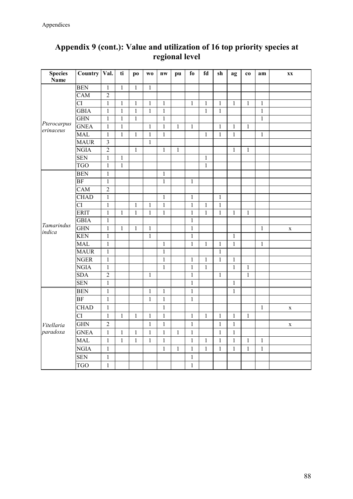| <b>Species</b><br><b>Name</b> | Country   Val.         |                  | ti           | po           | W <sub>0</sub> | $n_{W}$      | pu           | $f_{0}$      | fd           | sh           | ag           | co           | am           | <b>XX</b>   |
|-------------------------------|------------------------|------------------|--------------|--------------|----------------|--------------|--------------|--------------|--------------|--------------|--------------|--------------|--------------|-------------|
|                               | <b>BEN</b>             | $\mathbf{1}$     | $\mathbf{1}$ | $\mathbf{1}$ | $\mathbf{1}$   |              |              |              |              |              |              |              |              |             |
|                               | CAM                    | $\boldsymbol{2}$ |              |              |                |              |              |              |              |              |              |              |              |             |
|                               | $\overline{\text{CI}}$ | $\mathbf{1}$     | $\,1$        | $\mathbf{1}$ | $\mathbf{1}$   | $\mathbf{1}$ |              | $\mathbf{1}$ | $\mathbf{1}$ | $\mathbf{1}$ | $\mathbf{1}$ | $\mathbf{1}$ | $\mathbf{1}$ |             |
|                               | <b>GBIA</b>            | $\mathbf{1}$     | $\mathbf{1}$ | $\mathbf{1}$ | $\mathbf{1}$   | $\mathbf{1}$ |              |              | $\,1\,$      | $\mathbf{1}$ |              |              | $\mathbf{1}$ |             |
|                               | <b>GHN</b>             | $\mathbf 1$      | $\,1$        | $\mathbf{1}$ |                | $\mathbf{1}$ |              |              |              |              |              |              | $\mathbf{1}$ |             |
| Pterocarpus                   | <b>GNEA</b>            | $\mathbf{1}$     | $\mathbf{1}$ |              | $\mathbf{1}$   | $\mathbf{1}$ | $\mathbf{1}$ | $\mathbf{1}$ |              | $\mathbf{1}$ | $\mathbf{1}$ | $\mathbf{1}$ |              |             |
| erinaceus                     | <b>MAL</b>             | $\mathbf{1}$     | $\mathbf{1}$ | $\mathbf{1}$ | $\mathbf{1}$   | $\mathbf{1}$ |              |              | 1            | $\mathbf{1}$ | $\mathbf{1}$ |              | $\mathbf{1}$ |             |
|                               | <b>MAUR</b>            | $\overline{3}$   |              |              | $\mathbf{1}$   |              |              |              |              |              |              |              |              |             |
|                               | <b>NGIA</b>            | $\overline{2}$   |              | $\mathbf{1}$ |                | $\mathbf{1}$ | $\mathbf{1}$ |              |              |              | 1            | $\mathbf{1}$ |              |             |
|                               | <b>SEN</b>             | $\mathbf 1$      | $\,1$        |              |                |              |              |              | $\mathbf{1}$ |              |              |              |              |             |
|                               | <b>TGO</b>             | $\mathbf{1}$     | $\mathbf{1}$ |              |                |              |              |              | $\mathbf{1}$ |              |              |              |              |             |
|                               | <b>BEN</b>             | $\mathbf{1}$     |              |              |                | $\mathbf{1}$ |              |              |              |              |              |              |              |             |
|                               | <b>BF</b>              | $\mathbf{1}$     |              |              |                | $\mathbf{1}$ |              | $\mathbf{1}$ |              |              |              |              |              |             |
|                               | CAM                    | $\overline{2}$   |              |              |                |              |              |              |              |              |              |              |              |             |
|                               | <b>CHAD</b>            | $\mathbf{1}$     |              |              |                | $\mathbf{1}$ |              | $\,1$        |              | $\mathbf{1}$ |              |              |              |             |
|                               | <b>CI</b>              | $\mathbf 1$      |              | $\,1$        | $\,1$          | $\mathbf{1}$ |              | $\,1$        | $\mathbf{1}$ | $\mathbf{1}$ |              |              |              |             |
|                               | <b>ERIT</b>            | $\,1\,$          | $\,1$        | $\mathbf{1}$ | $\,1$          | $\mathbf{1}$ |              | $\,1$        | $\mathbf{1}$ | $\mathbf{1}$ | $\mathbf{1}$ | $\,1$        |              |             |
|                               | <b>GBIA</b>            | $\mathbf{1}$     |              |              |                |              |              | $\mathbf{1}$ |              |              |              |              |              |             |
| Tamarindus<br>indica          | <b>GHN</b>             | $\mathbf{1}$     | $\mathbf{1}$ | $\mathbf{1}$ | $\mathbf{1}$   |              |              | $\mathbf{1}$ |              |              |              |              | $\mathbf{1}$ | $\mathbf X$ |
|                               | <b>KEN</b>             | $\mathbf{1}$     |              |              | $\mathbf{1}$   |              |              | $\mathbf{1}$ |              |              | $\mathbf{1}$ |              |              |             |
|                               | <b>MAL</b>             | $\mathbf{1}$     |              |              |                | 1            |              | $\mathbf{1}$ | 1            | 1            | $\mathbf{1}$ |              | $\mathbf{1}$ |             |
|                               | <b>MAUR</b>            | $\mathbf 1$      |              |              |                | $\mathbf{1}$ |              |              |              | $\mathbf{1}$ |              |              |              |             |
|                               | <b>NGER</b>            | $\mathbf{1}$     |              |              |                | $\mathbf{1}$ |              | $\,1$        | $\,1\,$      | $\mathbf 1$  | $\,1\,$      |              |              |             |
|                               | <b>NGIA</b>            | $\,1$            |              |              |                | $\mathbf{1}$ |              | $\mathbf{1}$ | 1            |              | $\mathbf{1}$ | $\mathbf{1}$ |              |             |
|                               | <b>SDA</b>             | $\overline{2}$   |              |              | $\mathbf{1}$   |              |              | $\mathbf{1}$ |              | $\mathbf{1}$ |              | $\mathbf{1}$ |              |             |
|                               | <b>SEN</b>             | $\mathbf{1}$     |              |              |                |              |              | $\mathbf{1}$ |              |              | 1            |              |              |             |
|                               | <b>BEN</b>             | $\mathbf{1}$     |              |              | $\,1$          | $\mathbf{1}$ |              | $\,1$        |              |              | $\,1\,$      |              |              |             |
|                               | <b>BF</b>              | $\mathbf 1$      |              |              | $\mathbf{1}$   | $\mathbf{1}$ |              | $\mathbf{1}$ |              |              |              |              |              |             |
|                               | <b>CHAD</b>            | $\mathbf{1}$     |              |              |                | $\mathbf{1}$ |              |              |              |              |              |              | $\mathbf{1}$ | $\mathbf X$ |
|                               | <b>CI</b>              | $\,1$            | $\,1$        | $\,1$        | $\mathbf 1$    | $\mathbf{1}$ |              | $\,1$        | 1            | 1            | $\mathbf{1}$ | 1            |              |             |
| Vitellaria                    | <b>GHN</b>             | $\overline{2}$   |              |              | $\mathbf{1}$   | $\mathbf{1}$ |              | $\mathbf{1}$ |              | $\mathbf{1}$ | $\mathbf{1}$ |              |              | $\mathbf X$ |
| paradoxa                      | <b>GNEA</b>            | $\mathbf{1}$     | $\,1$        | $\mathbf{1}$ | $\mathbf{1}$   | $\mathbf{1}$ | $\mathbf{1}$ | $\mathbf{1}$ |              | 1            | $\mathbf{1}$ |              |              |             |
|                               | <b>MAL</b>             | $\,1\,$          | $\,1$        | $\,1$        | $\mathbf{1}$   | $\mathbf{1}$ |              | $\mathbf{1}$ | $\mathbf{1}$ | $\mathbf{1}$ | $\mathbf{1}$ | $\mathbf{1}$ | $\mathbf{1}$ |             |
|                               | <b>NGIA</b>            | $\,1$            |              |              |                | $\mathbf{1}$ | $\mathbf{1}$ | $\mathbf{1}$ | $\mathbf{1}$ | $\mathbf{1}$ | $\mathbf{1}$ | $\mathbf{1}$ | $\mathbf{1}$ |             |
|                               | <b>SEN</b>             | $\,1\,$          |              |              |                |              |              | $\mathbf{1}$ |              |              |              |              |              |             |
|                               | <b>TGO</b>             | $\mathbf{1}$     |              |              |                |              |              | $\mathbf{1}$ |              |              |              |              |              |             |

## **Appendix 9 (cont.): Value and utilization of 16 top priority species at regional level**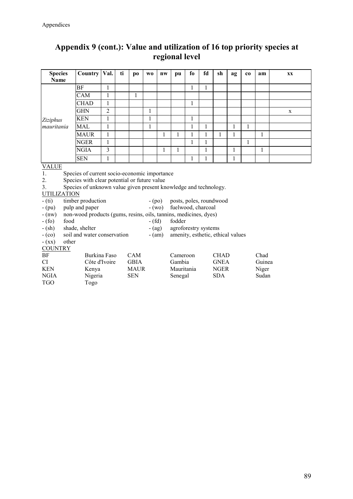## **Appendix 9 (cont.): Value and utilization of 16 top priority species at regional level**

| <b>Species</b>     | Country                                                          | Val.           | ti | po          | W <sub>0</sub> | nw           | pu                                | fo | fd | sh           | ag           | $_{\rm co}$  | am           | XX |
|--------------------|------------------------------------------------------------------|----------------|----|-------------|----------------|--------------|-----------------------------------|----|----|--------------|--------------|--------------|--------------|----|
| Name               |                                                                  |                |    |             |                |              |                                   |    |    |              |              |              |              |    |
|                    | BF                                                               | 1              |    |             |                |              |                                   | 1  | 1  |              |              |              |              |    |
|                    | CAM                                                              | $\mathbf{1}$   |    | 1           |                |              |                                   |    |    |              |              |              |              |    |
|                    | <b>CHAD</b>                                                      | 1              |    |             |                |              |                                   | 1  |    |              |              |              |              |    |
|                    | <b>GHN</b>                                                       | $\overline{c}$ |    |             | 1              |              |                                   |    |    |              |              |              |              | X  |
| Ziziphus           | <b>KEN</b>                                                       | $\mathbf{1}$   |    |             | $\mathbf{1}$   |              |                                   | 1  |    |              |              |              |              |    |
| mauritania         | MAL                                                              | $\mathbf{1}$   |    |             | 1              |              |                                   | 1  | 1  |              | 1            | 1            |              |    |
|                    | <b>MAUR</b>                                                      | $\mathbf{1}$   |    |             |                | 1            | 1                                 | 1  | 1  | $\mathbf{1}$ | 1            |              | $\mathbf{1}$ |    |
|                    | <b>NGER</b>                                                      | 1              |    |             |                |              |                                   | 1  | 1  |              |              | $\mathbf{1}$ |              |    |
|                    | <b>NGIA</b>                                                      | 3              |    |             |                | $\mathbf{1}$ | $\mathbf{1}$                      |    | 1  |              | $\mathbf{1}$ |              | $\mathbf{1}$ |    |
|                    | <b>SEN</b>                                                       | 1              |    |             |                |              |                                   | 1  | 1  |              | 1            |              |              |    |
| <b>VALUE</b>       |                                                                  |                |    |             |                |              |                                   |    |    |              |              |              |              |    |
| 1.                 | Species of current socio-economic importance                     |                |    |             |                |              |                                   |    |    |              |              |              |              |    |
| 2.                 | Species with clear potential or future value                     |                |    |             |                |              |                                   |    |    |              |              |              |              |    |
| 3.                 | Species of unknown value given present knowledge and technology. |                |    |             |                |              |                                   |    |    |              |              |              |              |    |
| <b>UTILIZATION</b> |                                                                  |                |    |             |                |              |                                   |    |    |              |              |              |              |    |
| $-$ (ti)           | timber production                                                |                |    |             | $-(po)$        |              | posts, poles, roundwood           |    |    |              |              |              |              |    |
| $-(pu)$            | pulp and paper                                                   |                |    |             |                | $-(wo)$      | fuelwood, charcoal                |    |    |              |              |              |              |    |
| $-$ (nw)           | non-wood products (gums, resins, oils, tannins, medicines, dyes) |                |    |             |                |              |                                   |    |    |              |              |              |              |    |
| $- (fo)$<br>food   |                                                                  |                |    |             | $- (fd)$       |              | fodder                            |    |    |              |              |              |              |    |
| $-$ (sh)           | shade, shelter                                                   |                |    |             | $-(ag)$        |              | agroforestry systems              |    |    |              |              |              |              |    |
| $-(\circ \circ)$   | soil and water conservation                                      |                |    |             |                | $-(am)$      | amenity, esthetic, ethical values |    |    |              |              |              |              |    |
| $- (XX)$           | other                                                            |                |    |             |                |              |                                   |    |    |              |              |              |              |    |
| <b>COUNTRY</b>     |                                                                  |                |    |             |                |              |                                   |    |    |              |              |              |              |    |
| <b>BF</b>          | <b>Burkina Faso</b>                                              |                |    | CAM         |                |              | Cameroon                          |    |    | <b>CHAD</b>  |              |              | Chad         |    |
| CI                 | Côte d'Ivoire                                                    |                |    | <b>GBIA</b> |                |              | Gambia                            |    |    | <b>GNEA</b>  |              |              | Guinea       |    |
| <b>KEN</b>         | Kenya                                                            |                |    | <b>MAUR</b> |                |              | Mauritania                        |    |    | <b>NGER</b>  |              |              | Niger        |    |
| <b>NGIA</b>        | Nigeria                                                          |                |    | <b>SEN</b>  |                |              | Senegal                           |    |    | <b>SDA</b>   |              |              | Sudan        |    |
| <b>TGO</b>         | Togo                                                             |                |    |             |                |              |                                   |    |    |              |              |              |              |    |
|                    |                                                                  |                |    |             |                |              |                                   |    |    |              |              |              |              |    |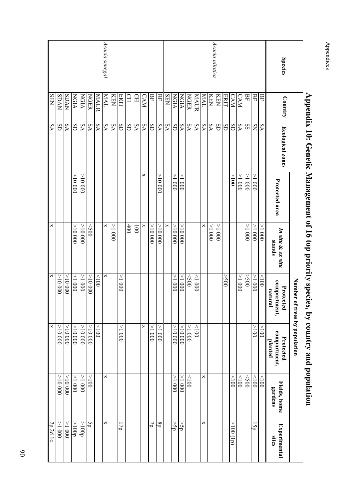|                 |             |                         |                 |                             | $\alpha$ energy $\alpha$ is an applicately species, $\alpha$ , $\alpha$ and $\alpha$ and $\alpha$ and $\alpha$ and $\alpha$<br>Number of | trees by population                  |                         |                              |
|-----------------|-------------|-------------------------|-----------------|-----------------------------|------------------------------------------------------------------------------------------------------------------------------------------|--------------------------------------|-------------------------|------------------------------|
|                 |             |                         |                 |                             |                                                                                                                                          |                                      |                         |                              |
| <b>Species</b>  | Country     | <b>Ecological zones</b> | Protected area  | In situ & ex situ<br>stands | compartment,<br>Protected<br>natura                                                                                                      | compartment,<br>Protected<br>planted | Fields, home<br>gardens | <b>Experimental</b><br>sites |
|                 | НH          | ΔA                      |                 | 0001 <                      | $\frac{1}{2}$                                                                                                                            | $001<$                               | $\sim\!100$             |                              |
|                 | 豆           | SN                      | 0001<           | 0001 <                      | 0001 <                                                                                                                                   | 001<                                 | $\geq$ 00               | ıŚp                          |
|                 | 몊           | SS                      | $000$ I <       | 0001<                       | 005<                                                                                                                                     |                                      | $\leq$ 00               |                              |
|                 | <b>CAM</b>  | S <sub>A</sub>          | 1000            |                             | $000$ I <                                                                                                                                |                                      | $\geq 100$              |                              |
|                 | <b>CAM</b>  | SD                      | 001<            |                             |                                                                                                                                          |                                      | $\geq$ 100              | $(d)$ 00 $\leq$              |
|                 | ERIT        | SD                      |                 |                             | 005<                                                                                                                                     |                                      |                         |                              |
|                 | KEN         | SD                      |                 | $000$ ${\rm I} <$           |                                                                                                                                          |                                      |                         |                              |
| Acacia nilotica | KEN         | ΔA                      |                 | 1000                        |                                                                                                                                          |                                      |                         |                              |
|                 | <b>IVM</b>  | δA                      |                 | ×                           |                                                                                                                                          |                                      | ×                       | ×                            |
|                 | <b>MAUR</b> | ΥS                      |                 |                             | $000$ l>                                                                                                                                 | $001$                                |                         |                              |
|                 | <b>NGER</b> | ΔA                      |                 |                             | 600                                                                                                                                      | $000$ I <                            | 001                     |                              |
|                 | NGIA        | δA                      | $000$ $\rm I <$ | 00000 <                     | $000$ I $<$                                                                                                                              | 00000 <                              | $000$ I <               | >5p                          |
|                 | <b>NGIA</b> | SD                      | $000$ I <       | 00000 <                     | $-1000$                                                                                                                                  | 00000 <                              | $000$ I $<$             | $>$ 5p                       |
|                 | <b>SEN</b>  | <b>SA</b>               |                 | $\times$                    |                                                                                                                                          |                                      |                         |                              |
|                 | BF          | $\mathbf{SA}$           | 0000 <          | 00000 <                     |                                                                                                                                          | $000 \text{ l} <$                    |                         | 8р                           |
|                 | 묘           | SD                      |                 | 00000 <                     |                                                                                                                                          | $\vee$<br>0001                       |                         | P                            |
|                 | <b>CAM</b>  | ΔA                      | ×               | ×                           |                                                                                                                                          | $\Join$                              |                         |                              |
|                 | $_{\rm H}$  | ΔA                      |                 | $\overline{001}$            |                                                                                                                                          |                                      |                         |                              |
|                 | $\Omega$    | SD                      |                 | 400                         |                                                                                                                                          |                                      |                         |                              |
|                 | <b>ERIT</b> | GS                      |                 |                             | 1000                                                                                                                                     | $000$ I <                            |                         | Г7р                          |
|                 | KEN         | ٧S                      |                 | $000$ I $<$                 |                                                                                                                                          |                                      |                         |                              |
| Acacia senegal  | IVN         | δA                      |                 | ×                           | ×                                                                                                                                        |                                      | ×                       | ×                            |
|                 | <b>MAUR</b> | δA                      |                 |                             | 001                                                                                                                                      | 001                                  |                         |                              |
|                 | <b>NGER</b> | ΔA                      |                 | $\leqslant$                 | 00000 <                                                                                                                                  | 00000 <                              | 001<                    | άς                           |
|                 | NGIA        | ΔA                      | 00000 <         | 00000 <                     | $000$ I $<$                                                                                                                              | 00000 <                              | $000$ ${\rm I} <$       | $\frac{1}{2}$                |
|                 | <b>NGIA</b> | SD                      | 00000 <         | 00000 <                     | $000$ I $<$                                                                                                                              | $00001<$                             | $000$ ${\rm I}$ $<$     | 1000                         |
|                 | SDAN        | <b>SA</b>               |                 |                             | 00000 <                                                                                                                                  |                                      | 00000 <                 | >1000                        |
|                 | <b>SDAN</b> | SD                      |                 |                             | 00000 <                                                                                                                                  | 00000 <                              | 00000 <                 | $-1000$                      |
|                 | <b>NEIS</b> | SAA                     |                 | ×                           | $\times$                                                                                                                                 | $\mathbf{\times}$                    |                         | 2p 2d 1c                     |

Appendix 10: Genetic Management of 16 top priority species, by country and nonpation **Appendix 10: Genetic Management of 16 top priority species, by country and population**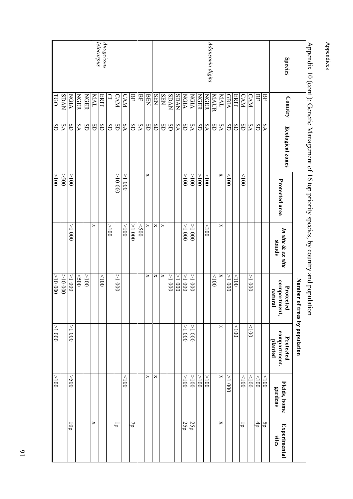|                  |             | Appendix 10 (cont.): Genetic Management of 16 top priority species, by country and populat |                |                             | Number of<br>ior                     | trees by population                  |                         |                                     |
|------------------|-------------|--------------------------------------------------------------------------------------------|----------------|-----------------------------|--------------------------------------|--------------------------------------|-------------------------|-------------------------------------|
| <b>Species</b>   | Country     | <b>Ecological zones</b>                                                                    | Protected area | In situ & ex situ<br>stands | compartment,<br>Protected<br>natural | compartment,<br>Protected<br>planted | Fields, home<br>gardens | <b>Experimental</b><br><b>Sites</b> |
|                  | 묘           | δA                                                                                         |                |                             |                                      |                                      | 001                     | Şp                                  |
|                  | 묘           | SD                                                                                         |                |                             |                                      |                                      | $\geq 100$              | 4Þ                                  |
|                  | <b>CAM</b>  | ΔA                                                                                         |                |                             | $000$ I <                            | 001                                  | $\geq$                  |                                     |
|                  | <b>CAM</b>  | SD                                                                                         | 001            |                             |                                      |                                      | $\frac{1}{2}$           | Гp                                  |
|                  | <b>ERIT</b> | SD                                                                                         |                |                             | $\geq$                               | 001                                  |                         |                                     |
|                  | <b>GBIA</b> | SD                                                                                         | $\geq$         |                             | 1000                                 |                                      | 1000                    |                                     |
|                  | <b>MAL</b>  | SΑ                                                                                         | ×              | ×                           | ×                                    | $\Join$                              | $\Join$                 | ×                                   |
|                  | <b>MAUR</b> | SD                                                                                         |                |                             | $\geq$                               |                                      |                         |                                     |
| Adansonia digita | <b>NGER</b> | δA                                                                                         | 001<           | 001                         |                                      |                                      | 001<                    |                                     |
|                  | <b>NGER</b> | SD <sub>I</sub>                                                                            | $>100$         |                             |                                      |                                      | 001<                    |                                     |
|                  | <b>NGIA</b> | δA                                                                                         | $\leq 000$     | 0001 <                      | 0001 <                               | 0001 <                               | 001<                    | 25p                                 |
|                  | NGIA        | SD                                                                                         | 001<           | 0001<                       | $000$ I <                            | $000$ I <                            | 001<                    | 25p                                 |
|                  | <b>SDAN</b> | $\mathbf{SA}$                                                                              |                |                             | $000$ I <                            |                                      |                         |                                     |
|                  | <b>SDAN</b> | GS                                                                                         |                |                             | $000$ I $<$                          |                                      |                         |                                     |
|                  | <b>SEN</b>  | SD                                                                                         |                | ×                           | ×                                    |                                      |                         |                                     |
|                  | <b>SEN</b>  | SD                                                                                         |                | ×                           | ×                                    |                                      | ×                       |                                     |
|                  | BEN         | SD                                                                                         | ×              | ×                           | ×                                    |                                      | ×                       |                                     |
|                  | ВF          | δA                                                                                         |                | 005                         |                                      |                                      |                         |                                     |
|                  | ВF          | SD                                                                                         |                | 0001 <                      |                                      |                                      |                         | $\overline{b}$                      |
|                  | <b>CAM</b>  | ΔA                                                                                         | 0001 <         | $001<$                      |                                      |                                      | $\geq$                  |                                     |
|                  | <b>CAM</b>  | SD                                                                                         | 00000 <        |                             | $000$ I $<$                          |                                      |                         | lp                                  |
|                  | $\Omega$    | SD                                                                                         |                | 001 <                       |                                      |                                      |                         |                                     |
| Anogeissus       | <b>ERIT</b> | SD                                                                                         |                |                             | $\geq$                               |                                      |                         |                                     |
| leiocarpus       | <b>IVW</b>  | SD                                                                                         |                | ×                           |                                      |                                      |                         | ×                                   |
|                  | <b>NGER</b> | SD                                                                                         |                |                             | 001<                                 |                                      |                         |                                     |
|                  | <b>NGER</b> | $\Delta\mathbf{A}$                                                                         |                |                             | $\leq$ 200                           |                                      |                         |                                     |
|                  | NGIA        | SD                                                                                         | 001<           | 0001<                       | $000$ I $<$                          | $000$ I <                            | 005<                    | ъ                                   |
|                  | SDAN        | δA                                                                                         | 005<           |                             | 00000 <                              |                                      |                         |                                     |
|                  | TGO         | SD                                                                                         | 001<           |                             | 00000 <                              | $000$ I <                            | 001<                    |                                     |

## Appendix 10 (cont.): Genetic Management of 16 top priority species, by country and population  $101 \times$  $\frac{1}{\epsilon}$ .<br>ה Ξ.  $\overline{\phantom{0}}$ .<br>+ ・ソーナー  $\frac{1}{2}$

Appendices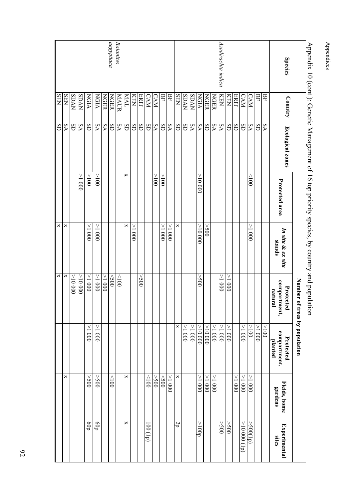|                    |             | Appendix 10 (cont.): Genetic Management of 16 top priority species, by country and popular |                |                             | Number of<br>100 <sub>H</sub>        | f trees by population                |                         |                                  |
|--------------------|-------------|--------------------------------------------------------------------------------------------|----------------|-----------------------------|--------------------------------------|--------------------------------------|-------------------------|----------------------------------|
| <b>Species</b>     | Country     | <b>Ecological zones</b>                                                                    | Protected area | In situ & ex situ<br>stands | compartment,<br>Protected<br>natural | compartment,<br>Protected<br>planted | Fields, home<br>gardens | Experimental<br>sites            |
|                    | ВF          | δA                                                                                         |                |                             |                                      | 001<                                 |                         |                                  |
|                    | 묘           | SD                                                                                         |                |                             |                                      | 0001 <                               |                         |                                  |
|                    | <b>CAM</b>  | δA                                                                                         | $\geqslant$    | 0001 <                      |                                      | 001<                                 | $000$ I <               | $\overline{\text{^{(d)}}}$ )00S. |
|                    | <b>CAM</b>  | SD                                                                                         |                |                             |                                      | 0001 <                               | $000$ I $<$             | (41)00001<                       |
|                    | <b>ERIT</b> | SD                                                                                         |                |                             |                                      |                                      | 0001 <                  |                                  |
|                    | KEN         | SD                                                                                         |                |                             | ٧<br>$-1000$                         | $000$ I <                            |                         | $00$ S<                          |
| Azadirachta indica | KEN         | δA                                                                                         |                |                             | $000$ I <                            | $000$ l<br>$<$                       |                         | $00$ S<                          |
|                    | <b>NGER</b> | ΔA                                                                                         |                |                             |                                      | 0001<                                | 1000                    |                                  |
|                    | <b>NGER</b> | SD                                                                                         |                | 005<                        |                                      | 00000 <                              | 0001 <                  |                                  |
|                    | NGIA        | δA                                                                                         | 00000 <        | 00000 <                     | 005<                                 | V<br>00001                           | 0001<                   | $d_{001} <$                      |
|                    | <b>SDAN</b> | δA                                                                                         |                |                             |                                      | $000$ I <                            |                         |                                  |
|                    | <b>NVUS</b> | GS                                                                                         |                |                             |                                      | $-1000$                              |                         |                                  |
|                    | <b>NHS</b>  | SD                                                                                         |                | $\mathsf{x}$                |                                      | $\boldsymbol{\times}$                | ×                       | 2P                               |
|                    | БF          | δA                                                                                         |                | 0001 <                      |                                      |                                      | $000$ l<br>$<\,$        |                                  |
|                    | 몊           | SD                                                                                         | 001<           | $000$ ${\rm I} <$           |                                      |                                      | $\leq$ 200              |                                  |
|                    | <b>CAM</b>  | SAA                                                                                        | 001<           |                             |                                      |                                      | 005<                    |                                  |
|                    | <b>CAM</b>  | SD                                                                                         |                |                             |                                      |                                      | 001                     | $(d_1)_{00}$                     |
|                    | ERIT        | SD                                                                                         |                |                             | $00$ S<                              |                                      |                         |                                  |
|                    | KEN         | SD                                                                                         |                | $\geq 1000$                 |                                      |                                      |                         |                                  |
|                    | TVM         | SD                                                                                         | ×              | ×                           |                                      |                                      | ×                       | ×                                |
| Balanites          | <b>MAUR</b> | δA                                                                                         |                |                             | $\geq$                               |                                      |                         |                                  |
| aegyptiaca         | NGERR       | SD                                                                                         |                |                             | $\leq$ 00                            |                                      | $\geq 001$              |                                  |
|                    | <b>NGER</b> | ΔA                                                                                         |                |                             | 0001 <                               |                                      |                         |                                  |
|                    | <b>NGIA</b> | ΔA                                                                                         | 001<           | 1000                        | $000$ I <                            | 0001 <                               | $\check{5}0$            | dop                              |
|                    | NGIA        | SD                                                                                         | $001<$         | $000$ ${\rm I} <$           | $000$ I<br>$<\,$                     | $000$ ${\rm I} <$                    | $00$ S<                 | dop                              |
|                    | SDAN        | ΔA                                                                                         | 1000           |                             | 00000 <                              |                                      |                         |                                  |
|                    | <b>SDAN</b> | SD                                                                                         |                |                             | 00000 <                              |                                      |                         |                                  |
|                    | <b>SEN</b>  | ΔA                                                                                         |                | ×                           | ×                                    |                                      | ×                       |                                  |
|                    | <b>SEN</b>  | SD                                                                                         |                | $\Join$                     | ×                                    |                                      |                         |                                  |

## Appendix 10 (cont.): Genetic Management of 16 top priority species, by country and population ייין<br>⊃  $\overline{ }$ J  $\overline{\phantom{a}}$

Appendices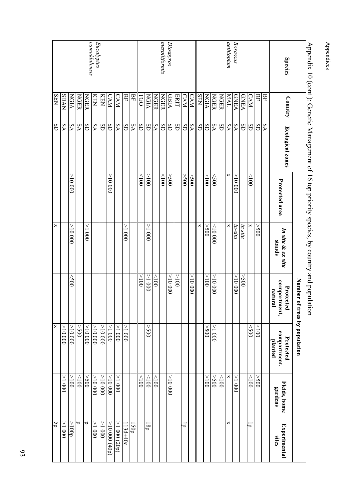|                             |              | Appendix 10 (cont.): Genetic Management of 16 top priority species, by country and popula |                |                             | Number of<br>tion                    | f trees by population                |                         |                       |
|-----------------------------|--------------|-------------------------------------------------------------------------------------------|----------------|-----------------------------|--------------------------------------|--------------------------------------|-------------------------|-----------------------|
| <b>Species</b>              | Country      | <b>Ecological zones</b>                                                                   | Protected area | In situ & ex situ<br>stands | compartment,<br>Protected<br>natural | compartment,<br>Protected<br>planted | Fields, home<br>gardens | Experimental<br>sites |
|                             | 몊            | S <sub>A</sub>                                                                            |                |                             |                                      |                                      |                         |                       |
|                             | 묘            | SD                                                                                        |                | 005<                        |                                      | $\geqslant$                          | 005<                    |                       |
|                             | <b>CAM</b>   | SD                                                                                        | $\frac{1}{2}$  | ×                           |                                      | $\leq$ 00                            | 001                     | Гp                    |
|                             | <b>GNEA</b>  | SD                                                                                        |                | in situ                     | 005<                                 |                                      |                         |                       |
| Borassus                    | GNEA         | δA                                                                                        | 00000 <        | in-situ                     | 00000 <                              |                                      | $-1000$                 |                       |
| aethiopium                  | <b>IVM</b>   | ΔA                                                                                        | ×              | ×                           |                                      |                                      | ×                       | ×                     |
|                             | <b>NGER</b>  | SD                                                                                        |                |                             |                                      |                                      | 001                     |                       |
|                             | <b>NGER</b>  | SAA                                                                                       | $\leq$ 200     | (00000)                     | 000001 <                             | $000$ l<br>$<$                       | $00$ S<                 |                       |
|                             | NGIA         | SD                                                                                        | 001<           | $00$ S<                     | 001<                                 | 005<                                 | 001<                    |                       |
|                             | <b>SEN</b>   | SD                                                                                        |                | ×                           |                                      |                                      |                         |                       |
|                             | <b>CAM</b>   | $\mathbf{SA}$                                                                             | 005<           |                             | 00000 <                              |                                      |                         |                       |
|                             | <b>CAM</b>   | SD                                                                                        | 005<           |                             |                                      |                                      |                         | Гp                    |
|                             | ERIT         | SD                                                                                        |                |                             | 001<                                 |                                      |                         |                       |
| Diospyros                   | <b>AIBIA</b> | SD                                                                                        | 005<           |                             | 00000 <                              |                                      | 00000 <                 |                       |
| mespiliformis               | <b>NGER</b>  | SD                                                                                        | 001            |                             |                                      |                                      |                         |                       |
|                             | NGER         | δA                                                                                        |                |                             | 001                                  |                                      | 001                     |                       |
|                             | NGIA         | GS                                                                                        | 001<           | 1000                        | 0001 <                               | 005<                                 | $\geq 100$              | $\overline{d}81$      |
|                             | TGO          | SD                                                                                        | 001            |                             | 001<                                 |                                      | 001                     |                       |
|                             | 묘            | δA                                                                                        |                |                             |                                      |                                      |                         | <b>LSOp</b>           |
|                             | 묘            | SD                                                                                        |                | 0001<                       |                                      | $000$ I <                            |                         | $113d+40c$            |
|                             | <b>CAM</b>   | δA                                                                                        |                |                             |                                      | $>1\ 000$                            | 1 < 000                 | >1000(20p)            |
|                             | <b>CAM</b>   | GS                                                                                        | 00000 <        |                             |                                      | $>1~000$                             | 00001 <                 | $>$ 10 000 (40p)      |
|                             | KEN          | SD                                                                                        |                |                             |                                      | 00000 <                              | 00000 <                 | 0001 <                |
| camaldulensis<br>Eucalyptus | KEN          | ΔA                                                                                        |                |                             |                                      | 00000 <                              | 00000 <                 | 0001 <                |
|                             | <b>NGER</b>  | SD                                                                                        |                | $\frac{1}{2}$ 000           |                                      |                                      | 005<                    | ರ                     |
|                             | <b>NGER</b>  | ΔA                                                                                        |                |                             |                                      | $00$ S<                              | ${<}100$                | ರ                     |
|                             | NGIA         | δA                                                                                        | 00000 <        | 00000<                      | $<$ 500                              | 0000000                              | 001<                    | $d_{001}$             |
|                             | <b>SDAN</b>  | ΔA                                                                                        |                |                             |                                      | 00000 <                              | 0001 <                  | 0001<                 |
|                             | <b>SEN</b>   | SD                                                                                        |                | ×                           |                                      | $\mathsf{x}$                         |                         | ήā                    |

Appendices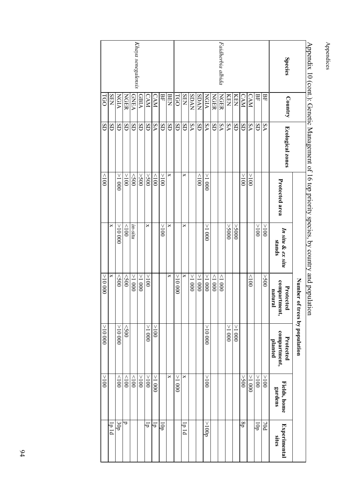|                    |              | $\Delta$ pendix 10 (conc.). Octicia management 01.10 to p priority species, by country and population |                |                             | TIOT                                 |                                      |                         |                         |
|--------------------|--------------|-------------------------------------------------------------------------------------------------------|----------------|-----------------------------|--------------------------------------|--------------------------------------|-------------------------|-------------------------|
|                    |              |                                                                                                       |                |                             | Number of trees by population        |                                      |                         |                         |
| <b>Species</b>     | Country      | <b>Ecological zones</b>                                                                               | Protected area | In situ & ex situ<br>stands | compartment,<br>natural<br>Protected | compartment,<br>planted<br>Protected | Fields, home<br>gardens | Experimental<br>sites   |
|                    | 몊            | ٧S                                                                                                    |                | 001<                        | 005<                                 |                                      | 001<                    | poz                     |
|                    | 묘            | SD                                                                                                    |                | 001<                        |                                      |                                      | $001<$                  | $\overline{d}$          |
|                    | <b>CAM</b>   | ΔA                                                                                                    | 001<           |                             | $\frac{1}{2}$                        |                                      | 1000                    |                         |
|                    | <b>CAM</b>   | SD                                                                                                    | 001<           |                             |                                      |                                      | 005<                    | d8                      |
|                    | KEN          | SD                                                                                                    |                | 0005<                       |                                      | 1000                                 |                         |                         |
|                    | KEN          | SΑ                                                                                                    |                | 0005<                       |                                      | $000$ I $<$                          |                         |                         |
| Faidherbia albida  | <b>NGER</b>  | ΔA                                                                                                    |                |                             | 0001                                 |                                      |                         |                         |
|                    | <b>NGER</b>  | SD                                                                                                    |                |                             | 0001                                 |                                      |                         |                         |
|                    | NGIA         | ٧S                                                                                                    | 1000           | 1 < 000                     | $000$ I <                            | 00001<                               | 001<                    | $d_{001} <$             |
|                    | <b>SDAN</b>  | SD                                                                                                    | 001            |                             | $000$ I $<$                          |                                      |                         |                         |
|                    | <b>SDAN</b>  | δA                                                                                                    |                |                             | $000$ I $<$                          |                                      |                         |                         |
|                    | <b>SEN</b>   | SD                                                                                                    | ×              | ×                           | ×                                    |                                      | ×                       | <sub>1p 1d</sub>        |
|                    | TGO          | SD                                                                                                    |                |                             | 000001<                              |                                      | 1000                    |                         |
|                    | <b>BEN</b>   | SD                                                                                                    | ×              | ×                           | $\mathsf{x}$                         |                                      | ×                       |                         |
|                    | ВF           | SD                                                                                                    | $001<$         | 001<                        |                                      |                                      |                         | ξā                      |
|                    | <b>CAM</b>   | ΔA                                                                                                    | 001            |                             |                                      | $\frac{1}{2}$                        | $000$ I $<$             | $\overline{a}$          |
|                    | <b>CAM</b>   | SD                                                                                                    | 005<           | ×                           | $001<$                               | $000$ I <                            | 001<                    | $\overline{\mathsf{d}}$ |
|                    | <b>AIBLA</b> | SD                                                                                                    | $00$ S<        |                             | $-1000$                              |                                      | 001<                    |                         |
| Khaya senegalensis | <b>GNEA</b>  | SD                                                                                                    | $<$ 500        | in-situ                     | $000$ I <                            |                                      | $\geq 100$              |                         |
|                    | <b>NGER</b>  | SD                                                                                                    | 001<           | 001                         | $\lesssim$ 00                        | $\lesssim$                           | 001                     | ರ                       |
|                    | <b>NGIA</b>  | SD                                                                                                    | $000$ I $<$    | 00000 <                     | $\leq$ 200                           | 00000 <                              | 001                     | 105                     |
|                    | <b>SEN</b>   | SD                                                                                                    |                | ×                           | $\times$                             |                                      |                         | p 1 d <sub>I</sub>      |
|                    | TGO          | SD                                                                                                    | 001            |                             | 000001 <                             | 00000 <                              | 001<                    |                         |

# Appendix 10 (cont.): Cenetic Management of 16 top priority species, py country and population d Appendix 10 (cont.): Genetic Management of 16 top priority species, by country and population

Appendices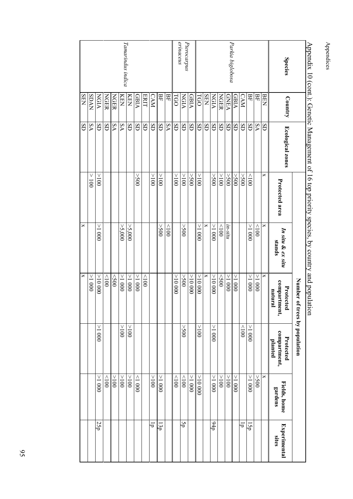|                   |              |                         |                          | $\Delta$ pelidix 10 (colit.). Oellette Mallagellielit 01 10 top pl lotits species, by coulits and population | mon                                  |                                      |                         |                       |
|-------------------|--------------|-------------------------|--------------------------|--------------------------------------------------------------------------------------------------------------|--------------------------------------|--------------------------------------|-------------------------|-----------------------|
|                   |              |                         |                          |                                                                                                              | Number of trees by population        |                                      |                         |                       |
| <b>Species</b>    | Country      | <b>Ecological zones</b> | Protected area           | In situ & ex situ<br>stands                                                                                  | compartment,<br>Protected<br>natural | compartment,<br>Protected<br>planted | Fields, home<br>gardens | Experimental<br>sites |
|                   | <b>BEN</b>   | SD                      | ×                        | ×                                                                                                            | ×                                    |                                      | ×                       |                       |
|                   | ЕF           | δA                      |                          | 001                                                                                                          | $000$ I <                            |                                      | 005<                    |                       |
|                   | 몊            | SD                      | 001                      | 0001<                                                                                                        | $000$ I <                            | $-1000$                              | 0001 <                  | ΓŠΡ                   |
|                   | <b>CAM</b>   | SD                      | $00$ S<br>$<$            |                                                                                                              |                                      | $\geq$                               |                         | ਚ                     |
|                   | <b>AIBIA</b> | SD                      | $00$ S<                  |                                                                                                              | $000$ I $<$                          |                                      | 1000                    |                       |
| Parkia biglobosa  | <b>GNEA</b>  | SD                      | $00$ S<                  | in-situ                                                                                                      | $000$ I <                            |                                      | 001<                    |                       |
|                   | <b>NGER</b>  | SD                      | $001<$                   | $001$                                                                                                        | $\leq$                               |                                      | 001<                    |                       |
|                   | NGIA         | SD                      | $00$ S<                  | 0001<                                                                                                        | 00000 <                              | $1000 \leq$                          | 0001<                   | $d_{\rm 16}$          |
|                   | <b>NHS</b>   | SD                      |                          | ×                                                                                                            | ×                                    |                                      |                         |                       |
|                   | <b>TGO</b>   | SD                      | $\geq 100$               | 0001 <                                                                                                       | 00000 <                              | 001<                                 | 00000 <                 |                       |
|                   | <b>AIBIA</b> | SD                      | 005<                     |                                                                                                              | 00000 <                              |                                      | 1000                    |                       |
| Pterocarpus       | NGIA         | SD                      | ${>}100$                 | 005<                                                                                                         | 005<                                 | 005<                                 | $\geq$                  | Śp                    |
| erinaceus         | TGO          | SD                      | 001<                     |                                                                                                              | 00000 <                              |                                      | $\geq$ 100              |                       |
|                   | BF           | ٧S                      |                          | $\geq$ 100                                                                                                   |                                      |                                      |                         |                       |
|                   | 묘            | SD                      | 001<                     | $00$ S<                                                                                                      |                                      |                                      | 0001<                   | l3p                   |
|                   | <b>CAM</b>   | SD                      | 001<                     |                                                                                                              |                                      |                                      | 001<                    | ਚ                     |
|                   | <b>ERIT</b>  | SD                      |                          |                                                                                                              | $\geq$                               |                                      |                         |                       |
|                   | <b>GBIA</b>  | SD                      | 005<                     |                                                                                                              | 0001 <                               |                                      | 0001                    |                       |
|                   | KEN          | SD                      |                          | > 5,000                                                                                                      | $000$ I <                            | 001<                                 | 001<                    |                       |
| Tamarindus indica | KEN          | ۶A                      |                          | > 5,000                                                                                                      | 0001<                                | 001<                                 | 001<                    |                       |
|                   | NGER         | δA                      |                          |                                                                                                              | $\leq$ 500                           |                                      | 001<                    |                       |
|                   | <b>NGER</b>  | SD                      |                          |                                                                                                              | $\geq$ 001                           |                                      | $\geq$                  |                       |
|                   | <b>NGIA</b>  | SD                      | 001<                     | $000$ ${\rm I} <$                                                                                            | 00000 <                              | $000$ I                              | 0001<                   | 25p                   |
|                   | <b>SDAN</b>  | δA                      | $\vee$<br>$\overline{0}$ |                                                                                                              | $000$ I $<$                          |                                      |                         |                       |
|                   | <b>SEN</b>   | SD                      |                          | $\Join$                                                                                                      | $\Join$                              |                                      |                         |                       |

## Appendix 10 (cont.): Genetic Management of 16 top priority species, by country and population Amendix 10 (cont) Gen  $\frac{1}{2}$ . \$  $25121$ ś  $\frac{1}{2}$ and nomilation

Appendices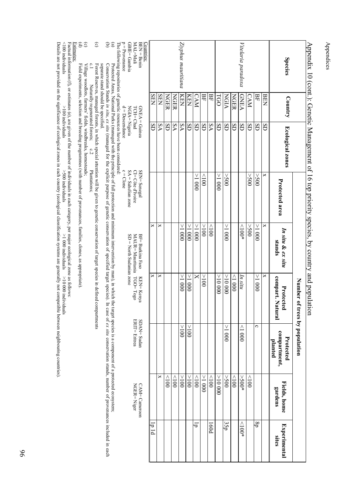|                                            |                                     |                                                                                                                                        |                                     | $\Lambda$ ppendix 10 (cont.): Genetic Management of 16 top priority species, by country and popula | Number o<br>ition                 | f trees by population                                                                                                                                                                                                                                                                                                                                                                                |                                 |                 |
|--------------------------------------------|-------------------------------------|----------------------------------------------------------------------------------------------------------------------------------------|-------------------------------------|----------------------------------------------------------------------------------------------------|-----------------------------------|------------------------------------------------------------------------------------------------------------------------------------------------------------------------------------------------------------------------------------------------------------------------------------------------------------------------------------------------------------------------------------------------------|---------------------------------|-----------------|
| <b>Species</b>                             | Country                             | <b>Ecological zones</b>                                                                                                                | Protected area                      | In situ & ex situ<br>stands                                                                        | compart. Natural<br>Protect<br>Eq | compartment,<br>Protected<br>planted                                                                                                                                                                                                                                                                                                                                                                 | Fields, home<br>gardens         | Experimental    |
|                                            | <b>BEN</b>                          | SD                                                                                                                                     | ×                                   | ×                                                                                                  | ×                                 |                                                                                                                                                                                                                                                                                                                                                                                                      |                                 |                 |
|                                            | 목                                   | SD                                                                                                                                     | $00$ S<                             | 1000                                                                                               | $\geq 1000$                       | ဂ                                                                                                                                                                                                                                                                                                                                                                                                    |                                 | 8p              |
|                                            | CAM                                 | SD                                                                                                                                     | 005<                                | $\lesssim$                                                                                         |                                   |                                                                                                                                                                                                                                                                                                                                                                                                      | $\geqslant$                     |                 |
| Vitelaria paradoxa                         | <b>GNEA</b>                         | SD                                                                                                                                     |                                     | ${*001}$                                                                                           | ln situ                           | 0001                                                                                                                                                                                                                                                                                                                                                                                                 | $>500*$                         | $^{*001*}$      |
|                                            | NGER                                | SD                                                                                                                                     |                                     |                                                                                                    | 000                               |                                                                                                                                                                                                                                                                                                                                                                                                      | $\geqslant$                     |                 |
|                                            | NGIA                                | SD                                                                                                                                     | 005<                                | 1000                                                                                               | 00000 <                           | $\geq 1000$                                                                                                                                                                                                                                                                                                                                                                                          | 005<                            | 35p             |
|                                            | TGO                                 | SD                                                                                                                                     | $\geq 1000$                         |                                                                                                    | 00000 <                           |                                                                                                                                                                                                                                                                                                                                                                                                      | 00000 <                         |                 |
|                                            | 몊                                   | δA                                                                                                                                     |                                     | 001                                                                                                |                                   |                                                                                                                                                                                                                                                                                                                                                                                                      | $\geq$                          | p <sub>09</sub> |
|                                            | 몊                                   | SD                                                                                                                                     | $\geq$                              | 001<                                                                                               | 001<                              |                                                                                                                                                                                                                                                                                                                                                                                                      | 000                             |                 |
|                                            | <b>CAM</b>                          | SD                                                                                                                                     | $-1000$                             | 0001 <                                                                                             | ×                                 |                                                                                                                                                                                                                                                                                                                                                                                                      | 001                             | ㅎ               |
|                                            | KEN                                 | SD                                                                                                                                     |                                     | 0001<                                                                                              | $\geq 1000$                       | 001<                                                                                                                                                                                                                                                                                                                                                                                                 | 001<                            |                 |
| Ziyphus mauritiana                         | KEN                                 | δA                                                                                                                                     |                                     | $-1000$                                                                                            | 1000                              | ν<br>$\frac{1}{2}$                                                                                                                                                                                                                                                                                                                                                                                   | 001<                            |                 |
|                                            | NGER                                | δA                                                                                                                                     |                                     |                                                                                                    |                                   |                                                                                                                                                                                                                                                                                                                                                                                                      | 001                             |                 |
|                                            | NGER                                | SD                                                                                                                                     |                                     |                                                                                                    |                                   |                                                                                                                                                                                                                                                                                                                                                                                                      | 001                             |                 |
|                                            | <b>SEN</b>                          | δA                                                                                                                                     |                                     | ×                                                                                                  | ×                                 |                                                                                                                                                                                                                                                                                                                                                                                                      | ×                               |                 |
|                                            | <b>SEN</b>                          | SD                                                                                                                                     |                                     | ×                                                                                                  | ×                                 |                                                                                                                                                                                                                                                                                                                                                                                                      |                                 | p 1 d           |
| MAL=Mali<br>$BFN = Bemin$<br>Countries:    | TCH=Chad                            | $GNEA = Guinea$                                                                                                                        | SEN= Senegal<br>CI= Côte d'Ivoire   | MAUR=Mauritania<br>BF= Burkina Faso                                                                | $TCO = Togo$<br>KEN= Kenya        | SDAN= Sudan<br>ERIT= Eritrea                                                                                                                                                                                                                                                                                                                                                                         | $NGER = Niger$<br>CAM= Cameroon |                 |
| $p = Provenance$<br>GBIE= Gambia           |                                     | $d = Descendance$<br>NGIA=Nigeria                                                                                                      | $c =$ Clone<br>$SA =$ Sahelian zone | $SD = North$ Sudanian zone                                                                         |                                   |                                                                                                                                                                                                                                                                                                                                                                                                      |                                 |                 |
|                                            |                                     | The following repositories of genetic resources have been considered:                                                                  |                                     |                                                                                                    |                                   |                                                                                                                                                                                                                                                                                                                                                                                                      |                                 |                 |
| $\circledast$<br>ਣ                         |                                     |                                                                                                                                        |                                     |                                                                                                    |                                   | Conservation Stands in stin, ex situ (managed for the explicit purpose of genetic conservation of specified target species). In case of ex situ conservation stands, number of provenances included in each<br>Protected Areas, National Parks (managed with the principle of full protection and minimum intervention by man), in which the target species is a component of a protected ecosystem; |                                 |                 |
|                                            | separate stand should be specified. |                                                                                                                                        |                                     |                                                                                                    |                                   |                                                                                                                                                                                                                                                                                                                                                                                                      |                                 |                 |
| $\widehat{\mathbf{c}}$<br>$\mathfrak{c}.1$ | Naturally regenerated forests;      | Forest Reserves, managed forests, in which special attention will be given to genetic conservation of target species in defined<br>c.2 | Plantations;                        |                                                                                                    | compartments                      |                                                                                                                                                                                                                                                                                                                                                                                                      |                                 |                 |
| $\widehat{\mathbb{E}}\widehat{\mathbb{C}}$ |                                     | Village woodlots, farmers' fields, windbreaks, homesteads;                                                                             |                                     |                                                                                                    |                                   |                                                                                                                                                                                                                                                                                                                                                                                                      |                                 |                 |
|                                            |                                     | Field experiments, selection and breeding programmes (with number of provenances, families, clones, as appropriate).                   |                                     |                                                                                                    |                                   |                                                                                                                                                                                                                                                                                                                                                                                                      |                                 |                 |

Appendices

Appendices

Estimates:

Factual information (f), or estimates (e), are given of the number of individuals in each category, per major ecological zone a s follows:

<u>Estimates:</u><br>Factual information (f), or estimates (e), are given of the number of individuals in each category, per major ecological zone as follows:<br><100 individuals<br>Optails are not provided on the significance of ecolo <100 individuals >100 individuals >500 individuals >1 000 individuals>10 000 individuals

Details are not provided on the significance of ecological zones in each country (ecological classification systems are general ly not compatible between neighbouring countries).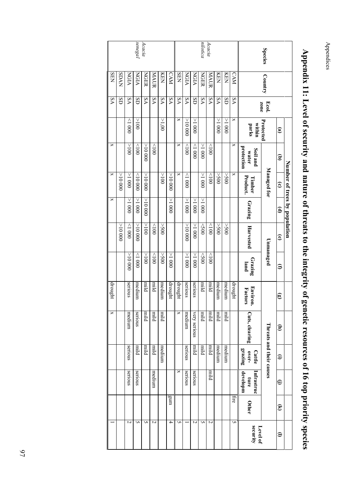*senegal Acacia nilotica Acacia* **Species Species** Country Ecol. Protected Managed for Unmanaged Threats and their causes KENKENSENSDANNGIAMAURKENCAMSENNGIANGIAMAURCAMNGIANGERNGERCountry SD SA SD SA SA SA SA SA SA SD SA SA SA SD SAEcol.<br>zone <1 000 >100 $>1,00$  >10 000 >1 000 >1 000 x >1 000 x**parks within (a)** >100 <100 <1 000 <100 <100 x >1 000 <100 x >10 000**protection Soil and water (b)**Number of trees by population **Number of trees by population** Managed for **Managed for** >10 000 >10 000 >100 >1 000 <10 000 <1 000 >1 000 $001$  >500 >500 x**Timber** >10 000 x**Product. (c)** >1 000 >1 000 >1 000 >1 000 >1 000 $0001 <$  >10 000**Grazing (d)** >10 000 >100 >1 000 >500 >10 000  $1000$  <100 >500 >10 000 <500 <100 $00$ s< Harvested  **Harvested (e) Unmanaged** >10 000 $1000$ l $>$  $001<$  <100 >500 >1 000 >1 000 >1 000 <100 <500**Grazing land (f)** medium mild serious medium mild milddrought drought serious serious mild medium mediumdrought **Factors Environ. (g)** mild mild mild medium mild mild mild mildCuts, clearing medium serious xvery serious very serious**Cuts, clearing** Threats and their causes  **(h)** mild medium mild mild medium mild mild mild medium serious serious**over- Cattle grazing (i)** mild**Infrastruc ture developm** medium serious serious x serious serious **(j)** gum fire**Other (k)** $\overline{2}$  $\overline{2}$  $\overline{z}$ U  $\overline{a}$ 4 5 **ب**  $\overline{c}$ U 5 **security Level of (l)**

SA

x

x

x

drought

x

–

Appendix 11: Level of security and nature of threats to the integrity of genetic resources of 16 top priority species **Appendix 11: Level of security and nature of threats to the integrity of genetic resources of 16 top priority species**

Appendices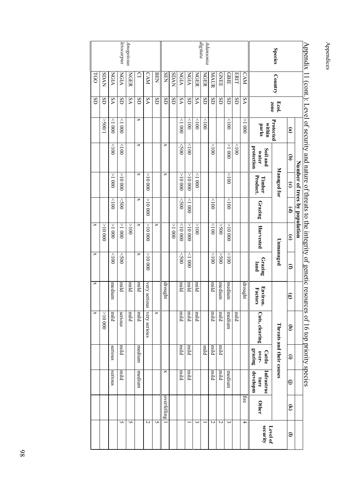| vmmdd,<br><b>Species</b> |             |       |                 |                                 | Number of trees by population |                        | ur ungert y vi Seneue tosom |                 |                        |                |                            |                                |                        |                          |
|--------------------------|-------------|-------|-----------------|---------------------------------|-------------------------------|------------------------|-----------------------------|-----------------|------------------------|----------------|----------------------------|--------------------------------|------------------------|--------------------------|
|                          |             |       |                 |                                 |                               |                        |                             |                 |                        |                |                            |                                |                        |                          |
|                          |             |       | $\mathbf{e}$    | $\widehat{\mathbf{e}}$          | $\widehat{\mathbf{c}}$        | $\widehat{\mathbf{e}}$ | $\widehat{\mathbf{e}}$      | Э               | $\widehat{\mathbf{e}}$ | Ξ              | $\bm{\oplus}$              | ⊖                              | $\widehat{\mathbf{z}}$ | $\mathrel{\mathfrak{S}}$ |
|                          | Country     | Ecol. | Protected       |                                 | Managed for                   |                        |                             | Unmanaged       |                        |                | Threats and their causes   |                                |                        |                          |
|                          |             | zone  | within<br>parks | protection<br>Soil and<br>water | Product.<br><b>Timber</b>     | Grazing                | Harvested                   | Grazing<br>land | Environ.<br>Factors    | Cuts, clearing | grazing<br>Cattle<br>over- | Infrastruc<br>developm<br>ture | Other                  | security<br>Level of     |
|                          | <b>CAM</b>  | SΑ    | $000$ I<        |                                 |                               |                        |                             |                 | drought                |                |                            |                                | fire                   | 4                        |
|                          | <b>ERIT</b> | SD    |                 | $\geq 00$                       |                               |                        |                             |                 |                        | blim           |                            |                                |                        |                          |
|                          | <b>GBIE</b> | SD    | $\geq 001$      | $\frac{1}{2}$                   | 001                           | 001                    | 00000 <                     | $rac{1}{2}$     | medium                 | medium         |                            | medium                         |                        | $\overline{\omega}$      |
|                          | <b>GNEE</b> | SD    |                 |                                 |                               |                        | 00S <                       | 00S<            | medium                 | blim           | blim                       | blin                           |                        | $\sim$                   |
|                          | MAUR        | Œ     |                 | 001                             |                               | $\frac{1}{2}$          | 001                         | 001             | blim                   | blim           | blim                       | blin                           |                        | Z                        |
| digitata<br>Adansonia    | <b>NGER</b> | SD    | 001             |                                 |                               |                        |                             |                 |                        |                | blimi                      |                                |                        |                          |
|                          | <b>NGER</b> | VS    | 001             |                                 | 0001                          |                        | 001<                        |                 | blin                   | blin           |                            |                                |                        | $\tilde{\phantom{a}}$    |
|                          | NGIA        | SD    | 001             | $\geqslant$                     | 00000 <                       | $\frac{1}{2}$          |                             | $\frac{1}{2}$   | plint                  | blin           | plint                      | blim <sup>1</sup>              |                        |                          |
|                          | NGIA        | δA    | $000$ l>        | $\leq$ 00                       | 00000 <                       | 005                    | 00001                       | $\leq$ 200      | plimi                  | blin           | blimi                      | blim                           |                        |                          |
|                          | <b>NVUS</b> | Œ     |                 |                                 |                               |                        | 0001 <                      |                 |                        |                |                            |                                |                        |                          |
|                          | <b>SEN</b>  | SD    |                 | ×                               | ×                             |                        |                             |                 | drought                |                |                            | ×                              | overfelling            |                          |
|                          | <b>BEN</b>  | SD    |                 |                                 |                               |                        | ×                           |                 |                        | ×              |                            |                                |                        | S                        |
|                          | <b>CAM</b>  | δA    |                 |                                 | 00000 <                       | 00000 <                | 00000 <                     | 00000 <         | very serious           | very serious   |                            |                                |                        | N                        |
|                          | $\Omega$    | SD    | ×               | ×                               | ×                             | ×                      | ×                           | ×               | pjim                   | mild           | medium                     | medium                         |                        |                          |
| Anogeissus               | <b>NGER</b> | δA    |                 |                                 |                               |                        | 001 <                       |                 | blim                   | blim           |                            |                                |                        | S                        |
| leiocarpus               | NGIA        | SD    | 0001            | $\geq 001$                      | 00000 <                       | $\leq$ 00              | 0001 <                      | $\leq$ 200      | blim                   | serious        | blim                       | blin                           |                        | S                        |
|                          | NGIA        | δA    | 0001            | 001                             | 0001<                         | 001                    | 0001 <                      | 001             | medium                 | blim           | serious                    | serious                        |                        |                          |
|                          | <b>SDAN</b> | SD    | $1/00$ S<       |                                 |                               |                        | 00000 <                     |                 |                        | 00000 <        |                            |                                |                        |                          |
|                          | LGO         | SD    |                 |                                 |                               |                        | ×                           | $\Join$         | ×                      | ×              |                            |                                |                        |                          |

Appendix 11 (cont.). Level of security and nature of threats to the integrity of genetic resources of 16 top priority species Appendix 11 (cont.): Level of security and nature of threats to the integrity of genetic resources of 16 top priority species

Appendices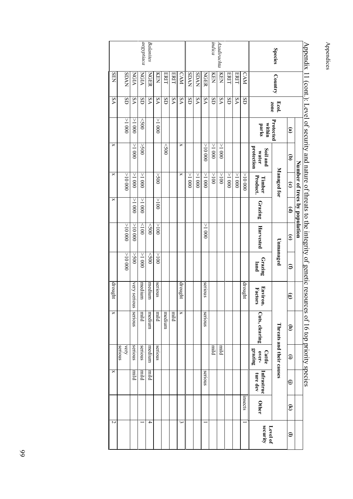|                  |             |       |                 |                                 | Number of trees by population |               |                        |                 |                            | Appendix 11 (coni.), Level of security and nature of unease to the integrity of generic resources of 10 to to priority species |                                   |                        |                        |                         |
|------------------|-------------|-------|-----------------|---------------------------------|-------------------------------|---------------|------------------------|-----------------|----------------------------|--------------------------------------------------------------------------------------------------------------------------------|-----------------------------------|------------------------|------------------------|-------------------------|
|                  |             |       | $\mathbf{e}$    | $\widehat{\mathbf{e}}$          | $\widehat{\mathbf{c}}$        | $\widehat{e}$ | $\widehat{\mathbf{e}}$ | Э               | $\mathbf{\widehat{e}}$     | ੩                                                                                                                              | $\widehat{\mathbf{e}}$            | ⊖                      | $\widehat{\mathbf{z}}$ | $\widehat{\phantom{a}}$ |
|                  |             | Ecol. |                 |                                 | Managed for                   |               |                        | Unmanaged       |                            |                                                                                                                                | <b>Threats and their causes</b>   |                        |                        |                         |
| <b>Species</b>   | Country     | zone  | Protected       |                                 |                               |               |                        |                 |                            |                                                                                                                                |                                   |                        |                        |                         |
|                  |             |       | within<br>parks | protection<br>Soil and<br>water | Product.<br>Timber            | Grazing       | Harvested              | Grazing<br>land | <b>Environ.</b><br>Factors | Cuts, clearing                                                                                                                 | grazing<br>over-<br><b>Cattle</b> | Infrastruc<br>ture dev | Other                  | security<br>Level of    |
|                  | <b>CAM</b>  | Œ     |                 |                                 | 00000 <                       |               |                        |                 | drought                    |                                                                                                                                |                                   |                        | msects                 |                         |
|                  | ERIT        | δA    |                 |                                 | $000$ I $<$                   |               |                        |                 |                            |                                                                                                                                |                                   |                        |                        |                         |
|                  | ERIT        | Œ     |                 |                                 | $000$ ${\rm I} <$             |               |                        |                 |                            |                                                                                                                                |                                   |                        |                        |                         |
| Azadirachta      | <b>KEN</b>  | VS    |                 | $000$ I<                        | 001 <                         |               |                        |                 |                            |                                                                                                                                | blim                              |                        |                        |                         |
| indica           | KEN         | SD    |                 | 1000                            | 001<                          |               |                        |                 |                            |                                                                                                                                | blim                              |                        |                        |                         |
|                  | <b>NGER</b> | δA    |                 | 00001<                          | $000$ I<br>$<$                |               | $000$ I <              |                 | serious                    | serious                                                                                                                        |                                   | serious                |                        |                         |
|                  | <b>NVUS</b> | δA    |                 |                                 | 0001 <                        |               |                        |                 |                            |                                                                                                                                |                                   |                        |                        |                         |
|                  | <b>SDAN</b> | Œ     |                 |                                 | $000$ I $<$                   |               |                        |                 |                            |                                                                                                                                |                                   |                        |                        |                         |
|                  | <b>CAM</b>  | VS    |                 | ×                               | ×                             |               |                        |                 | drought                    | ×                                                                                                                              |                                   |                        |                        | $\overline{\mathbf{c}}$ |
|                  | ERIT        | ΔA    |                 |                                 |                               |               |                        |                 |                            | blim                                                                                                                           |                                   |                        |                        |                         |
|                  | ERIT        | Œ     |                 | $\lesssim$                      |                               |               |                        |                 |                            | medium                                                                                                                         |                                   |                        |                        |                         |
|                  | KEN         | ΔA    | $000$ I $<$     |                                 | 005<                          | 001<          | 001 <                  | 001<            | serious                    | blim                                                                                                                           | serious                           |                        |                        |                         |
| <b>Balanites</b> | <b>NGER</b> | VS    |                 |                                 |                               |               | $<$ 500                | 005             | medium                     | medium                                                                                                                         | medium                            | blin                   |                        | 4                       |
| aegyptiaca       | NGIA        | SD    | $\leq$          | 005<                            | 0001 <                        | $000$ I<      | 001                    | 0001 <          | medium                     | blim                                                                                                                           | serious                           | blim                   |                        |                         |
|                  | NGIA        | δA    | $000$ I<        | 1000                            | 1 < 000                       | $000$ I<      | 00000 <                | 005<            | very serious               | serious                                                                                                                        | serious                           | blim                   |                        |                         |
|                  | <b>NVUS</b> | Œ     | $000$ I<        |                                 | 00000 <                       |               | 00000 <                | $00000<$        |                            |                                                                                                                                | serious<br>very                   |                        |                        |                         |
|                  | <b>SEN</b>  | ΔA    |                 | ×                               | ×                             | ×             |                        |                 | drought                    | ×                                                                                                                              |                                   | ×                      |                        | $\overline{c}$          |

Appendix 11 (cont.): Level of security and nature of threats to the integrity of genetic resources of 16 top priority species Ĭ  $\lambda$  11  $\lambda$ 5  $\ddot{t}$ Ê,  $713$ ļ.

Appendices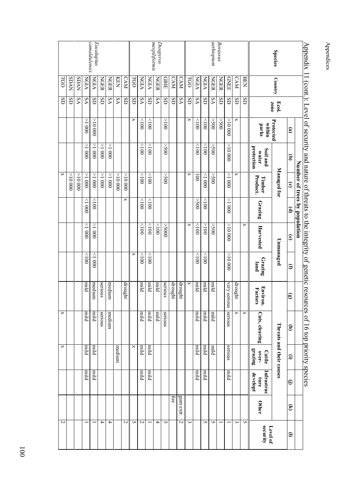|                             |             |       |                        |                                 |                               |                        | Appendix 11 (cont.): Level of security and nature of threats to the integrity of genetic resour |                 |                     | ces of 16 top priority species |                            |                                |                        |                         |
|-----------------------------|-------------|-------|------------------------|---------------------------------|-------------------------------|------------------------|-------------------------------------------------------------------------------------------------|-----------------|---------------------|--------------------------------|----------------------------|--------------------------------|------------------------|-------------------------|
|                             |             |       |                        |                                 | Number of trees by population |                        |                                                                                                 |                 |                     |                                |                            |                                |                        |                         |
|                             |             |       | $\mathbf{\widehat{e}}$ | ਭ                               | $\widehat{\mathbf{c}}$        | $\widehat{\mathbf{e}}$ | $\widehat{\mathbf{e}}$                                                                          | Э               | ඖ                   | Ξ                              | $\bm{\oplus}$              | ⊖                              | $\widehat{\mathbf{z}}$ | $\widehat{\phantom{a}}$ |
| <b>Species</b>              | Country     | Ecol. | Protected              |                                 | Managed for                   |                        |                                                                                                 | Unmanaged       |                     |                                | Threats and their causes   |                                |                        |                         |
|                             |             | zone  | within<br>parks        | protection<br>Soil and<br>water | Product.<br>Timber            | Grazing                | Harvested                                                                                       | Grazing<br>land | Environ.<br>Factors | Cuts, clearing                 | grazing<br>over-<br>Cattle | Infrastruc<br>developt<br>ture | Other                  | security<br>Level of    |
|                             | <b>BEN</b>  | SD    |                        |                                 |                               |                        | ×                                                                                               |                 |                     | ×                              |                            |                                |                        | S                       |
|                             | <b>CAM</b>  | SD    | ×                      |                                 | ×                             |                        |                                                                                                 |                 | drought             | ×                              |                            |                                |                        | $\tilde{\phantom{a}}$   |
|                             | <b>GNEE</b> | SD    | 00000 <                | 00001<                          | 0001                          | $000$ I<               | 00000 <                                                                                         | 00000 <         | very serior<br>Ξ    | serious                        | serious                    | blim                           |                        |                         |
| Borassus                    | <b>NGER</b> | SD    | $00$ S<                |                                 |                               |                        |                                                                                                 |                 |                     |                                |                            |                                |                        |                         |
| aethiopium                  | <b>NGER</b> | δA    | $00$ S<br>$\leq$       | $00$ S<                         | $00$ S<br>$<$                 |                        | $00$ S<                                                                                         |                 | blim                | blim                           | plim                       |                                |                        | S                       |
|                             | NGIA        | SD    | 001                    | $\frac{1}{2}$                   | 0001                          | 001                    | 001<                                                                                            | 001             | plim                | blim                           | blim                       | plint                          |                        | S                       |
|                             | NGIA        | ٧S    | $rac{1}{2}$            | $\frac{1}{2}$                   | $\overline{5}$                | 00S<                   | 001                                                                                             | 001             | blimi               | blin                           | blim                       | blin                           |                        |                         |
|                             | <b>LGO</b>  | SD    | ×                      |                                 | ×                             |                        | ×                                                                                               |                 | ×                   |                                |                            |                                |                        | $\tilde{\phantom{a}}$   |
|                             | <b>CAM</b>  | δA    |                        |                                 |                               |                        |                                                                                                 |                 | drought             |                                |                            |                                | gum extr.              | N                       |
|                             | <b>CAM</b>  | SD    |                        |                                 |                               |                        |                                                                                                 |                 | drought             |                                |                            |                                | fire                   |                         |
|                             | GBIE        | SD    | 001<                   | 005 <                           | 00S<                          |                        | 000S <                                                                                          |                 | serious             | serious                        |                            |                                |                        | S                       |
| mespiliformis<br>Diospyros  | <b>NGER</b> | δA    |                        |                                 |                               |                        | 001                                                                                             |                 | blin                | blim                           |                            |                                |                        | 4                       |
|                             | NGIA        | SD    | 001                    | 001                             | 001                           | 001                    | 001                                                                                             | 001             | blimi               | blim                           | pimi                       | blin                           |                        |                         |
|                             | NGIA        | δA    | 001                    | 001                             | $\geqslant$                   | 001                    | 001                                                                                             | 001             | blim                | blim                           | blim                       | piirr                          |                        | N                       |
|                             | LGO         | SD    | ×                      |                                 |                               |                        |                                                                                                 | ×               |                     |                                | ×                          |                                |                        | S                       |
|                             | <b>CAM</b>  | SD    |                        |                                 | 00000 <                       | ×                      |                                                                                                 |                 | heught              |                                |                            |                                |                        | N                       |
|                             | <b>KEN</b>  | δA    |                        |                                 | 000001 <                      |                        |                                                                                                 |                 |                     |                                | medium                     |                                |                        |                         |
|                             | <b>NGER</b> | δA    |                        | 1000                            | 0001<                         |                        |                                                                                                 |                 | medium              | medium                         |                            |                                |                        | 4                       |
|                             | <b>NGER</b> | SD    |                        | 1000                            | 000                           |                        |                                                                                                 |                 | serious             | serious                        |                            |                                |                        | 4                       |
| camaldulensis<br>Eucaluptus | NGIA        | SD    | 00000 <                | 000 $1 <$                       | 0001 <                        | $rac{1}{2}$            | $000$ I $<$                                                                                     | 0001            | medium              | blim                           | blim                       | blim                           |                        |                         |
|                             | NGIA        | δA    | $-1000$                | 0001<                           | 0001 <                        | 0001                   | 0001                                                                                            | 001             | blim                | blim                           | blim                       | blim                           |                        |                         |
|                             | <b>NVUS</b> | ٧S    |                        |                                 | 00000 <                       |                        |                                                                                                 |                 |                     |                                |                            |                                |                        |                         |
|                             | <b>SDAN</b> | SD    |                        |                                 | 00000 <                       |                        |                                                                                                 |                 |                     |                                |                            |                                |                        |                         |
|                             | <b>LGO</b>  | SD    |                        |                                 | ×                             |                        |                                                                                                 |                 |                     | ×                              | ×                          |                                |                        | Z                       |

Appendices Appendices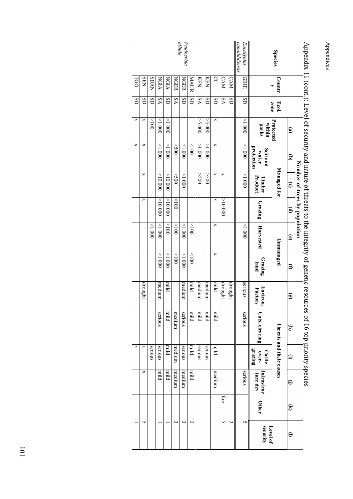|                             |                      |                               |                 |                                 |                               |                        | $\Delta$ penda 11 (cont.). Even of security and hattate of threats to the miterity of genetic resources |                 |                        | corode Attracted data at to soo |                                   |                        |                        |                         |
|-----------------------------|----------------------|-------------------------------|-----------------|---------------------------------|-------------------------------|------------------------|---------------------------------------------------------------------------------------------------------|-----------------|------------------------|---------------------------------|-----------------------------------|------------------------|------------------------|-------------------------|
|                             |                      |                               |                 |                                 | Number of trees by population |                        |                                                                                                         |                 |                        |                                 |                                   |                        |                        |                         |
|                             |                      |                               | $\mathbf{e}$    | $\widehat{\mathbf{e}}$          | $\widehat{\mathbf{c}}$        | $\widehat{\mathbf{e}}$ | $\widehat{\mathbf{e}}$                                                                                  | Э               | $\widehat{\mathbf{e}}$ | Ξ                               | $\bm{\Xi}$                        | ⊜                      | $\widehat{\mathbf{z}}$ | $\widehat{\phantom{a}}$ |
| <b>Species</b>              | <b>Countr</b>        | zone<br>Ecol.                 | Protected       |                                 | Managed for                   |                        | Unmanaged                                                                                               |                 |                        |                                 | <b>Threats and their causes</b>   |                        |                        |                         |
|                             | $\ddot{\phantom{0}}$ |                               | within<br>parks | protection<br>Soil and<br>water | Product.<br>Timber            | Grazing                | Harvested                                                                                               | Grazing<br>land | Environ<br>Factors     | Cuts, clearing                  | grazing<br>over-<br><b>Cattle</b> | Infrastruc<br>ture dev | Other                  | security<br>Level of    |
| camaldulensis<br>Eucalyptus | <b>GBIE</b>          | $\overline{\text{d}}\text{s}$ | 0001 <          | 0001 <                          | 0001 <                        |                        | $-1000$                                                                                                 |                 | serious                | serious                         |                                   | serious                |                        | UN                      |
|                             | CAM                  | Œ                             |                 |                                 |                               |                        |                                                                                                         |                 | drought                |                                 |                                   |                        |                        | ω                       |
|                             | <b>CAM</b>           | ٧S                            |                 |                                 | ×                             | 00000 <                |                                                                                                         |                 | drought                |                                 |                                   |                        | ÍİС                    | S                       |
|                             | $\Omega$             | SD                            | ×               | ×                               | ×                             | ×                      | ×                                                                                                       | ×               | blim                   | nild                            | blin                              | medium                 |                        |                         |
|                             | KEN                  | $\overline{\mathrm{d}}$ s     | 5000            | $000$ I<                        | 00S<                          |                        |                                                                                                         |                 | medium                 | piiri                           | serious                           |                        |                        |                         |
|                             | KEN                  | VS                            | 0005<           | 1000                            | 00S <                         |                        |                                                                                                         |                 | medium                 | blim                            | serious                           |                        |                        |                         |
|                             | MAUR                 | Œ                             |                 | $\geqslant$                     |                               |                        | 001                                                                                                     | 001             | plin                   | blin                            | blin                              | blin                   |                        | N                       |
| $abida$<br>Faidherbia       | <b>NGER</b>          | $\overline{\text{d}}$         |                 | $\frac{1}{2}$                   | $000 \text{ }$                |                        | 0001 <                                                                                                  | $000$ I<        | medium                 | serious                         | serious                           | medium                 |                        | ω                       |
|                             | NGER                 | ٧S                            |                 | 005<                            | 00S<                          | 001<                   | 001<                                                                                                    | 001 <           |                        | medium                          | medium                            | medium                 |                        | ω                       |
|                             | <b>NGIA</b>          | SD                            | $000$ I<        | $\geq 1$ 000                    | 00000 <                       | 00000 <                | $001$ $>$                                                                                               | $\frac{1}{2}$   | nila                   | blim                            | blin                              | blim                   |                        |                         |
|                             | NGIA                 | δA                            | $\geq 1000$     | $\geq 1$                        | 00000 <                       | 00000 <                | $000$ I $<$                                                                                             | 0001 <          | medium                 | serious                         | serious                           | blim                   |                        |                         |
|                             | SDAN                 | GS                            | 001<            |                                 |                               |                        | $000$ I <                                                                                               |                 |                        |                                 | serious                           |                        |                        |                         |
|                             | <b>SEN</b>           | SD                            | ×               | ×                               | ×                             | ×                      |                                                                                                         |                 | drought                |                                 | ×                                 | ×                      |                        | U                       |
|                             | TGO                  | Œ                             | ×               | ×                               |                               |                        |                                                                                                         |                 |                        |                                 | ×                                 |                        |                        |                         |

Appendix 11 (cont.): Level of security and nature of threats to the integrity of genetic resources of 16 top priority species Anendix 11 (cont): Ď  $\vec{b}$  $\frac{1}{2}$ ℶ ₹ こもち ₹ ₽ Ť. p  $0.516$  for ₫. Juritz ₫ י<br>הופכ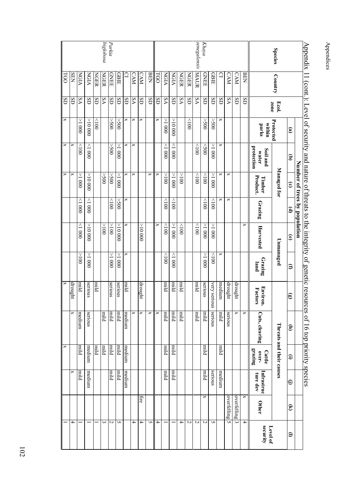| Appendix 1     |              |                 |                 |                                 | Number of trees by population |                        |                        |                 |                     | 11 (cont.): Level of security and nature of threats to the integrity of genetic resources of 16 top priority species |                                   |                        |                    |                         |
|----------------|--------------|-----------------|-----------------|---------------------------------|-------------------------------|------------------------|------------------------|-----------------|---------------------|----------------------------------------------------------------------------------------------------------------------|-----------------------------------|------------------------|--------------------|-------------------------|
|                |              |                 | $\mathbf{e}$    | $\widehat{\mathbf{e}}$          | $\widehat{\mathbf{c}}$        | $\mathbf{\widehat{e}}$ | $\widehat{\mathbf{e}}$ | Э               | ඖ                   | Ξ                                                                                                                    | $\bm{\oplus}$                     | ⊖                      | $\widehat{\bm{z}}$ | $\widehat{\phantom{a}}$ |
| <b>Species</b> | Country      | Ecol.           | Protected       |                                 | Managed for                   |                        |                        | Unmanaged       |                     |                                                                                                                      | Threats and their causes          |                        |                    |                         |
|                |              | zone            | within<br>parks | protection<br>Soil and<br>water | Product.<br>Timber            | Grazing                | Harvested              | Grazing<br>land | Environ.<br>Factors | Cuts, clearing                                                                                                       | grazing<br>over-<br><b>Cattle</b> | Infrastruc<br>ture dev | Other              | security<br>Level of    |
|                | BEN          | SD              |                 |                                 |                               |                        | ×                      |                 |                     | ×                                                                                                                    |                                   |                        | ×                  | $\overline{1}$          |
|                | <b>CAM</b>   | SD              |                 |                                 |                               |                        |                        |                 | drought             | ×                                                                                                                    |                                   |                        | overfelling        | ٤                       |
|                | <b>CAM</b>   | δA              |                 |                                 | ×                             | ×                      |                        |                 | drought             | serious                                                                                                              |                                   |                        | overfelling        | G                       |
|                | $\mathbf{a}$ | SD              | ×               | ×                               | ×                             | ×                      |                        | ×               | medium              | blim                                                                                                                 | blimi                             | medium                 |                    |                         |
|                | GBIE         | SD              | $00$ S<br>$<$   | 0001 <                          | 0001 <                        | 001                    | 0001 <                 | $\frac{1}{2}$   | very serio<br>Š     | serious                                                                                                              |                                   | serious                |                    | S                       |
| Khaya          | <b>GNEE</b>  | SD              | $00$ S<         | 60                              | 001                           | 001                    | 0001 <                 | 0001 <          | serious             | blimi                                                                                                                | blimi                             | blim                   | ×                  | $\sim$                  |
| senegalensis   | <b>MAUR</b>  | δA              |                 | $\frac{1}{2}$                   | 001                           |                        | 001                    |                 | piiri               | blin                                                                                                                 |                                   |                        |                    | $\sim$                  |
|                | <b>NGER</b>  | SD              | 001             |                                 |                               |                        |                        |                 |                     |                                                                                                                      |                                   |                        |                    | Z                       |
|                | <b>NGER</b>  | δA              |                 |                                 | 001<                          |                        | 001                    |                 | blim                | blin                                                                                                                 |                                   |                        |                    | 4                       |
|                | NGIA         | SD              | 00001<          | $000$ l>                        | 0001 <                        | $\geq 100$             | 0001 <                 | 1000            | blim                | blim                                                                                                                 | blim                              | blim                   |                    |                         |
|                | NGIA         | δA              | 0001 <          | $\frac{1}{200}$                 | 001 <                         | 001                    | 001                    | 001             | plim                | blim                                                                                                                 | plim                              | bliml                  |                    |                         |
|                | <b>GO</b>    | SD              | ×               |                                 | ×                             |                        | ×                      |                 |                     | ×                                                                                                                    |                                   |                        |                    | 4                       |
|                | <b>BEN</b>   | $\overline{dS}$ |                 |                                 | ×                             |                        |                        |                 |                     | ×                                                                                                                    |                                   |                        |                    | S                       |
|                | <b>CAM</b>   | SD              | ×               |                                 |                               |                        | 00000 <                |                 | drought             | ×                                                                                                                    |                                   |                        | ÎIre               | 4                       |
|                | CAM          | ٧S              | ×               | ×                               | ×                             |                        |                        |                 |                     | ×                                                                                                                    |                                   |                        |                    | 4                       |
|                | ₽            | SD              | ×               | ×                               | ×                             | ×                      | ×                      | ×               | blim                | medium                                                                                                               | medium                            | medium                 |                    |                         |
|                | GBIE         | SD              | 005<            | 0001 <                          | 0001 <                        | $00$ S<                | 000000 <               | 0001 <          | serious             | blim                                                                                                                 | blim                              | blim                   |                    | S                       |
| Parkia         | GNEE         | SD              | $00$ S<         | $00$ S<                         | 00S <                         | $\geqslant$            | 001 <                  | 1000            | serious             | blim                                                                                                                 | blim                              | blim                   |                    | $\sim$                  |
| biglobosa      | <b>NGER</b>  | δA              |                 |                                 | 00S<                          |                        | 001 <                  |                 |                     | blin                                                                                                                 | blim                              |                        |                    | $\tilde{\text{c}}$      |
|                | <b>NGER</b>  | SD              | $rac{1}{2}$     |                                 |                               |                        |                        |                 | blim                |                                                                                                                      | blim                              |                        |                    |                         |
|                | NGIA         | SD              | 00000 <         | $000$ l>                        | 00000 <                       | 000 l>                 | 00000 <                | $-1000$         | serious             | serious                                                                                                              | medium                            | medium                 |                    |                         |
|                | NGIA         | δA              | 1000            | $\geq$                          | $\overline{1800}$             | 0001                   | 0001                   | 001<            | blim                | medium                                                                                                               | blim                              | blim                   |                    |                         |
|                | <b>SEN</b>   | SD              |                 | ×                               | ×                             |                        |                        |                 | drought             | ×                                                                                                                    |                                   | ×                      |                    | 4                       |
|                | <b>LGO</b>   | Œ               | $\mathsf{x}$    | ×                               | X                             |                        |                        |                 | X                   |                                                                                                                      | X                                 |                        |                    |                         |

Appendix 11 (cont.): Level of security and nature of threats to the integrity of genetic resources of 16 top priority species  $\frac{1}{2}$  11  $\frac{1}{2}$ ز<br>+ þ  $\ddot{t}$ Ł Ь t.  $+16.1$ 

Appendices

Appendices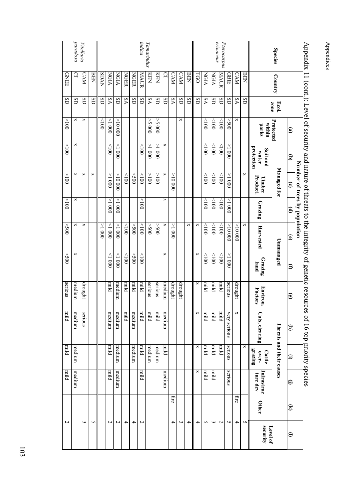| Appenua        | $C$ ULL,     |               |                        | $\Gamma$ - Feach of Scoulty and Hattic Of |                               | mears to               | uit mitgury of genetic resoul |                 |                        | corner formulation and cores |                                   |                        |                    |                         |
|----------------|--------------|---------------|------------------------|-------------------------------------------|-------------------------------|------------------------|-------------------------------|-----------------|------------------------|------------------------------|-----------------------------------|------------------------|--------------------|-------------------------|
|                |              |               |                        |                                           | Number of trees by population |                        |                               |                 |                        |                              |                                   |                        |                    |                         |
|                |              |               | $\mathbf{\widehat{e}}$ | ਭ                                         | $\widehat{\mathbf{c}}$        | $\mathbf{\widehat{e}}$ | $\widehat{\mathbf{e}}$        | Э               | $\widehat{\mathbf{e}}$ | Ξ                            | Ξ                                 | ⊖                      | $\widehat{\bm{z}}$ | $\widehat{\phantom{a}}$ |
| <b>Species</b> | Country      | zone<br>Ecol. | Protected              |                                           | Managed for                   |                        |                               | Unmanaged       |                        |                              | Threats and their causes          |                        |                    |                         |
|                |              |               | within<br>parks        | protection<br>Soil and<br>water           | Product.<br>Timber            | Grazing                | Harvested                     | Grazing<br>land | Environ.<br>Factors    | Cuts, clearing               | grazing<br>over-<br><b>Cattle</b> | Infrastruc<br>ture dev | <b>Other</b>       | security<br>Level of    |
|                | <b>BEN</b>   | SD            |                        |                                           | ×                             |                        | ×                             |                 |                        |                              | ×                                 |                        |                    | S                       |
|                | <b>CAM</b>   | δA            | ×                      |                                           |                               |                        | 00000 <                       |                 | drought                | ×                            |                                   |                        | ĨIге               | 4                       |
|                | GBIE         | SD            | 005<                   | $000$ I<                                  | 0001 <                        | $000$ I                | 00000 <                       | 0001<           | serious                | very serious                 | serious                           | serious                |                    | S                       |
| Pterocarpus    | MAUR         | SD            | 001                    | 001                                       | 001                           | 001                    | 001                           | 001             | plim                   | blim                         | blim                              |                        |                    | Z                       |
| erinaceus      | NGIA         | SD            | 001                    | $\frac{1}{2}$                             | $\geqslant$                   | 001                    | 001                           | 001             | plin                   | blim                         | blim                              | blim                   |                    | $\epsilon$              |
|                | NGIA         | δA            | 001                    | 001                                       | 001                           | 001                    | 001                           | 001             | plint                  | blin                         | blimi                             | blin                   |                    | S                       |
|                | LGO          | SD            |                        |                                           |                               |                        | ×                             | ×               | ×                      | ×                            | ×                                 | ×                      |                    | 4                       |
|                | <b>BEN</b>   | SD            |                        |                                           |                               |                        | ×                             |                 |                        |                              |                                   |                        |                    | 4                       |
|                | <b>CAM</b>   | SD            | ×                      |                                           |                               |                        |                               |                 | drought                |                              |                                   |                        |                    | ω                       |
|                | <b>CAM</b>   | δA            |                        |                                           | ٧<br>00001                    |                        | 0001 <                        |                 | drought                |                              |                                   |                        | ĨIre               | 4                       |
|                | $\mathbf{C}$ | SD            |                        | ×                                         | ×                             | ×                      | ×                             | ×               | medium                 | medium                       | blimi                             | medium                 |                    |                         |
|                | KEN          | SD            | 000S<                  | $000$ I<                                  | 001<                          |                        | 005<                          |                 | serious                | blim                         | medium                            |                        |                    |                         |
| Tamarindus     | KEN          | δA            | 0005<                  | 000 $1 <$                                 | 001 <                         |                        | 005<                          |                 | serious                | piiri                        | medium                            |                        |                    |                         |
| indica         | MAUR         | SD            |                        | 001                                       | $\geqslant$                   | 001                    | 001                           | $\frac{1}{2}$   | blim <sup>1</sup>      | blim                         | blim                              | blimi                  |                    | $\sim$                  |
|                | <b>NGER</b>  | SD            |                        |                                           | $00$ S>                       |                        | 00S<                          | $00$ S<         | blin                   | medium                       | medium                            |                        |                    | 4                       |
|                | <b>NGER</b>  | δA            |                        |                                           | 001                           |                        | 001                           | 001             | blin                   | blim                         |                                   |                        |                    | 4                       |
|                | <b>NGIA</b>  | SD            | 00000 <                | 0001                                      | 00001                         | 000                    | 0001 <                        | $000$ l>        | medium                 | medium                       | medium                            | medium                 |                    | $\sim$                  |
|                | NGIA         | δA            | $000$ l>               | $\geq 100$                                | $000$ I <                     | $000$ I<               | 0001                          | 0001            | blim <sup>1</sup>      | medium                       | blim                              | blim                   |                    | 2                       |
|                | <b>NVCS</b>  | SD            | $\geq$                 |                                           |                               |                        | $\geq 1$                      |                 |                        |                              |                                   |                        |                    |                         |
|                | <b>BEN</b>   | SD            |                        |                                           | ×                             |                        |                               |                 |                        |                              |                                   |                        |                    | S                       |
| Vitellaria     | <b>CAM</b>   | SD            | ×                      |                                           | ×                             |                        | ×                             |                 | drought                | serious                      |                                   |                        |                    | $\mathbf{\omega}$       |
| propp.rod      | ₽            | SD            | ×                      | ×                                         | ×                             | ×                      | ×                             | ×               | medium                 | medium                       | medium                            | medium                 |                    |                         |
|                | <b>GNEE</b>  | SD            | 001 <                  | 001<                                      | 001 <                         | 001                    | 00S<                          | 00S <           | serious                | blim                         | pim                               | blim                   |                    | $\sim$                  |

Appendix 11 (cont.): Level of security and nature of threats to the integrity of genetic resources of 16 top priority species Annendix 11 (cont.) Level of se  $\ddot{+}$ 5. natime しょうしょ ₹ 5 발 ŝ İ,  $\ddagger$  $\overline{a}$ ă  $\frac{1}{2}$ . ודרפכ  $0.516$  for nrinrity anecies Appendices

Appendices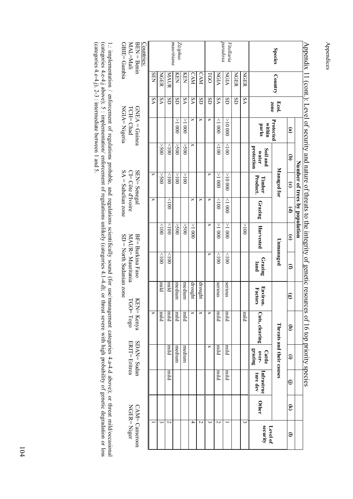| $GBIE = Gambia$<br>MAL=Mali<br>$\operatorname{BEN}=\operatorname{Bemin}$<br>Countries: |            |       |                               | mauritiana<br>Ziziphus        |             |             |            |                               |                 | proportod<br>Vitellaria       |             |             |                                   | <b>Species</b>                  |                        |                               |                                                                                                                               |
|----------------------------------------------------------------------------------------|------------|-------|-------------------------------|-------------------------------|-------------|-------------|------------|-------------------------------|-----------------|-------------------------------|-------------|-------------|-----------------------------------|---------------------------------|------------------------|-------------------------------|-------------------------------------------------------------------------------------------------------------------------------|
|                                                                                        | <b>SEN</b> | NGER  | MAUR                          | KEN                           | KEN         | CAM         | <b>CAM</b> | LGO                           | NGIA            | NGIA                          | <b>NGER</b> | <b>NGER</b> |                                   | Country                         |                        |                               |                                                                                                                               |
|                                                                                        | ۶A         | δA    | $\overline{\text{d}}\text{s}$ | $\overline{\text{d}}\text{s}$ | ٧S          | VS          | GS         | $\overline{\text{d}}\text{s}$ | VS              | $\overline{\text{d}}\text{s}$ | GS          | ٧S          |                                   | Ecol.<br>zone                   |                        |                               |                                                                                                                               |
| $GNEA = G$ uinea<br>$NGIA = Nigeria$<br>TCH=Chad                                       |            |       |                               | 1000                          | $\geq 1000$ | ×           | ×          | ×                             | $\frac{1}{200}$ | 00000<                        |             |             | within<br>parks                   | Protected                       | $\widehat{\mathbf{e}}$ |                               |                                                                                                                               |
|                                                                                        |            | 00S<  | $\geq$                        | 005<                          | $00$ S<     | ×           |            |                               | 001             | $\geq 001$                    |             |             | protection<br>Soil and<br>water   |                                 | $\widehat{\mathbf{e}}$ |                               |                                                                                                                               |
| $SA =$ Sahelian zone<br>SEN= Senegal<br>$CI = C$ ôte d'Ivoire                          | ×          | 00S < | $001$ >                       | 001 <                         | 001 <       |             |            | ×                             | 0001 <          | 00000 <                       |             |             | Product.<br>Timber                | Managed for                     | $\widehat{\mathbf{c}}$ | Number of trees by population |                                                                                                                               |
|                                                                                        | ×          |       | $rac{1}{2}$                   |                               |             | ×           | ×          | ×                             | 001             | $\frac{1}{2}$                 |             |             | Grazing                           |                                 | $\mathbf{\widehat{e}}$ |                               |                                                                                                                               |
|                                                                                        |            | 001   | 001                           | 00S <                         | 00S <       | $\geq 1000$ |            | ×                             | 0001 <          | 0001 <                        |             | 001<        | Harvested                         |                                 | $\widehat{\mathbf{e}}$ |                               |                                                                                                                               |
| $SD = North$ Sudanian zone<br>BF= Burkina Faso<br>MAUR=Mauritania                      |            | 001   | 001                           |                               |             |             |            | ×                             | 001             | $\geq 100$                    |             |             | Grazing<br>land                   | Unmanaged                       | Э                      |                               |                                                                                                                               |
|                                                                                        |            | blim  | blim                          | medium                        | medium      | drought     | drought    |                               | serious         | serious                       |             |             | Environ<br>Factors                |                                 | $\widehat{\mathbf{e}}$ |                               |                                                                                                                               |
| KEN= Kenya<br>$TCO = Togo$                                                             | ×          | plint | piiri                         | blim                          | blim        | ×           | ×          | ×                             | blim            | piiri                         |             | blim        | Cuts, clearing                    |                                 | Ξ                      |                               | Appendix 11 (cont.): Level of security and nature of threats to the integrity of genetic resources of 16 top priority species |
| SDAN= Sudan<br><b>ERIT=</b> Eritrea                                                    |            |       | blim                          | medium                        | medium      |             |            | ×                             | blin            | blin                          |             |             | grazing<br>over-<br><b>Cattle</b> | <b>Threats and their causes</b> | $\bm{\Xi}$             |                               |                                                                                                                               |
|                                                                                        |            |       | blim                          |                               |             |             |            |                               | blim            | blin                          |             |             | Infrastruc<br>ture dev            |                                 | $\oplus$               |                               |                                                                                                                               |
|                                                                                        |            |       |                               |                               |             |             |            |                               |                 |                               |             |             | Other                             |                                 | $\widehat{\mathbf{z}}$ |                               |                                                                                                                               |
| $NGER = Niger$<br>$CAM = Cameroon$                                                     |            | ω     | 2                             |                               |             | 4           | Z          | ω                             | Z               |                               |             | س           | security<br>Level of              |                                 | $\widehat{=}$          |                               |                                                                                                                               |

 $\ddot{\phantom{1}}$ Appendix 11 (cont.): Level of security and nature of threats to the integrity of genetic resources of 16 top priority species  $\frac{1}{t}$  $\frac{1}{2}$  $\frac{1}{2}$  $\overline{a}$  $\frac{1}{2}$ ŀ Ĺ,  $\frac{1}{2}$  $\ddot{+}$  $\vdots$ ŀ  $\ddot{\phantom{0}}$ ŀ.  $+ 15 +$ l. ļ.

1.: implementation / enforcement of regulations probable, and regulations scientifically sound (for use/management categories 4.a-4.d above); or threat mild/occasional (categories 4.e-4.j above); or threat mild/occasional (categories  $4.e^{-4}$ .j).  $2-3$  : intermediate between 1 and 5. (categories 4.e-4.j above); 5 : implementation/ enforcement of regulations unlikely (categories 4.1-4.d); or threat severe with high probability of genetic degradation or loss 1.: implementation / enforcement of regulations probable, and regulations scientifically sound (for use/management categories 4 .a-4.d above); or threat mild/occasional

# Appendices Appendices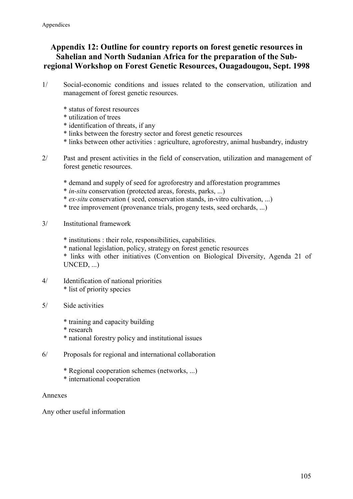## **Appendix 12: Outline for country reports on forest genetic resources in Sahelian and North Sudanian Africa for the preparation of the Subregional Workshop on Forest Genetic Resources, Ouagadougou, Sept. 1998**

- 1/ Social-economic conditions and issues related to the conservation, utilization and management of forest genetic resources.
	- \* status of forest resources
	- \* utilization of trees
	- \* identification of threats, if any
	- \* links between the forestry sector and forest genetic resources
	- \* links between other activities : agriculture, agroforestry, animal husbandry, industry
- 2/ Past and present activities in the field of conservation, utilization and management of forest genetic resources.
	- \* demand and supply of seed for agroforestry and afforestation programmes
	- \* *in-situ* conservation (protected areas, forests, parks, ...)
	- \* *ex-situ* conservation ( seed, conservation stands, in-vitro cultivation, ...)
	- \* tree improvement (provenance trials, progeny tests, seed orchards, ...)
- 3/ Institutional framework
	- \* institutions : their role, responsibilities, capabilities.
	- \* national legislation, policy, strategy on forest genetic resources
	- \* links with other initiatives (Convention on Biological Diversity, Agenda 21 of UNCED, ...)
- 4/ Identification of national priorities \* list of priority species
- 5/ Side activities
	- \* training and capacity building
	- \* research
	- \* national forestry policy and institutional issues
- 6/ Proposals for regional and international collaboration
	- \* Regional cooperation schemes (networks, ...)
	- \* international cooperation

#### Annexes

Any other useful information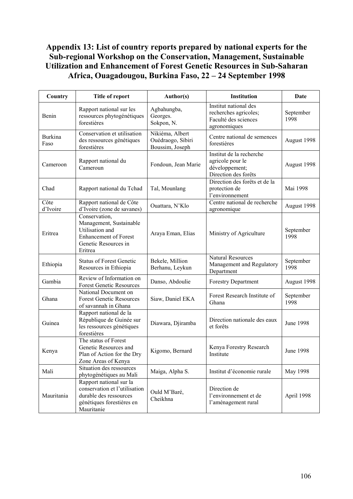## **Appendix 13: List of country reports prepared by national experts for the Sub-regional Workshop on the Conservation, Management, Sustainable Utilization and Enhancement of Forest Genetic Resources in Sub-Saharan Africa, Ouagadougou, Burkina Faso, 22 – 24 September 1998**

| Country                | Title of report                                                                                                                | Author(s)                                               | <b>Institution</b>                                                                     | Date              |
|------------------------|--------------------------------------------------------------------------------------------------------------------------------|---------------------------------------------------------|----------------------------------------------------------------------------------------|-------------------|
| Benin                  | Rapport national sur les<br>ressources phytogénétiques<br>forestières                                                          | Agbahungba,<br>Georges.<br>Sokpon, N.                   | Institut national des<br>recherches agricoles;<br>Faculté des sciences<br>agronomiques | September<br>1998 |
| <b>Burkina</b><br>Faso | Conservation et utilisation<br>des ressources génétiques<br>forestières                                                        | Nikiéma, Albert<br>Ouédraogo, Sibiri<br>Boussim, Joseph | Centre national de semences<br>forestières                                             | August 1998       |
| Cameroon               | Rapport national du<br>Cameroun                                                                                                | Fondoun, Jean Marie                                     | Institut de la recherche<br>agricole pour le<br>développement;<br>Direction des forêts | August 1998       |
| Chad                   | Rapport national du Tchad                                                                                                      | Tal, Mounlang                                           | Direction des forêts et de la<br>protection de<br>l'environnement                      | Mai 1998          |
| Côte<br>d'Ivoire       | Rapport national de Côte<br>d'Ivoire (zone de savanes)                                                                         | Ouattara, N'Klo                                         | Centre national de recherche<br>agronomique                                            | August 1998       |
| Eritrea                | Conservation,<br>Management, Sustainable<br>Utilisation and<br><b>Enhancement of Forest</b><br>Genetic Resources in<br>Eritrea | Araya Eman, Elias                                       | Ministry of Agriculture                                                                | September<br>1998 |
| Ethiopia               | <b>Status of Forest Genetic</b><br>Resources in Ethiopia                                                                       | Bekele, Million<br>Berhanu, Leykun                      | <b>Natural Resources</b><br>Management and Regulatory<br>Department                    | September<br>1998 |
| Gambia                 | Review of Information on<br><b>Forest Genetic Resources</b>                                                                    | Danso, Abdoulie                                         | <b>Forestry Department</b>                                                             | August 1998       |
| Ghana                  | National Document on<br><b>Forest Genetic Resources</b><br>of savannah in Ghana                                                | Siaw, Daniel EKA                                        | Forest Research Institute of<br>Ghana                                                  | September<br>1998 |
| Guinea                 | Rapport national de la<br>République de Guinée sur<br>les ressources génétiques<br>forestières                                 | Diawara, Djiramba                                       | Direction nationale des eaux<br>et forêts                                              | June 1998         |
| Kenya                  | The status of Forest<br>Genetic Resources and<br>Plan of Action for the Dry<br>Zone Areas of Kenya                             | Kigomo, Bernard                                         | Kenya Forestry Research<br>Institute                                                   | <b>June 1998</b>  |
| Mali                   | Situation des ressources<br>phytogénétiques au Mali                                                                            | Maiga, Alpha S.                                         | Institut d'économie rurale                                                             | May 1998          |
| Mauritania             | Rapport national sur la<br>conservation et l'utilisation<br>durable des ressources<br>génétiques forestières en<br>Mauritanie  | Ould M'Baré,<br>Cheikhna                                | Direction de<br>l'environnement et de<br>l'aménagement rural                           | April 1998        |